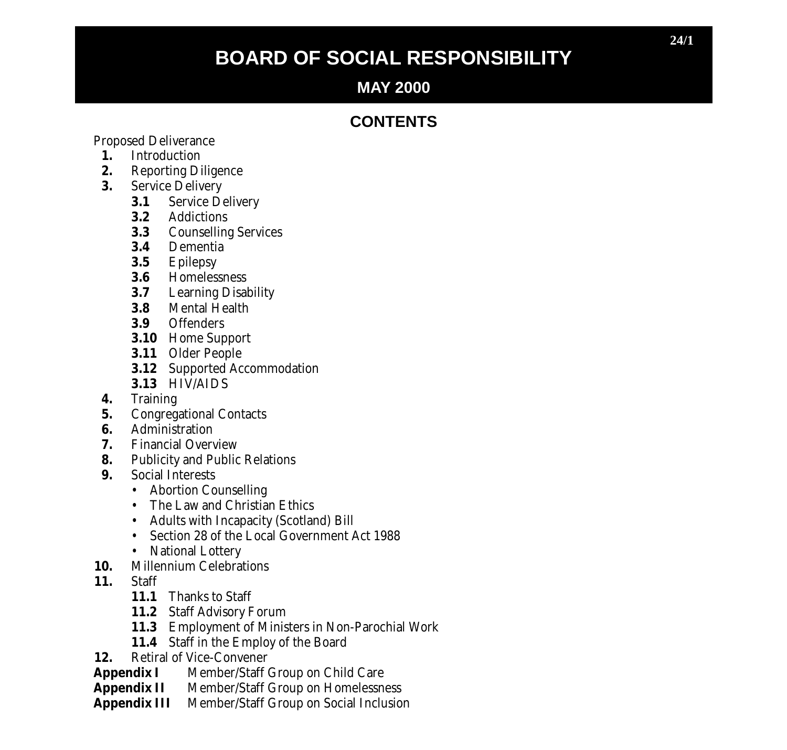# **BOARD OF SOCIAL RESPONSIBILITY**

# **MAY 2000**

# **CONTENTS**

Proposed Deliverance

- **1.** Introduction
- **2.** Reporting Diligence
- **3.** Service Delivery
	- **3.1** Service Delivery
	- **3.2** Addictions
	- **3.3** Counselling Services
	- **3.4** Dementia
	- **3.5** Epilepsy
	- **3.6** Homelessness<br>**3.7** Learning Disal
	- **3.7** Learning Disability
	- **3.8** Mental Health<br>**3.9** Offenders
	- **3.9** Offenders
	- **3.10** Home Support
	- **3.11** Older People
	- **3.12** Supported Accommodation
	- **3.13** HIV/AIDS
- **4.** Training
- **5.** Congregational Contacts<br>**6.** Administration
- **6.** Administration<br>**7.** Financial Overy
- **7.** Financial Overview
- **8.** Publicity and Public Relations
- **9.** Social Interests
	- Abortion Counselling
	- The Law and Christian Ethics
	- Adults with Incapacity (Scotland) Bill
	- Section 28 of the Local Government Act 1988
	- National Lottery
- 10. Millennium Celebrations<br>11. Staff
- **11.** Staff
	- **11.1** Thanks to Staff
	- **11.2** Staff Advisory Forum
	- **11.3** Employment of Ministers in Non-Parochial Work
	- **11.4** Staff in the Employ of the Board
- **12.** Retiral of Vice-Convener<br> **Appendix I** Member/Staff (
- **Appendix I** Member/Staff Group on Child Care<br> **Appendix II** Member/Staff Group on Homelessn
- **Appendix II** Member/Staff Group on Homelessness<br>**Appendix III** Member/Staff Group on Social Inclusion
- **Member/Staff Group on Social Inclusion**

**24/1**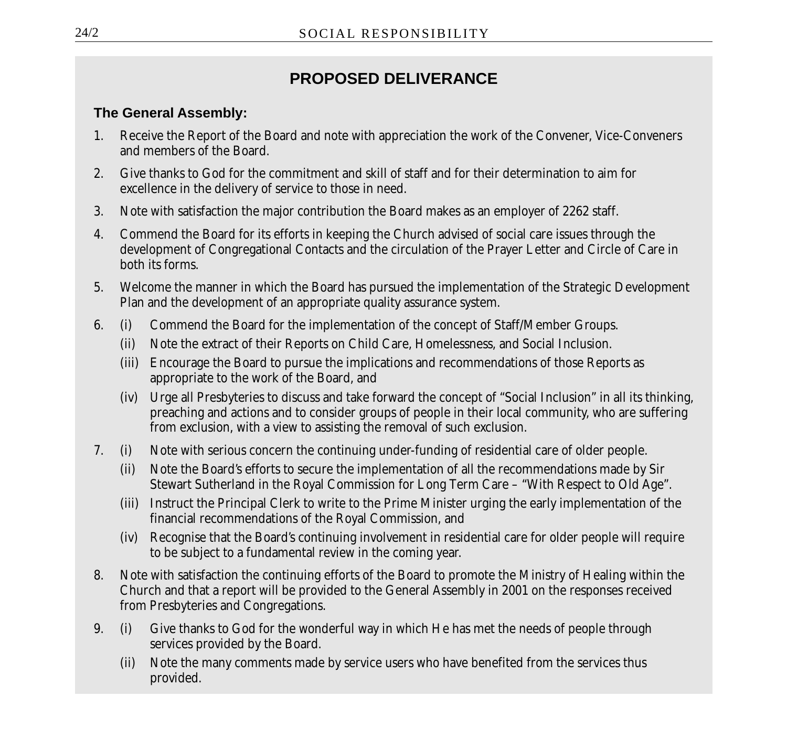# **PROPOSED DELIVERANCE**

### **The General Assembly:**

- 1. Receive the Report of the Board and note with appreciation the work of the Convener, Vice-Conveners and members of the Board.
- 2. Give thanks to God for the commitment and skill of staff and for their determination to aim for excellence in the delivery of service to those in need.
- 3. Note with satisfaction the major contribution the Board makes as an employer of 2262 staff.
- 4. Commend the Board for its efforts in keeping the Church advised of social care issues through the development of Congregational Contacts and the circulation of the Prayer Letter and Circle of Care in both its forms.
- 5. Welcome the manner in which the Board has pursued the implementation of the Strategic Development Plan and the development of an appropriate quality assurance system.
- 6. (i) Commend the Board for the implementation of the concept of Staff/Member Groups.
	- (ii) Note the extract of their Reports on Child Care, Homelessness, and Social Inclusion.
	- (iii) Encourage the Board to pursue the implications and recommendations of those Reports as appropriate to the work of the Board, and
	- (iv) Urge all Presbyteries to discuss and take forward the concept of "Social Inclusion" in all its thinking, preaching and actions and to consider groups of people in their local community, who are suffering from exclusion, with a view to assisting the removal of such exclusion.
- 7. (i) Note with serious concern the continuing under-funding of residential care of older people.
	- (ii) Note the Board's efforts to secure the implementation of all the recommendations made by Sir Stewart Sutherland in the Royal Commission for Long Term Care – "With Respect to Old Age".
	- (iii) Instruct the Principal Clerk to write to the Prime Minister urging the early implementation of the financial recommendations of the Royal Commission, and
	- (iv) Recognise that the Board's continuing involvement in residential care for older people will require to be subject to a fundamental review in the coming year.
- 8. Note with satisfaction the continuing efforts of the Board to promote the Ministry of Healing within the Church and that a report will be provided to the General Assembly in 2001 on the responses received from Presbyteries and Congregations.
- 9. (i) Give thanks to God for the wonderful way in which He has met the needs of people through services provided by the Board.
	- (ii) Note the many comments made by service users who have benefited from the services thus provided.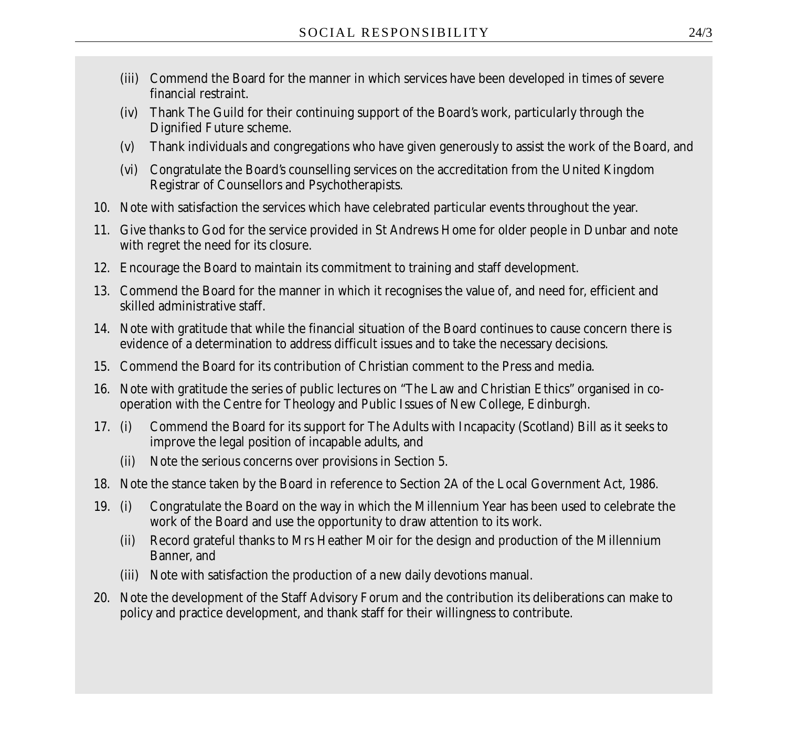- (iii) Commend the Board for the manner in which services have been developed in times of severe financial restraint.
- (iv) Thank The Guild for their continuing support of the Board's work, particularly through the Dignified Future scheme.
- (v) Thank individuals and congregations who have given generously to assist the work of the Board, and
- (vi) Congratulate the Board's counselling services on the accreditation from the United Kingdom Registrar of Counsellors and Psychotherapists.
- 10. Note with satisfaction the services which have celebrated particular events throughout the year.
- 11. Give thanks to God for the service provided in St Andrews Home for older people in Dunbar and note with regret the need for its closure.
- 12. Encourage the Board to maintain its commitment to training and staff development.
- 13. Commend the Board for the manner in which it recognises the value of, and need for, efficient and skilled administrative staff.
- 14. Note with gratitude that while the financial situation of the Board continues to cause concern there is evidence of a determination to address difficult issues and to take the necessary decisions.
- 15. Commend the Board for its contribution of Christian comment to the Press and media.
- 16. Note with gratitude the series of public lectures on "The Law and Christian Ethics" organised in cooperation with the Centre for Theology and Public Issues of New College, Edinburgh.
- 17. (i) Commend the Board for its support for The Adults with Incapacity (Scotland) Bill as it seeks to improve the legal position of incapable adults, and
	- (ii) Note the serious concerns over provisions in Section 5.
- 18. Note the stance taken by the Board in reference to Section 2A of the Local Government Act, 1986.
- 19. (i) Congratulate the Board on the way in which the Millennium Year has been used to celebrate the work of the Board and use the opportunity to draw attention to its work.
	- (ii) Record grateful thanks to Mrs Heather Moir for the design and production of the Millennium Banner, and
	- (iii) Note with satisfaction the production of a new daily devotions manual.
- 20. Note the development of the Staff Advisory Forum and the contribution its deliberations can make to policy and practice development, and thank staff for their willingness to contribute.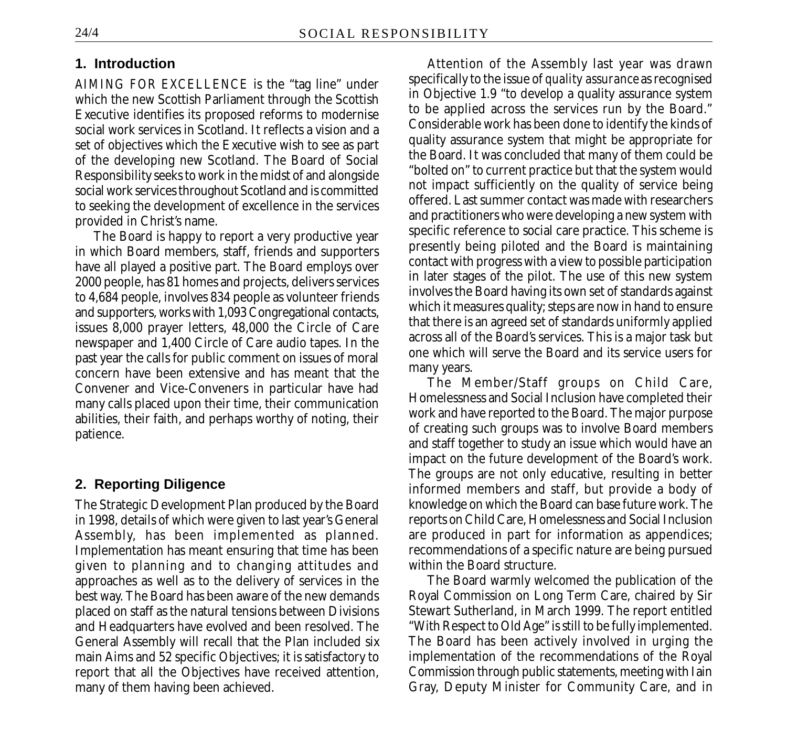#### **1. Introduction**

*AIMING FOR EXCELLENCE* is the "tag line" under which the new Scottish Parliament through the Scottish Executive identifies its proposed reforms to modernise social work services in Scotland. It reflects a vision and a set of objectives which the Executive wish to see as part of the developing new Scotland. The Board of Social Responsibility seeks to work in the midst of and alongside social work services throughout Scotland and is committed to seeking the development of excellence in the services provided in Christ's name.

The Board is happy to report a very productive year in which Board members, staff, friends and supporters have all played a positive part. The Board employs over 2000 people, has 81 homes and projects, delivers services to 4,684 people, involves 834 people as volunteer friends and supporters, works with 1,093 Congregational contacts, issues 8,000 prayer letters, 48,000 the Circle of Care newspaper and 1,400 Circle of Care audio tapes. In the past year the calls for public comment on issues of moral concern have been extensive and has meant that the Convener and Vice-Conveners in particular have had many calls placed upon their time, their communication abilities, their faith, and perhaps worthy of noting, their patience.

#### **2. Reporting Diligence**

The Strategic Development Plan produced by the Board in 1998, details of which were given to last year's General Assembly, has been implemented as planned. Implementation has meant ensuring that time has been given to planning and to changing attitudes and approaches as well as to the delivery of services in the best way. The Board has been aware of the new demands placed on staff as the natural tensions between Divisions and Headquarters have evolved and been resolved. The General Assembly will recall that the Plan included six main Aims and 52 specific Objectives; it is satisfactory to report that all the Objectives have received attention, many of them having been achieved.

Attention of the Assembly last year was drawn specifically to the issue of *quality assurance* as recognised in Objective 1.9 "to develop a quality assurance system to be applied across the services run by the Board." Considerable work has been done to identify the kinds of quality assurance system that might be appropriate for the Board. It was concluded that many of them could be "bolted on" to current practice but that the system would not impact sufficiently on the quality of service being offered. Last summer contact was made with researchers and practitioners who were developing a new system with specific reference to social care practice. This scheme is presently being piloted and the Board is maintaining contact with progress with a view to possible participation in later stages of the pilot. The use of this new system involves the Board having its own set of standards against which it measures quality; steps are now in hand to ensure that there is an agreed set of standards uniformly applied across all of the Board's services. This is a major task but one which will serve the Board and its service users for many years.

The Member/Staff groups on Child Care, Homelessness and Social Inclusion have completed their work and have reported to the Board. The major purpose of creating such groups was to involve Board members and staff together to study an issue which would have an impact on the future development of the Board's work. The groups are not only educative, resulting in better informed members and staff, but provide a body of knowledge on which the Board can base future work. The reports on Child Care, Homelessness and Social Inclusion are produced in part for information as appendices; recommendations of a specific nature are being pursued within the Board structure.

The Board warmly welcomed the publication of the Royal Commission on Long Term Care, chaired by Sir Stewart Sutherland, in March 1999. The report entitled "With Respect to Old Age" is still to be fully implemented. The Board has been actively involved in urging the implementation of the recommendations of the Royal Commission through public statements, meeting with Iain Gray, Deputy Minister for Community Care, and in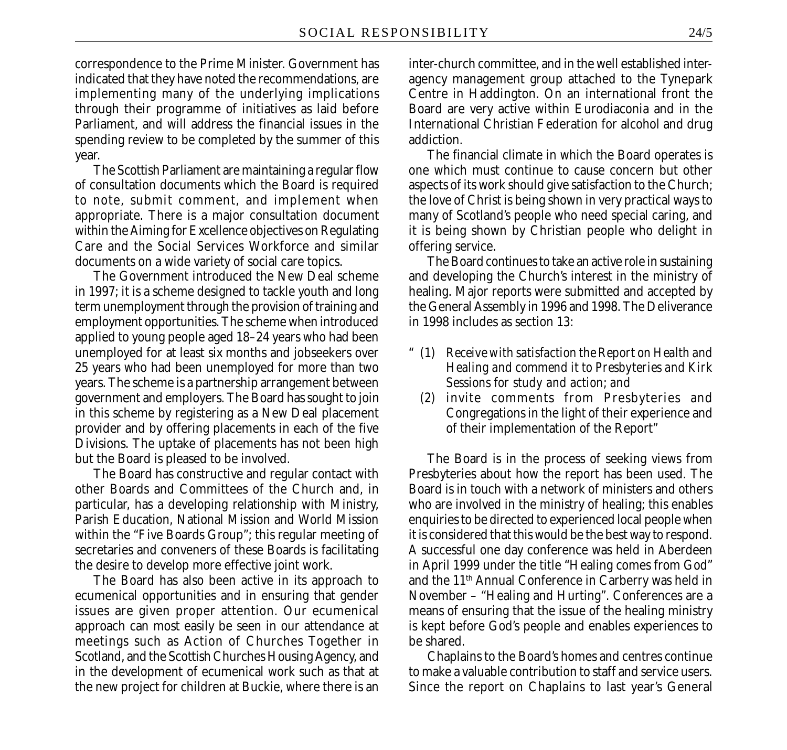correspondence to the Prime Minister. Government has indicated that they have noted the recommendations, are implementing many of the underlying implications through their programme of initiatives as laid before Parliament, and will address the financial issues in the spending review to be completed by the summer of this year.

The Scottish Parliament are maintaining a regular flow of consultation documents which the Board is required to note, submit comment, and implement when appropriate. There is a major consultation document within the Aiming for Excellence objectives on Regulating Care and the Social Services Workforce and similar documents on a wide variety of social care topics.

The Government introduced the New Deal scheme in 1997; it is a scheme designed to tackle youth and long term unemployment through the provision of training and employment opportunities. The scheme when introduced applied to young people aged 18–24 years who had been unemployed for at least six months and jobseekers over 25 years who had been unemployed for more than two years. The scheme is a partnership arrangement between government and employers. The Board has sought to join in this scheme by registering as a New Deal placement provider and by offering placements in each of the five Divisions. The uptake of placements has not been high but the Board is pleased to be involved.

The Board has constructive and regular contact with other Boards and Committees of the Church and, in particular, has a developing relationship with Ministry, Parish Education, National Mission and World Mission within the "Five Boards Group"; this regular meeting of secretaries and conveners of these Boards is facilitating the desire to develop more effective joint work.

The Board has also been active in its approach to ecumenical opportunities and in ensuring that gender issues are given proper attention. Our ecumenical approach can most easily be seen in our attendance at meetings such as Action of Churches Together in Scotland, and the Scottish Churches Housing Agency, and in the development of ecumenical work such as that at the new project for children at Buckie, where there is an inter-church committee, and in the well established interagency management group attached to the Tynepark Centre in Haddington. On an international front the Board are very active within Eurodiaconia and in the International Christian Federation for alcohol and drug addiction.

The financial climate in which the Board operates is one which must continue to cause concern but other aspects of its work should give satisfaction to the Church; the love of Christ is being shown in very practical ways to many of Scotland's people who need special caring, and it is being shown by Christian people who delight in offering service.

The Board continues to take an active role in sustaining and developing the Church's interest in the ministry of healing. Major reports were submitted and accepted by the General Assembly in 1996 and 1998. The Deliverance in 1998 includes as section 13:

- " (1) *Receive with satisfaction the Report on Health and Healing and commend it to Presbyteries and Kirk Sessions for study and action; and*
	- (2) invite comments from Presbyteries and Congregations in the light of their experience and of their implementation of the Report"

The Board is in the process of seeking views from Presbyteries about how the report has been used. The Board is in touch with a network of ministers and others who are involved in the ministry of healing; this enables enquiries to be directed to experienced local people when it is considered that this would be the best way to respond. A successful one day conference was held in Aberdeen in April 1999 under the title "Healing comes from God" and the 11th Annual Conference in Carberry was held in November – "Healing and Hurting". Conferences are a means of ensuring that the issue of the healing ministry is kept before God's people and enables experiences to be shared.

Chaplains to the Board's homes and centres continue to make a valuable contribution to staff and service users. Since the report on Chaplains to last year's General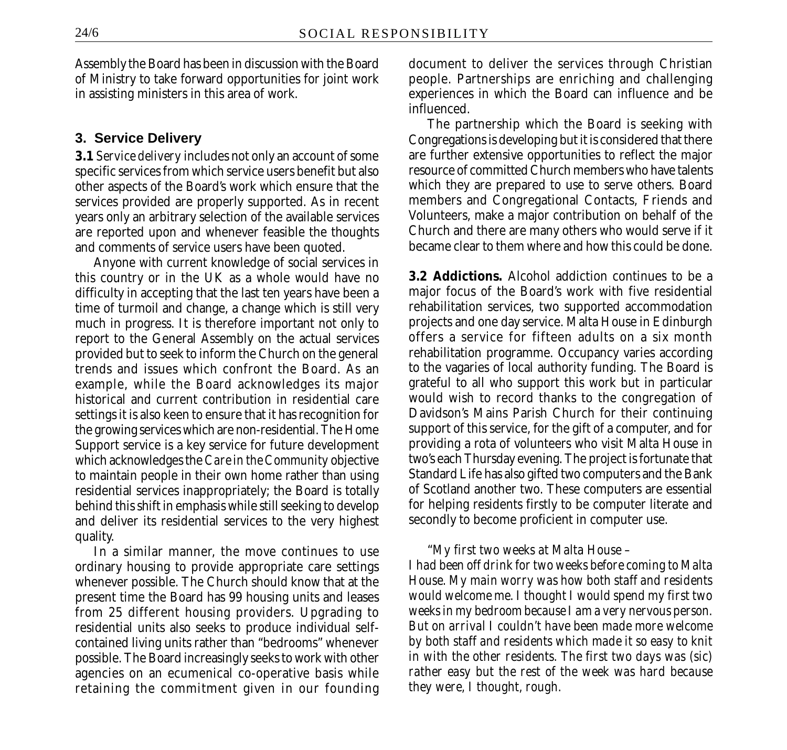Assembly the Board has been in discussion with the Board of Ministry to take forward opportunities for joint work in assisting ministers in this area of work.

#### **3. Service Delivery**

**3.1** *Service delivery* includes not only an account of some specific services from which service users benefit but also other aspects of the Board's work which ensure that the services provided are properly supported. As in recent years only an arbitrary selection of the available services are reported upon and whenever feasible the thoughts and comments of service users have been quoted.

Anyone with current knowledge of social services in this country or in the UK as a whole would have no difficulty in accepting that the last ten years have been a time of turmoil and change, a change which is still very much in progress. It is therefore important not only to report to the General Assembly on the actual services provided but to seek to inform the Church on the general trends and issues which confront the Board. As an example, while the Board acknowledges its major historical and current contribution in residential care settings it is also keen to ensure that it has recognition for the growing services which are non-residential. The Home Support service is a key service for future development which acknowledges the *Care in the Community* objective to maintain people in their own home rather than using residential services inappropriately; the Board is totally behind this shift in emphasis while still seeking to develop and deliver its residential services to the very highest quality.

In a similar manner, the move continues to use ordinary housing to provide appropriate care settings whenever possible. The Church should know that at the present time the Board has 99 housing units and leases from 25 different housing providers. Upgrading to residential units also seeks to produce individual selfcontained living units rather than "bedrooms" whenever possible. The Board increasingly seeks to work with other agencies on an ecumenical co-operative basis while retaining the commitment given in our founding document to deliver the services through Christian people. Partnerships are enriching and challenging experiences in which the Board can influence and be influenced.

The partnership which the Board is seeking with Congregations is developing but it is considered that there are further extensive opportunities to reflect the major resource of committed Church members who have talents which they are prepared to use to serve others. Board members and Congregational Contacts, Friends and Volunteers, make a major contribution on behalf of the Church and there are many others who would serve if it became clear to them where and how this could be done.

**3.2 Addictions.** Alcohol addiction continues to be a major focus of the Board's work with five residential rehabilitation services, two supported accommodation projects and one day service. Malta House in Edinburgh offers a service for fifteen adults on a six month rehabilitation programme. Occupancy varies according to the vagaries of local authority funding. The Board is grateful to all who support this work but in particular would wish to record thanks to the congregation of Davidson's Mains Parish Church for their continuing support of this service, for the gift of a computer, and for providing a rota of volunteers who visit Malta House in two's each Thursday evening. The project is fortunate that Standard Life has also gifted two computers and the Bank of Scotland another two. These computers are essential for helping residents firstly to be computer literate and secondly to become proficient in computer use.

#### "*My first two weeks at Malta House –*

*I had been off drink for two weeks before coming to Malta House. My main worry was how both staff and residents would welcome me. I thought I would spend my first two weeks in my bedroom because I am a very nervous person. But on arrival I couldn't have been made more welcome by both staff and residents which made it so easy to knit in with the other residents. The first two days was (sic) rather easy but the rest of the week was hard because they were, I thought, rough.*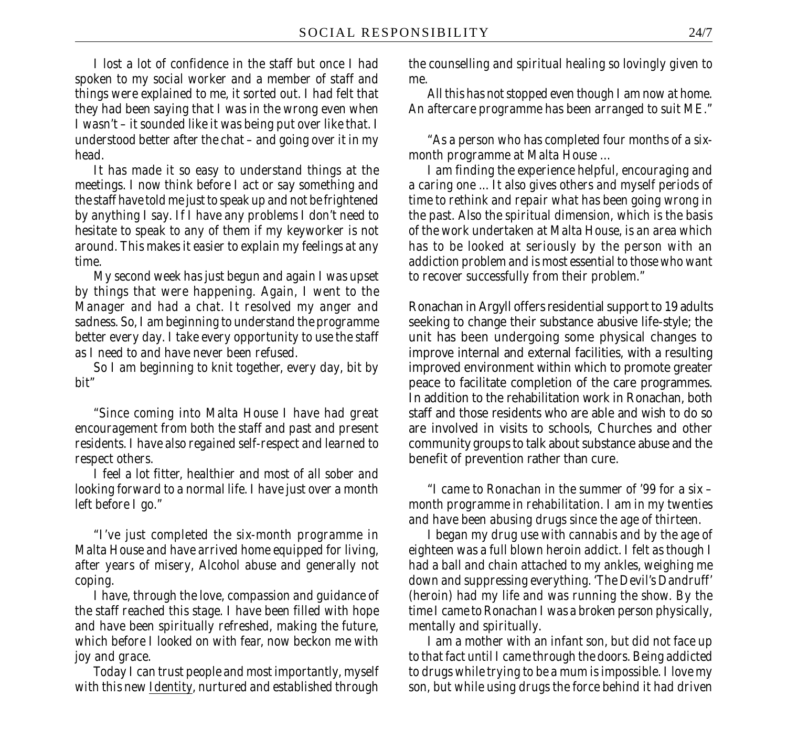*I lost a lot of confidence in the staff but once I had spoken to my social worker and a member of staff and things were explained to me, it sorted out. I had felt that they had been saying that I was in the wrong even when I wasn't – it sounded like it was being put over like that. I understood better after the chat – and going over it in my head.*

*It has made it so easy to understand things at the meetings. I now think before I act or say something and the staff have told me just to speak up and not be frightened by anything I say. If I have any problems I don't need to hesitate to speak to any of them if my keyworker is not around. This makes it easier to explain my feelings at any time.*

*My second week has just begun and again I was upset by things that were happening. Again, I went to the Manager and had a chat. It resolved my anger and sadness. So, I am beginning to understand the programme better every day. I take every opportunity to use the staff as I need to and have never been refused.*

*So I am beginning to knit together, every day, bit by bit"*

*"Since coming into Malta House I have had great encouragement from both the staff and past and present residents. I have also regained self-respect and learned to respect others.*

*I feel a lot fitter, healthier and most of all sober and looking forward to a normal life. I have just over a month left before I go."*

*"I've just completed the six-month programme in Malta House and have arrived home equipped for living, after years of misery, Alcohol abuse and generally not coping.*

*I have, through the love, compassion and guidance of the staff reached this stage. I have been filled with hope and have been spiritually refreshed, making the future, which before I looked on with fear, now beckon me with joy and grace.*

*Today I can trust people and most importantly, myself with this new Identity, nurtured and established through*

*the counselling and spiritual healing so lovingly given to me.*

*All this has not stopped even though I am now at home. An aftercare programme has been arranged to suit ME."*

*"As a person who has completed four months of a sixmonth programme at Malta House …*

*I am finding the experience helpful, encouraging and a caring one ... It also gives others and myself periods of time to rethink and repair what has been going wrong in the past. Also the spiritual dimension, which is the basis of the work undertaken at Malta House, is an area which has to be looked at seriously by the person with an addiction problem and is most essential to those who want to recover successfully from their problem."*

Ronachan in Argyll offers residential support to 19 adults seeking to change their substance abusive life-style; the unit has been undergoing some physical changes to improve internal and external facilities, with a resulting improved environment within which to promote greater peace to facilitate completion of the care programmes. In addition to the rehabilitation work in Ronachan, both staff and those residents who are able and wish to do so are involved in visits to schools, Churches and other community groups to talk about substance abuse and the benefit of prevention rather than cure.

*"I came to Ronachan in the summer of '99 for a six – month programme in rehabilitation. I am in my twenties and have been abusing drugs since the age of thirteen.*

*I began my drug use with cannabis and by the age of eighteen was a full blown heroin addict. I felt as though I had a ball and chain attached to my ankles, weighing me down and suppressing everything. 'The Devil's Dandruff' (heroin) had my life and was running the show. By the time I came to Ronachan I was a broken person physically, mentally and spiritually.*

*I am a mother with an infant son, but did not face up to that fact until I came through the doors. Being addicted to drugs while trying to be a mum is impossible. I love my son, but while using drugs the force behind it had driven*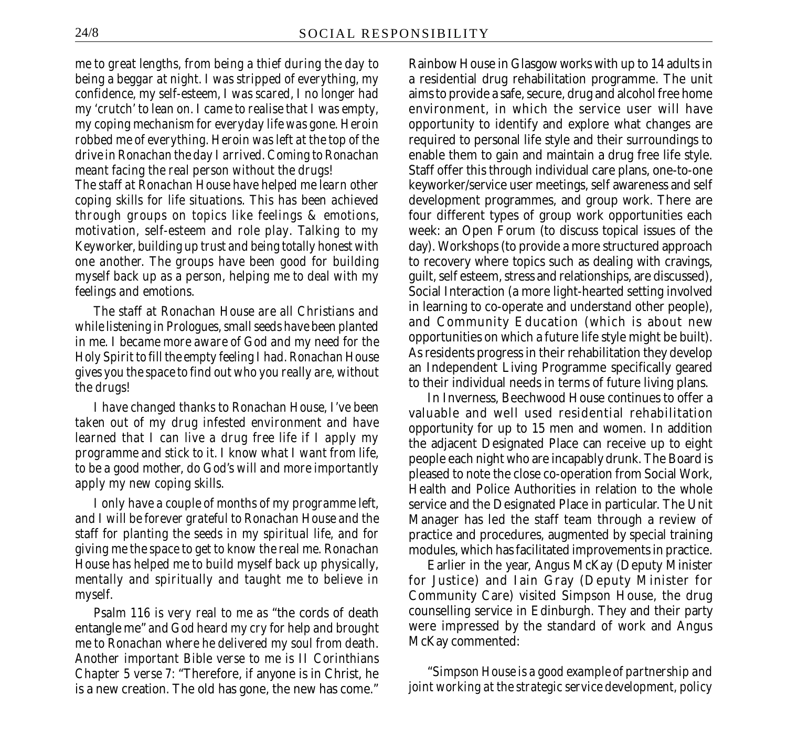*me to great lengths, from being a thief during the day to being a beggar at night. I was stripped of everything, my confidence, my self-esteem, I was scared, I no longer had my 'crutch' to lean on. I came to realise that I was empty, my coping mechanism for everyday life was gone. Heroin robbed me of everything. Heroin was left at the top of the drive in Ronachan the day I arrived. Coming to Ronachan meant facing the real person without the drugs!*

*The staff at Ronachan House have helped me learn other coping skills for life situations. This has been achieved through groups on topics like feelings & emotions, motivation, self-esteem and role play. Talking to my Keyworker, building up trust and being totally honest with one another. The groups have been good for building myself back up as a person, helping me to deal with my feelings and emotions.*

*The staff at Ronachan House are all Christians and while listening in Prologues, small seeds have been planted in me. I became more aware of God and my need for the Holy Spirit to fill the empty feeling I had. Ronachan House gives you the space to find out who you really are, without the drugs!*

*I have changed thanks to Ronachan House, I've been taken out of my drug infested environment and have learned that I can live a drug free life if I apply my programme and stick to it. I know what I want from life, to be a good mother, do God's will and more importantly apply my new coping skills.*

*I only have a couple of months of my programme left, and I will be forever grateful to Ronachan House and the staff for planting the seeds in my spiritual life, and for giving me the space to get to know the real me. Ronachan House has helped me to build myself back up physically, mentally and spiritually and taught me to believe in myself.*

*Psalm 116 is very real to me as* "the cords of death entangle me" *and God heard my cry for help and brought me to Ronachan where he delivered my soul from death. Another important Bible verse to me is II Corinthians Chapter 5 verse 7:* "Therefore, if anyone is in Christ, he is a new creation. The old has gone, the new has come."

Rainbow House in Glasgow works with up to 14 adults in a residential drug rehabilitation programme. The unit aims to provide a safe, secure, drug and alcohol free home environment, in which the service user will have opportunity to identify and explore what changes are required to personal life style and their surroundings to enable them to gain and maintain a drug free life style. Staff offer this through individual care plans, one-to-one keyworker/service user meetings, self awareness and self development programmes, and group work. There are four different types of group work opportunities each week: an Open Forum (to discuss topical issues of the day). Workshops (to provide a more structured approach to recovery where topics such as dealing with cravings, guilt, self esteem, stress and relationships, are discussed), Social Interaction (a more light-hearted setting involved in learning to co-operate and understand other people), and Community Education (which is about new opportunities on which a future life style might be built). As residents progress in their rehabilitation they develop an Independent Living Programme specifically geared to their individual needs in terms of future living plans.

In Inverness, Beechwood House continues to offer a valuable and well used residential rehabilitation opportunity for up to 15 men and women. In addition the adjacent Designated Place can receive up to eight people each night who are incapably drunk. The Board is pleased to note the close co-operation from Social Work, Health and Police Authorities in relation to the whole service and the Designated Place in particular. The Unit Manager has led the staff team through a review of practice and procedures, augmented by special training modules, which has facilitated improvements in practice.

Earlier in the year, Angus McKay (Deputy Minister for Justice) and Iain Gray (Deputy Minister for Community Care) visited Simpson House, the drug counselling service in Edinburgh. They and their party were impressed by the standard of work and Angus McKay commented:

"*Simpson House is a good example of partnership and joint working at the strategic service development, policy*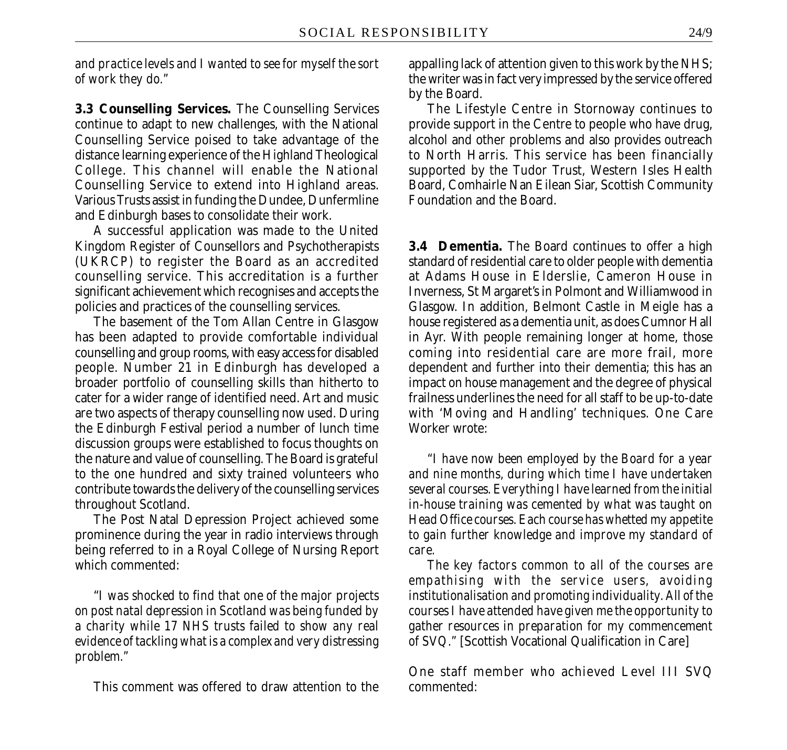*and practice levels and I wanted to see for myself the sort of work they do."*

**3.3 Counselling Services.** The Counselling Services continue to adapt to new challenges, with the National Counselling Service poised to take advantage of the distance learning experience of the Highland Theological College. This channel will enable the National Counselling Service to extend into Highland areas. Various Trusts assist in funding the Dundee, Dunfermline and Edinburgh bases to consolidate their work.

A successful application was made to the United Kingdom Register of Counsellors and Psychotherapists (UKRCP) to register the Board as an accredited counselling service. This accreditation is a further significant achievement which recognises and accepts the policies and practices of the counselling services.

The basement of the Tom Allan Centre in Glasgow has been adapted to provide comfortable individual counselling and group rooms, with easy access for disabled people. Number 21 in Edinburgh has developed a broader portfolio of counselling skills than hitherto to cater for a wider range of identified need. Art and music are two aspects of therapy counselling now used. During the Edinburgh Festival period a number of lunch time discussion groups were established to focus thoughts on the nature and value of counselling. The Board is grateful to the one hundred and sixty trained volunteers who contribute towards the delivery of the counselling services throughout Scotland.

The Post Natal Depression Project achieved some prominence during the year in radio interviews through being referred to in a Royal College of Nursing Report which commented:

"*I was shocked to find that one of the major projects on post natal depression in Scotland was being funded by a charity while 17 NHS trusts failed to show any real evidence of tackling what is a complex and very distressing problem."*

This comment was offered to draw attention to the

appalling lack of attention given to this work by the NHS; the writer was in fact very impressed by the service offered by the Board.

The Lifestyle Centre in Stornoway continues to provide support in the Centre to people who have drug, alcohol and other problems and also provides outreach to North Harris. This service has been financially supported by the Tudor Trust, Western Isles Health Board, Comhairle Nan Eilean Siar, Scottish Community Foundation and the Board.

**3.4 Dementia.** The Board continues to offer a high standard of residential care to older people with dementia at Adams House in Elderslie, Cameron House in Inverness, St Margaret's in Polmont and Williamwood in Glasgow. In addition, Belmont Castle in Meigle has a house registered as a dementia unit, as does Cumnor Hall in Ayr. With people remaining longer at home, those coming into residential care are more frail, more dependent and further into their dementia; this has an impact on house management and the degree of physical frailness underlines the need for all staff to be up-to-date with 'Moving and Handling' techniques. One Care Worker wrote:

*"I have now been employed by the Board for a year and nine months, during which time I have undertaken several courses. Everything I have learned from the initial in-house training was cemented by what was taught on Head Office courses. Each course has whetted my appetite to gain further knowledge and improve my standard of care.*

*The key factors common to all of the courses are empathising with the service users, avoiding institutionalisation and promoting individuality. All of the courses I have attended have given me the opportunity to gather resources in preparation for my commencement of SVQ."* [Scottish Vocational Qualification in Care]

One staff member who achieved Level III SVQ commented: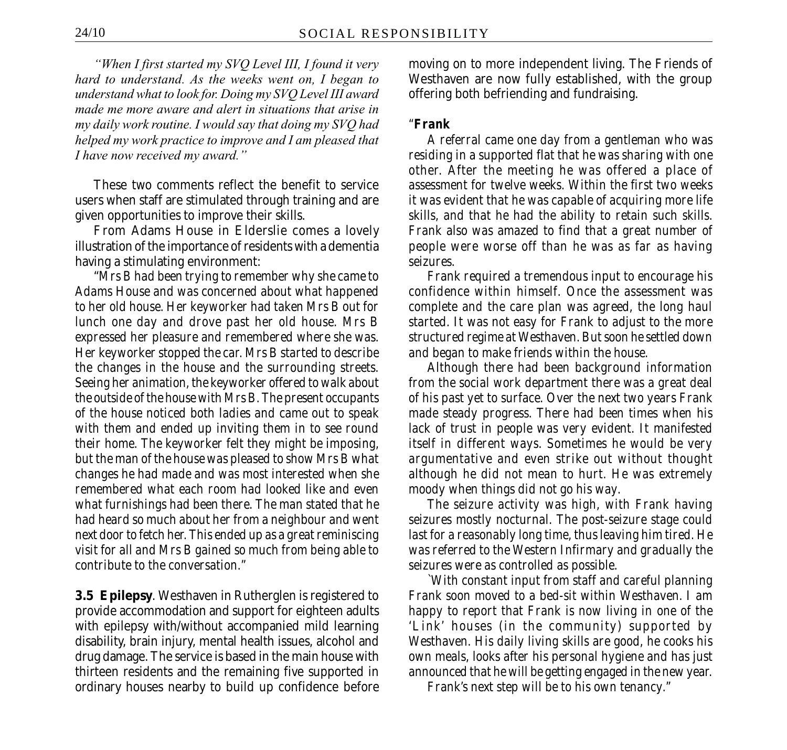*"When I first started my SVQ Level III, I found it very hard to understand. As the weeks went on, I began to understand what to look for. Doing my SVQ Level III award made me more aware and alert in situations that arise in my daily work routine. I would say that doing my SVQ had helped my work practice to improve and I am pleased that I have now received my award."*

These two comments reflect the benefit to service users when staff are stimulated through training and are given opportunities to improve their skills.

From Adams House in Elderslie comes a lovely illustration of the importance of residents with a dementia having a stimulating environment:

"*Mrs B had been trying to remember why she came to Adams House and was concerned about what happened to her old house. Her keyworker had taken Mrs B out for lunch one day and drove past her old house. Mrs B expressed her pleasure and remembered where she was. Her keyworker stopped the car. Mrs B started to describe the changes in the house and the surrounding streets. Seeing her animation, the keyworker offered to walk about the outside of the house with Mrs B. The present occupants of the house noticed both ladies and came out to speak with them and ended up inviting them in to see round their home. The keyworker felt they might be imposing, but the man of the house was pleased to show Mrs B what changes he had made and was most interested when she remembered what each room had looked like and even what furnishings had been there. The man stated that he had heard so much about her from a neighbour and went next door to fetch her. This ended up as a great reminiscing visit for all and Mrs B gained so much from being able to contribute to the conversation."*

**3.5 Epilepsy**. Westhaven in Rutherglen is registered to provide accommodation and support for eighteen adults with epilepsy with/without accompanied mild learning disability, brain injury, mental health issues, alcohol and drug damage. The service is based in the main house with thirteen residents and the remaining five supported in ordinary houses nearby to build up confidence before moving on to more independent living. The Friends of Westhaven are now fully established, with the group offering both befriending and fundraising.

#### *"Frank*

*A referral came one day from a gentleman who was residing in a supported flat that he was sharing with one other. After the meeting he was offered a place of assessment for twelve weeks. Within the first two weeks it was evident that he was capable of acquiring more life skills, and that he had the ability to retain such skills. Frank also was amazed to find that a great number of people were worse off than he was as far as having seizures.*

*Frank required a tremendous input to encourage his confidence within himself. Once the assessment was complete and the care plan was agreed, the long haul started. It was not easy for Frank to adjust to the more structured regime at Westhaven. But soon he settled down and began to make friends within the house.*

*Although there had been background information from the social work department there was a great deal of his past yet to surface. Over the next two years Frank made steady progress. There had been times when his lack of trust in people was very evident. It manifested itself in different ways. Sometimes he would be very argumentative and even strike out without thought although he did not mean to hurt. He was extremely moody when things did not go his way.*

*The seizure activity was high, with Frank having seizures mostly nocturnal. The post-seizure stage could last for a reasonably long time, thus leaving him tired. He was referred to the Western Infirmary and gradually the seizures were as controlled as possible.*

*`With constant input from staff and careful planning Frank soon moved to a bed-sit within Westhaven. I am happy to report that Frank is now living in one of the 'Link' houses (in the community) supported by Westhaven. His daily living skills are good, he cooks his own meals, looks after his personal hygiene and has just announced that he will be getting engaged in the new year.*

*Frank's next step will be to his own tenancy."*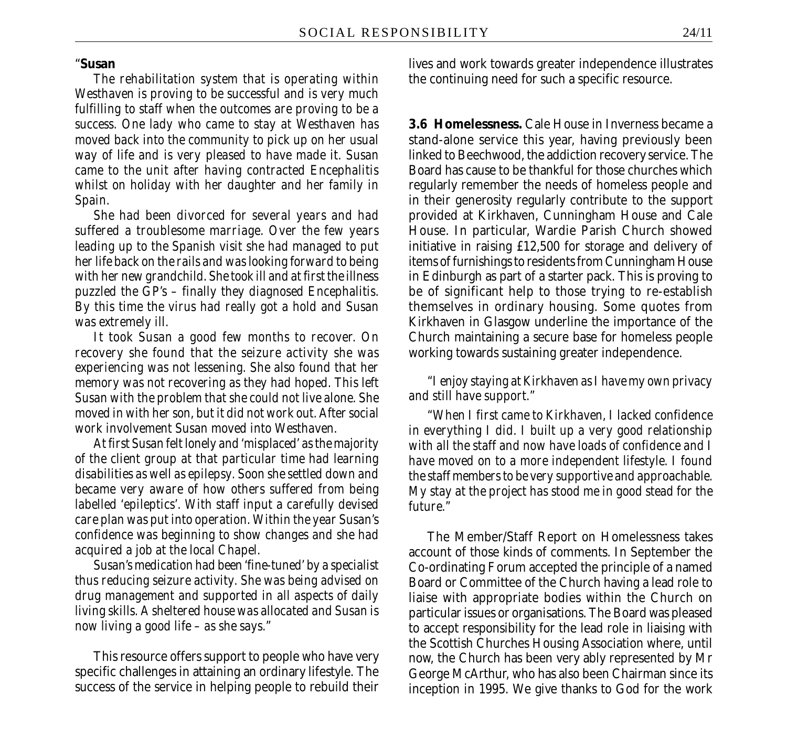#### "**Susan**

*The rehabilitation system that is operating within Westhaven is proving to be successful and is very much fulfilling to staff when the outcomes are proving to be a success. One lady who came to stay at Westhaven has moved back into the community to pick up on her usual way of life and is very pleased to have made it. Susan came to the unit after having contracted Encephalitis whilst on holiday with her daughter and her family in Spain.*

*She had been divorced for several years and had suffered a troublesome marriage. Over the few years leading up to the Spanish visit she had managed to put her life back on the rails and was looking forward to being with her new grandchild. She took ill and at first the illness puzzled the GP's – finally they diagnosed Encephalitis. By this time the virus had really got a hold and Susan was extremely ill.*

*It took Susan a good few months to recover. On recovery she found that the seizure activity she was experiencing was not lessening. She also found that her memory was not recovering as they had hoped. This left Susan with the problem that she could not live alone. She moved in with her son, but it did not work out. After social work involvement Susan moved into Westhaven.*

*At first Susan felt lonely and 'misplaced' as the majority of the client group at that particular time had learning disabilities as well as epilepsy. Soon she settled down and became very aware of how others suffered from being labelled 'epileptics'. With staff input a carefully devised care plan was put into operation. Within the year Susan's confidence was beginning to show changes and she had acquired a job at the local Chapel.*

*Susan's medication had been 'fine-tuned' by a specialist thus reducing seizure activity. She was being advised on drug management and supported in all aspects of daily living skills. A sheltered house was allocated and Susan is now living a good life – as she says."*

This resource offers support to people who have very specific challenges in attaining an ordinary lifestyle. The success of the service in helping people to rebuild their

lives and work towards greater independence illustrates the continuing need for such a specific resource.

**3.6 Homelessness.** Cale House in Inverness became a stand-alone service this year, having previously been linked to Beechwood, the addiction recovery service. The Board has cause to be thankful for those churches which regularly remember the needs of homeless people and in their generosity regularly contribute to the support provided at Kirkhaven, Cunningham House and Cale House. In particular, Wardie Parish Church showed initiative in raising £12,500 for storage and delivery of items of furnishings to residents from Cunningham House in Edinburgh as part of a starter pack. This is proving to be of significant help to those trying to re-establish themselves in ordinary housing. Some quotes from Kirkhaven in Glasgow underline the importance of the Church maintaining a secure base for homeless people working towards sustaining greater independence.

*"I enjoy staying at Kirkhaven as I have my own privacy and still have support."*

*"When I first came to Kirkhaven, I lacked confidence in everything I did. I built up a very good relationship with all the staff and now have loads of confidence and I have moved on to a more independent lifestyle. I found the staff members to be very supportive and approachable. My stay at the project has stood me in good stead for the future."*

The Member/Staff Report on Homelessness takes account of those kinds of comments. In September the Co-ordinating Forum accepted the principle of a named Board or Committee of the Church having a lead role to liaise with appropriate bodies within the Church on particular issues or organisations. The Board was pleased to accept responsibility for the lead role in liaising with the Scottish Churches Housing Association where, until now, the Church has been very ably represented by Mr George McArthur, who has also been Chairman since its inception in 1995. We give thanks to God for the work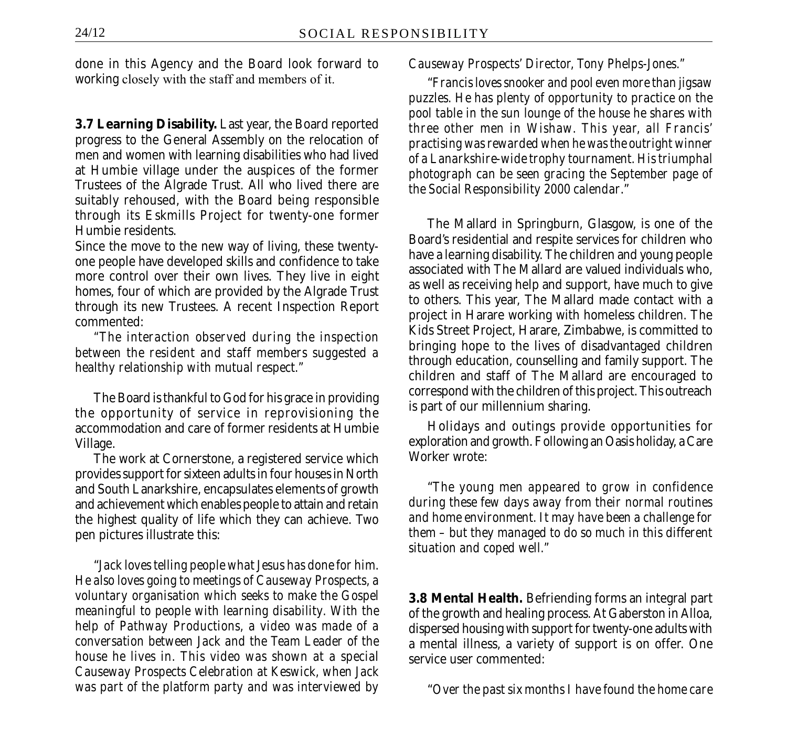done in this Agency and the Board look forward to working closely with the staff and members of it.

**3.7 Learning Disability.** Last year, the Board reported progress to the General Assembly on the relocation of men and women with learning disabilities who had lived at Humbie village under the auspices of the former Trustees of the Algrade Trust. All who lived there are suitably rehoused, with the Board being responsible through its Eskmills Project for twenty-one former Humbie residents.

Since the move to the new way of living, these twentyone people have developed skills and confidence to take more control over their own lives. They live in eight homes, four of which are provided by the Algrade Trust through its new Trustees. A recent Inspection Report commented:

*"The interaction observed during the inspection between the resident and staff members suggested a healthy relationship with mutual respect."*

The Board is thankful to God for his grace in providing the opportunity of service in reprovisioning the accommodation and care of former residents at Humbie Village.

The work at Cornerstone, a registered service which provides support for sixteen adults in four houses in North and South Lanarkshire, encapsulates elements of growth and achievement which enables people to attain and retain the highest quality of life which they can achieve. Two pen pictures illustrate this:

"*Jack loves telling people what Jesus has done for him. He also loves going to meetings of Causeway Prospects, a voluntary organisation which seeks to make the Gospel meaningful to people with learning disability. With the help of Pathway Productions, a video was made of a conversation between Jack and the Team Leader of the house he lives in. This video was shown at a special Causeway Prospects Celebration at Keswick, when Jack was part of the platform party and was interviewed by* *Causeway Prospects' Director, Tony Phelps-Jones."*

"*Francis loves snooker and pool even more than jigsaw puzzles. He has plenty of opportunity to practice on the pool table in the sun lounge of the house he shares with three other men in Wishaw. This year, all Francis' practising was rewarded when he was the outright winner of a Lanarkshire-wide trophy tournament. His triumphal photograph can be seen gracing the September page of the Social Responsibility 2000 calendar*."

The Mallard in Springburn, Glasgow, is one of the Board's residential and respite services for children who have a learning disability. The children and young people associated with The Mallard are valued individuals who, as well as receiving help and support, have much to give to others. This year, The Mallard made contact with a project in Harare working with homeless children. The Kids Street Project, Harare, Zimbabwe, is committed to bringing hope to the lives of disadvantaged children through education, counselling and family support. The children and staff of The Mallard are encouraged to correspond with the children of this project. This outreach is part of our millennium sharing.

Holidays and outings provide opportunities for exploration and growth. Following an Oasis holiday, a Care Worker wrote:

"*The young men appeared to grow in confidence during these few days away from their normal routines and home environment. It may have been a challenge for them – but they managed to do so much in this different situation and coped well."*

**3.8 Mental Health.** Befriending forms an integral part of the growth and healing process. At Gaberston in Alloa, dispersed housing with support for twenty-one adults with a mental illness, a variety of support is on offer. One service user commented:

"*Over the past six months I have found the home care*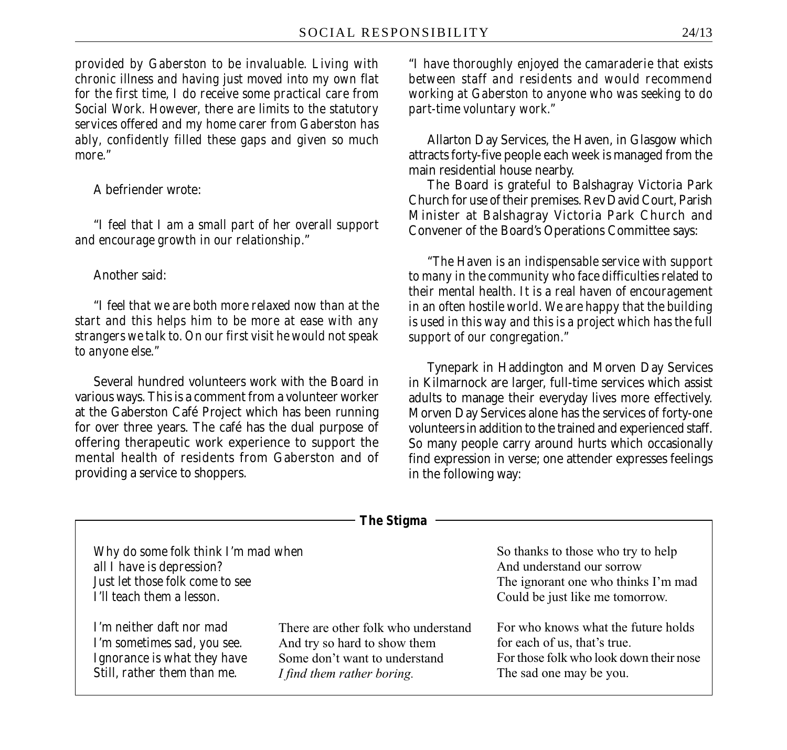*provided by Gaberston to be invaluable. Living with chronic illness and having just moved into my own flat for the first time, I do receive some practical care from Social Work. However, there are limits to the statutory services offered and my home carer from Gaberston has ably, confidently filled these gaps and given so much more."*

A befriender wrote:

"*I feel that I am a small part of her overall support and encourage growth in our relationship*."

#### Another said:

"*I feel that we are both more relaxed now than at the start and this helps him to be more at ease with any strangers we talk to. On our first visit he would not speak to anyone else."*

Several hundred volunteers work with the Board in various ways. This is a comment from a volunteer worker at the Gaberston Café Project which has been running for over three years. The café has the dual purpose of offering therapeutic work experience to support the mental health of residents from Gaberston and of providing a service to shoppers.

"*I have thoroughly enjoyed the camaraderie that exists between staff and residents and would recommend working at Gaberston to anyone who was seeking to do part-time voluntary work."*

Allarton Day Services, the Haven, in Glasgow which attracts forty-five people each week is managed from the main residential house nearby.

The Board is grateful to Balshagray Victoria Park Church for use of their premises. Rev David Court, Parish Minister at Balshagray Victoria Park Church and Convener of the Board's Operations Committee says:

*"The Haven is an indispensable service with support to many in the community who face difficulties related to their mental health. It is a real haven of encouragement in an often hostile world. We are happy that the building is used in this way and this is a project which has the full support of our congregation."*

Tynepark in Haddington and Morven Day Services in Kilmarnock are larger, full-time services which assist adults to manage their everyday lives more effectively. Morven Day Services alone has the services of forty-one volunteers in addition to the trained and experienced staff. So many people carry around hurts which occasionally find expression in verse; one attender expresses feelings in the following way:

|                                                                                                                                  | 1 IIC JUGINA                                                                                                                       |                                                                                                                                           |
|----------------------------------------------------------------------------------------------------------------------------------|------------------------------------------------------------------------------------------------------------------------------------|-------------------------------------------------------------------------------------------------------------------------------------------|
| Why do some folk think I'm mad when<br>all I have is depression?<br>Just let those folk come to see<br>I'll teach them a lesson. |                                                                                                                                    | So thanks to those who try to help<br>And understand our sorrow<br>The ignorant one who thinks I'm mad<br>Could be just like me tomorrow. |
| I'm neither daft nor mad<br>I'm sometimes sad, you see.<br>Ignorance is what they have<br>Still, rather them than me.            | There are other folk who understand<br>And try so hard to show them<br>Some don't want to understand<br>I find them rather boring. | For who knows what the future holds<br>for each of us, that's true.<br>For those folk who look down their nose<br>The sad one may be you. |

*The Stigma*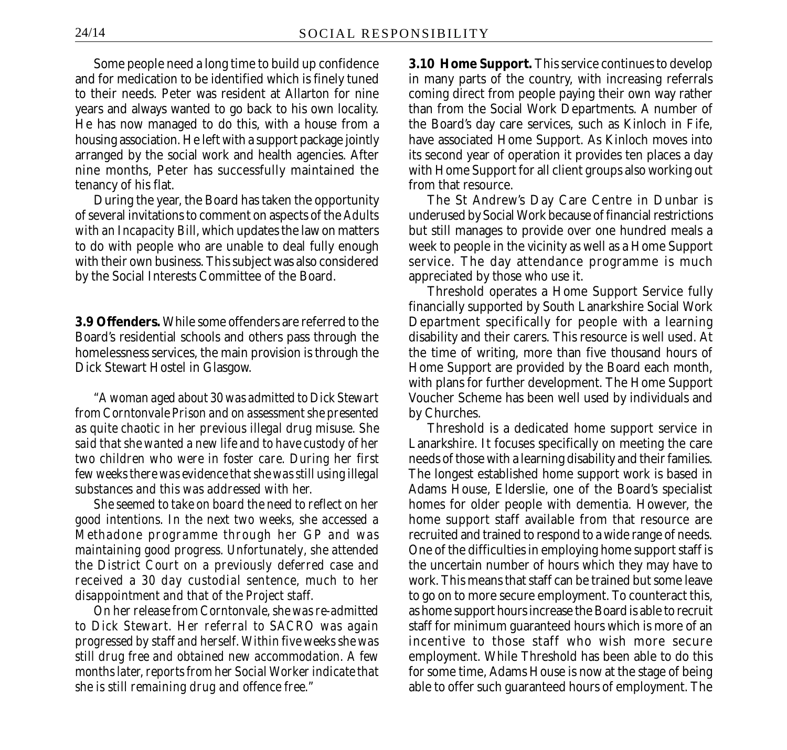Some people need a long time to build up confidence and for medication to be identified which is finely tuned to their needs. Peter was resident at Allarton for nine years and always wanted to go back to his own locality. He has now managed to do this, with a house from a housing association. He left with a support package jointly arranged by the social work and health agencies. After nine months, Peter has successfully maintained the tenancy of his flat.

During the year, the Board has taken the opportunity of several invitations to comment on aspects of the *Adults with an Incapacity Bill*, which updates the law on matters to do with people who are unable to deal fully enough with their own business. This subject was also considered by the Social Interests Committee of the Board.

**3.9 Offenders.** While some offenders are referred to the Board's residential schools and others pass through the homelessness services, the main provision is through the Dick Stewart Hostel in Glasgow.

*"A woman aged about 30 was admitted to Dick Stewart from Corntonvale Prison and on assessment she presented as quite chaotic in her previous illegal drug misuse. She said that she wanted a new life and to have custody of her two children who were in foster care. During her first few weeks there was evidence that she was still using illegal substances and this was addressed with her.*

*She seemed to take on board the need to reflect on her good intentions. In the next two weeks, she accessed a Methadone programme through her GP and was maintaining good progress. Unfortunately, she attended the District Court on a previously deferred case and received a 30 day custodial sentence, much to her disappointment and that of the Project staff.*

*On her release from Corntonvale, she was re-admitted to Dick Stewart. Her referral to SACRO was again progressed by staff and herself. Within five weeks she was still drug free and obtained new accommodation. A few months later, reports from her Social Worker indicate that she is still remaining drug and offence free."*

**3.10 Home Support.** This service continues to develop in many parts of the country, with increasing referrals coming direct from people paying their own way rather than from the Social Work Departments. A number of the Board's day care services, such as Kinloch in Fife, have associated Home Support. As Kinloch moves into its second year of operation it provides ten places a day with Home Support for all client groups also working out from that resource.

The St Andrew's Day Care Centre in Dunbar is underused by Social Work because of financial restrictions but still manages to provide over one hundred meals a week to people in the vicinity as well as a Home Support service. The day attendance programme is much appreciated by those who use it.

Threshold operates a Home Support Service fully financially supported by South Lanarkshire Social Work Department specifically for people with a learning disability and their carers. This resource is well used. At the time of writing, more than five thousand hours of Home Support are provided by the Board each month, with plans for further development. The Home Support Voucher Scheme has been well used by individuals and by Churches.

Threshold is a dedicated home support service in Lanarkshire. It focuses specifically on meeting the care needs of those with a learning disability and their families. The longest established home support work is based in Adams House, Elderslie, one of the Board's specialist homes for older people with dementia. However, the home support staff available from that resource are recruited and trained to respond to a wide range of needs. One of the difficulties in employing home support staff is the uncertain number of hours which they may have to work. This means that staff can be trained but some leave to go on to more secure employment. To counteract this, as home support hours increase the Board is able to recruit staff for minimum guaranteed hours which is more of an incentive to those staff who wish more secure employment. While Threshold has been able to do this for some time, Adams House is now at the stage of being able to offer such guaranteed hours of employment. The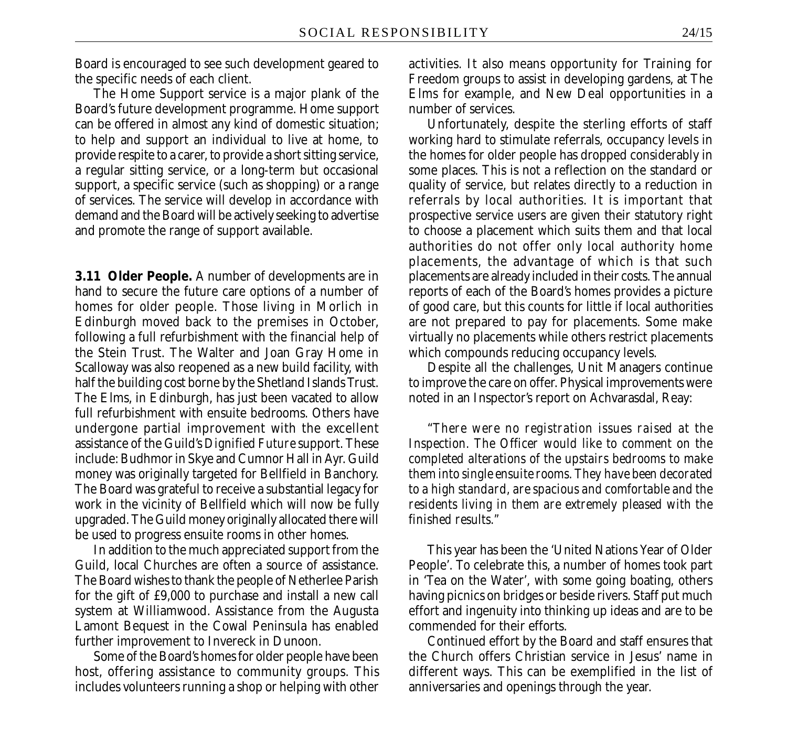Board is encouraged to see such development geared to the specific needs of each client.

The Home Support service is a major plank of the Board's future development programme. Home support can be offered in almost any kind of domestic situation; to help and support an individual to live at home, to provide respite to a carer, to provide a short sitting service, a regular sitting service, or a long-term but occasional support, a specific service (such as shopping) or a range of services. The service will develop in accordance with demand and the Board will be actively seeking to advertise and promote the range of support available.

**3.11 Older People.** A number of developments are in hand to secure the future care options of a number of homes for older people. Those living in Morlich in Edinburgh moved back to the premises in October, following a full refurbishment with the financial help of the Stein Trust. The Walter and Joan Gray Home in Scalloway was also reopened as a new build facility, with half the building cost borne by the Shetland Islands Trust. The Elms, in Edinburgh, has just been vacated to allow full refurbishment with ensuite bedrooms. Others have undergone partial improvement with the excellent assistance of the Guild's *Dignified Future* support. These include: Budhmor in Skye and Cumnor Hall in Ayr. Guild money was originally targeted for Bellfield in Banchory. The Board was grateful to receive a substantial legacy for work in the vicinity of Bellfield which will now be fully upgraded. The Guild money originally allocated there will be used to progress ensuite rooms in other homes.

In addition to the much appreciated support from the Guild, local Churches are often a source of assistance. The Board wishes to thank the people of Netherlee Parish for the gift of £9,000 to purchase and install a new call system at Williamwood. Assistance from the Augusta Lamont Bequest in the Cowal Peninsula has enabled further improvement to Invereck in Dunoon.

Some of the Board's homes for older people have been host, offering assistance to community groups. This includes volunteers running a shop or helping with other activities. It also means opportunity for Training for Freedom groups to assist in developing gardens, at The Elms for example, and New Deal opportunities in a number of services.

Unfortunately, despite the sterling efforts of staff working hard to stimulate referrals, occupancy levels in the homes for older people has dropped considerably in some places. This is not a reflection on the standard or quality of service, but relates directly to a reduction in referrals by local authorities. It is important that prospective service users are given their statutory right to choose a placement which suits them and that local authorities do not offer only local authority home placements, the advantage of which is that such placements are already included in their costs. The annual reports of each of the Board's homes provides a picture of good care, but this counts for little if local authorities are not prepared to pay for placements. Some make virtually no placements while others restrict placements which compounds reducing occupancy levels.

Despite all the challenges, Unit Managers continue to improve the care on offer. Physical improvements were noted in an Inspector's report on Achvarasdal, Reay:

"*There were no registration issues raised at the Inspection. The Officer would like to comment on the completed alterations of the upstairs bedrooms to make them into single ensuite rooms. They have been decorated to a high standard, are spacious and comfortable and the residents living in them are extremely pleased with the finished results."*

This year has been the 'United Nations Year of Older People'. To celebrate this, a number of homes took part in 'Tea on the Water', with some going boating, others having picnics on bridges or beside rivers. Staff put much effort and ingenuity into thinking up ideas and are to be commended for their efforts.

Continued effort by the Board and staff ensures that the Church offers Christian service in Jesus' name in different ways. This can be exemplified in the list of anniversaries and openings through the year.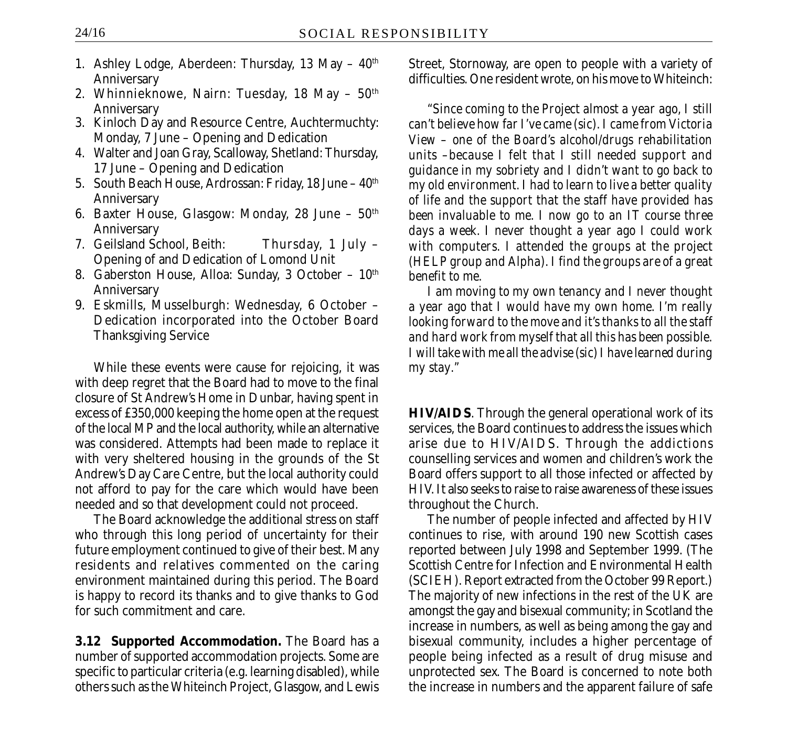- 1. Ashley Lodge, Aberdeen: Thursday, 13 May  $40<sup>th</sup>$ Anniversary
- 2. Whinnieknowe, Nairn: Tuesday, 18 May  $50<sup>th</sup>$ Anniversary
- 3. Kinloch Day and Resource Centre, Auchtermuchty: Monday, 7 June – Opening and Dedication
- 4. Walter and Joan Gray, Scalloway, Shetland: Thursday, 17 June – Opening and Dedication
- 5. South Beach House, Ardrossan: Friday, 18 June 40<sup>th</sup> Anniversary
- 6. Baxter House, Glasgow: Monday, 28 June  $50<sup>th</sup>$ Anniversary
- 7. Geilsland School, Beith: Thursday, 1 July Opening of and Dedication of Lomond Unit
- 8. Gaberston House, Alloa: Sunday, 3 October  $10<sup>th</sup>$ Anniversary
- 9. Eskmills, Musselburgh: Wednesday, 6 October Dedication incorporated into the October Board Thanksgiving Service

While these events were cause for rejoicing, it was with deep regret that the Board had to move to the final closure of St Andrew's Home in Dunbar, having spent in excess of £350,000 keeping the home open at the request of the local MP and the local authority, while an alternative was considered. Attempts had been made to replace it with very sheltered housing in the grounds of the St Andrew's Day Care Centre, but the local authority could not afford to pay for the care which would have been needed and so that development could not proceed.

The Board acknowledge the additional stress on staff who through this long period of uncertainty for their future employment continued to give of their best. Many residents and relatives commented on the caring environment maintained during this period. The Board is happy to record its thanks and to give thanks to God for such commitment and care.

**3.12 Supported Accommodation.** The Board has a number of supported accommodation projects. Some are specific to particular criteria (e.g. learning disabled), while others such as the Whiteinch Project, Glasgow, and Lewis Street, Stornoway, are open to people with a variety of difficulties. One resident wrote, on his move to Whiteinch:

*"Since coming to the Project almost a year ago, I still can't believe how far I've came (sic). I came from Victoria View – one of the Board's alcohol/drugs rehabilitation units –because I felt that I still needed support and guidance in my sobriety and I didn't want to go back to my old environment. I had to learn to live a better quality of life and the support that the staff have provided has been invaluable to me. I now go to an IT course three days a week. I never thought a year ago I could work with computers. I attended the groups at the project (HELP group and Alpha). I find the groups are of a great benefit to me.*

*I am moving to my own tenancy and I never thought a year ago that I would have my own home. I'm really looking forward to the move and it's thanks to all the staff and hard work from myself that all this has been possible. I will take with me all the advise (sic) I have learned during my stay."*

**HIV/AIDS**. Through the general operational work of its services, the Board continues to address the issues which arise due to HIV/AIDS. Through the addictions counselling services and women and children's work the Board offers support to all those infected or affected by HIV. It also seeks to raise to raise awareness of these issues throughout the Church.

The number of people infected and affected by HIV continues to rise, with around 190 new Scottish cases reported between July 1998 and September 1999. (The Scottish Centre for Infection and Environmental Health (SCIEH). Report extracted from the October 99 Report.) The majority of new infections in the rest of the UK are amongst the gay and bisexual community; in Scotland the increase in numbers, as well as being among the gay and bisexual community, includes a higher percentage of people being infected as a result of drug misuse and unprotected sex. The Board is concerned to note both the increase in numbers and the apparent failure of safe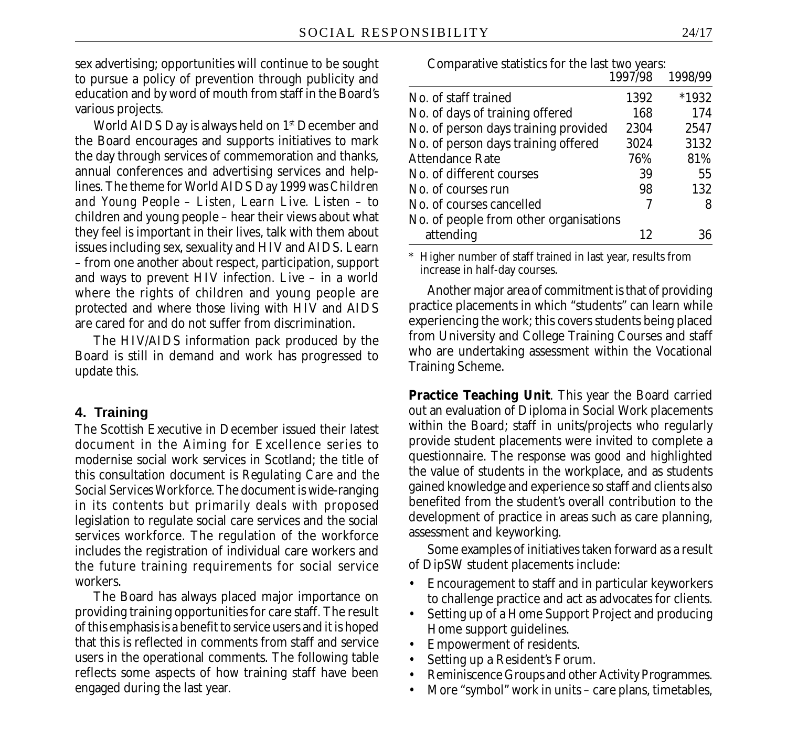sex advertising; opportunities will continue to be sought to pursue a policy of prevention through publicity and education and by word of mouth from staff in the Board's various projects.

World AIDS Day is always held on 1<sup>st</sup> December and the Board encourages and supports initiatives to mark the day through services of commemoration and thanks, annual conferences and advertising services and helplines. The theme for World AIDS Day 1999 was *Children and Young People – Listen, Learn Live*. Listen – to children and young people – hear their views about what they feel is important in their lives, talk with them about issues including sex, sexuality and HIV and AIDS. Learn – from one another about respect, participation, support and ways to prevent HIV infection. Live – in a world where the rights of children and young people are protected and where those living with HIV and AIDS are cared for and do not suffer from discrimination.

The HIV/AIDS information pack produced by the Board is still in demand and work has progressed to update this.

#### **4. Training**

The Scottish Executive in December issued their latest document in the Aiming for Excellence series to modernise social work services in Scotland; the title of this consultation document is *Regulating Care and the Social Services Workforce.* The document is wide-ranging in its contents but primarily deals with proposed legislation to regulate social care services and the social services workforce. The regulation of the workforce includes the registration of individual care workers and the future training requirements for social service workers.

The Board has always placed major importance on providing training opportunities for care staff. The result of this emphasis is a benefit to service users and it is hoped that this is reflected in comments from staff and service users in the operational comments. The following table reflects some aspects of how training staff have been engaged during the last year.

| Comparative statistics for the last two years: |         |         |
|------------------------------------------------|---------|---------|
|                                                | 1997/98 | 1998/99 |
| No. of staff trained                           | 1392    | $*1932$ |
| No. of days of training offered                | 168     | 174     |
| No. of person days training provided           | 2304    | 2547    |
| No. of person days training offered            | 3024    | 3132    |
| <b>Attendance Rate</b>                         | 76%     | 81%     |
| No. of different courses                       | 39      | 55      |
| No. of courses run                             | 98      | 132     |
| No. of courses cancelled                       |         | 8       |
| No. of people from other organisations         |         |         |
| attending                                      | 12      | 36      |

\* Higher number of staff trained in last year, results from increase in half-day courses.

Another major area of commitment is that of providing practice placements in which "students" can learn while experiencing the work; this covers students being placed from University and College Training Courses and staff who are undertaking assessment within the Vocational Training Scheme.

**Practice Teaching Unit**. This year the Board carried out an evaluation of Diploma in Social Work placements within the Board; staff in units/projects who regularly provide student placements were invited to complete a questionnaire. The response was good and highlighted the value of students in the workplace, and as students gained knowledge and experience so staff and clients also benefited from the student's overall contribution to the development of practice in areas such as care planning, assessment and keyworking.

Some examples of initiatives taken forward as a result of DipSW student placements include:

- Encouragement to staff and in particular keyworkers to challenge practice and act as advocates for clients.
- Setting up of a Home Support Project and producing Home support guidelines.
- Empowerment of residents.
- Setting up a Resident's Forum.
- Reminiscence Groups and other Activity Programmes.
- More "symbol" work in units care plans, timetables,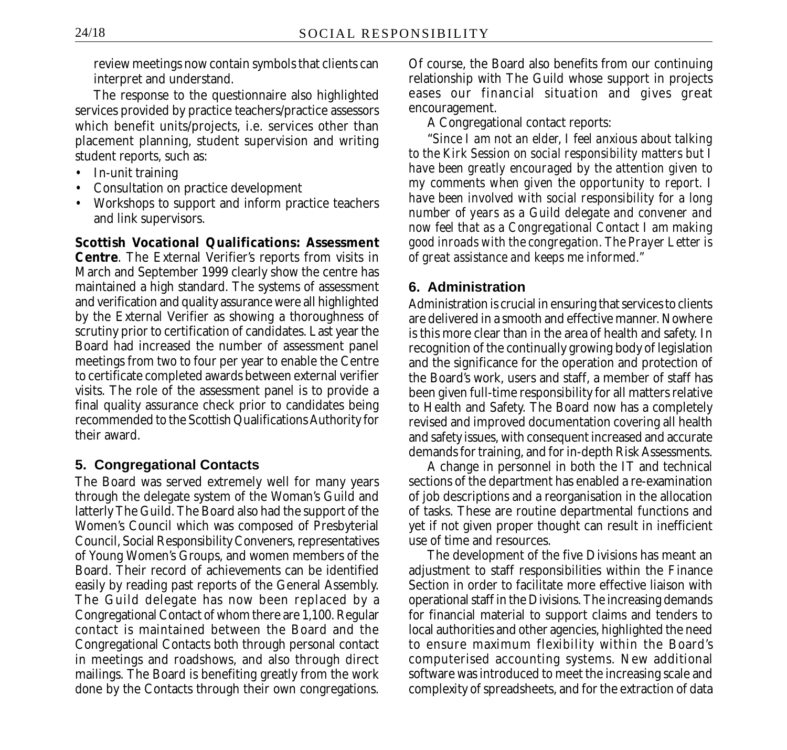review meetings now contain symbols that clients can interpret and understand.

The response to the questionnaire also highlighted services provided by practice teachers/practice assessors which benefit units/projects, i.e. services other than placement planning, student supervision and writing student reports, such as:

- In-unit training
- Consultation on practice development
- Workshops to support and inform practice teachers and link supervisors.

**Scottish Vocational Qualifications: Assessment Centre**. The External Verifier's reports from visits in March and September 1999 clearly show the centre has maintained a high standard. The systems of assessment and verification and quality assurance were all highlighted by the External Verifier as showing a thoroughness of scrutiny prior to certification of candidates. Last year the Board had increased the number of assessment panel meetings from two to four per year to enable the Centre to certificate completed awards between external verifier visits. The role of the assessment panel is to provide a final quality assurance check prior to candidates being recommended to the Scottish Qualifications Authority for their award.

# **5. Congregational Contacts**

The Board was served extremely well for many years through the delegate system of the Woman's Guild and latterly The Guild. The Board also had the support of the Women's Council which was composed of Presbyterial Council, Social Responsibility Conveners, representatives of Young Women's Groups, and women members of the Board. Their record of achievements can be identified easily by reading past reports of the General Assembly. The Guild delegate has now been replaced by a Congregational Contact of whom there are 1,100. Regular contact is maintained between the Board and the Congregational Contacts both through personal contact in meetings and roadshows, and also through direct mailings. The Board is benefiting greatly from the work done by the Contacts through their own congregations. Of course, the Board also benefits from our continuing relationship with The Guild whose support in projects eases our financial situation and gives great encouragement.

A Congregational contact reports:

"*Since I am not an elder, I feel anxious about talking to the Kirk Session on social responsibility matters but I have been greatly encouraged by the attention given to my comments when given the opportunity to report. I have been involved with social responsibility for a long number of years as a Guild delegate and convener and now feel that as a Congregational Contact I am making good inroads with the congregation. The Prayer Letter is of great assistance and keeps me informed."*

# **6. Administration**

Administration is crucial in ensuring that services to clients are delivered in a smooth and effective manner. Nowhere is this more clear than in the area of health and safety. In recognition of the continually growing body of legislation and the significance for the operation and protection of the Board's work, users and staff, a member of staff has been given full-time responsibility for all matters relative to Health and Safety. The Board now has a completely revised and improved documentation covering all health and safety issues, with consequent increased and accurate demands for training, and for in-depth Risk Assessments.

A change in personnel in both the IT and technical sections of the department has enabled a re-examination of job descriptions and a reorganisation in the allocation of tasks. These are routine departmental functions and yet if not given proper thought can result in inefficient use of time and resources.

The development of the five Divisions has meant an adjustment to staff responsibilities within the Finance Section in order to facilitate more effective liaison with operational staff in the Divisions. The increasing demands for financial material to support claims and tenders to local authorities and other agencies, highlighted the need to ensure maximum flexibility within the Board's computerised accounting systems. New additional software was introduced to meet the increasing scale and complexity of spreadsheets, and for the extraction of data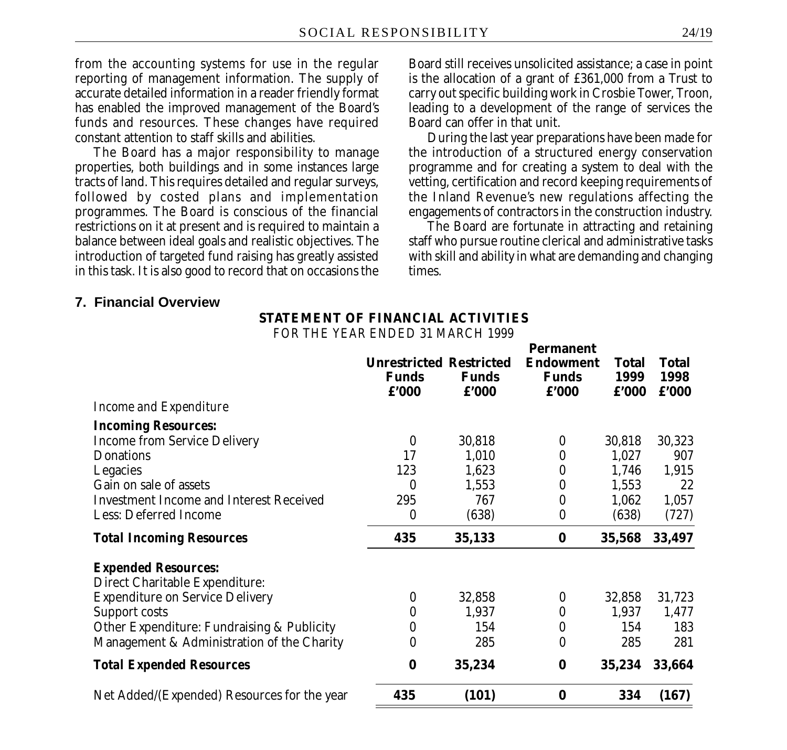from the accounting systems for use in the regular reporting of management information. The supply of accurate detailed information in a reader friendly format has enabled the improved management of the Board's funds and resources. These changes have required constant attention to staff skills and abilities.

The Board has a major responsibility to manage properties, both buildings and in some instances large tracts of land. This requires detailed and regular surveys, followed by costed plans and implementation programmes. The Board is conscious of the financial restrictions on it at present and is required to maintain a balance between ideal goals and realistic objectives. The introduction of targeted fund raising has greatly assisted in this task. It is also good to record that on occasions the

Board still receives unsolicited assistance; a case in point is the allocation of a grant of £361,000 from a Trust to carry out specific building work in Crosbie Tower, Troon, leading to a development of the range of services the Board can offer in that unit.

During the last year preparations have been made for the introduction of a structured energy conservation programme and for creating a system to deal with the vetting, certification and record keeping requirements of the Inland Revenue's new regulations affecting the engagements of contractors in the construction industry.

The Board are fortunate in attracting and retaining staff who pursue routine clerical and administrative tasks with skill and ability in what are demanding and changing times.

#### **7. Financial Overview**

### **STATEMENT OF FINANCIAL ACTIVITIES**

*FOR THE YEAR ENDED 31 MARCH 1999*

| <b>Funds</b><br>f'000 | <b>Funds</b><br>f'000 | Permanent<br><b>Funds</b><br>f'000 | <b>Total</b><br>1999 | <b>Total</b><br>1998<br>f'000                 |
|-----------------------|-----------------------|------------------------------------|----------------------|-----------------------------------------------|
|                       |                       |                                    |                      |                                               |
|                       |                       |                                    |                      |                                               |
| $\bf{0}$              | 30,818                | $\boldsymbol{0}$                   | 30,818               | 30,323                                        |
| 17                    | 1,010                 | 0                                  | 1,027                | 907                                           |
| 123                   | 1,623                 | 0                                  | 1,746                | 1,915                                         |
| $\mathbf{0}$          | 1,553                 | 0                                  | 1,553                | 22                                            |
| 295                   | 767                   | 0                                  | 1,062                | 1,057                                         |
| $\mathbf{0}$          | (638)                 | 0                                  | (638)                | (727)                                         |
| 435                   | 35,133                | $\bf{0}$                           |                      | 33,497                                        |
|                       |                       |                                    |                      |                                               |
|                       |                       |                                    |                      |                                               |
| $\bf{0}$              | 32,858                | $\boldsymbol{0}$                   | 32,858               | 31,723                                        |
| 0                     | 1,937                 | 0                                  | 1,937                | 1,477                                         |
| $\bf{0}$              | 154                   | 0                                  | 154                  | 183                                           |
| 0                     | 285                   | 0                                  | 285                  | 281                                           |
| $\bf{0}$              | 35,234                | $\bf{0}$                           |                      | 33,664                                        |
| 435                   | (101)                 | $\bf{0}$                           | 334                  | (167)                                         |
|                       |                       | <b>Unrestricted Restricted</b>     |                      | <b>Endowment</b><br>f'000<br>35,568<br>35,234 |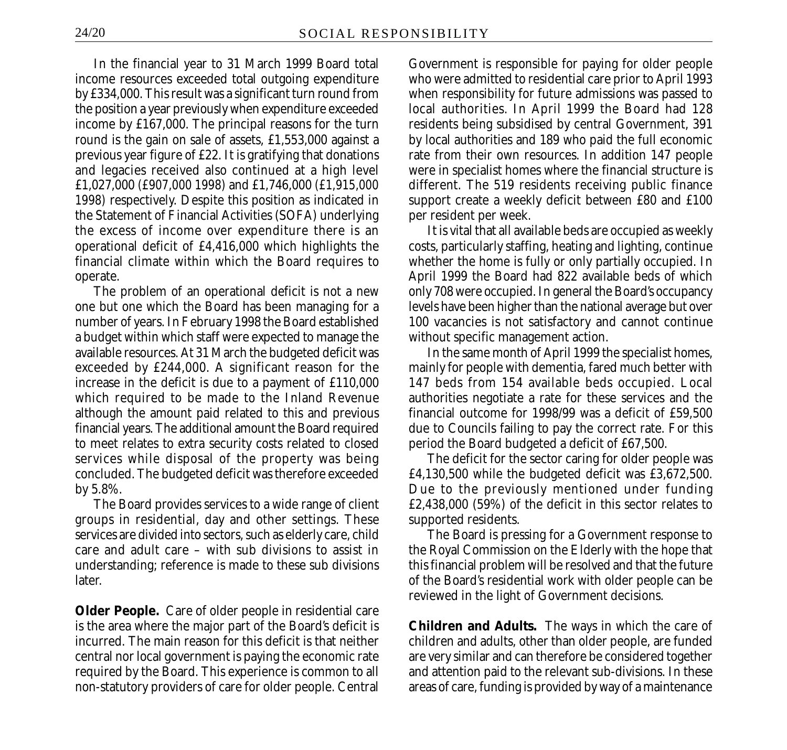In the financial year to 31 March 1999 Board total income resources exceeded total outgoing expenditure by £334,000. This result was a significant turn round from the position a year previously when expenditure exceeded income by £167,000. The principal reasons for the turn round is the gain on sale of assets, £1,553,000 against a previous year figure of £22. It is gratifying that donations and legacies received also continued at a high level £1,027,000 *(£907,000 1998)* and £1,746,000 *(£1,915,000 1998)* respectively. Despite this position as indicated in the Statement of Financial Activities (SOFA) underlying the excess of income over expenditure there is an operational deficit of £4,416,000 which highlights the financial climate within which the Board requires to operate.

The problem of an operational deficit is not a new one but one which the Board has been managing for a number of years. In February 1998 the Board established a budget within which staff were expected to manage the available resources. At 31 March the budgeted deficit was exceeded by £244,000. A significant reason for the increase in the deficit is due to a payment of £110,000 which required to be made to the Inland Revenue although the amount paid related to this and previous financial years. The additional amount the Board required to meet relates to extra security costs related to closed services while disposal of the property was being concluded. The budgeted deficit was therefore exceeded by 5.8%.

The Board provides services to a wide range of client groups in residential, day and other settings. These services are divided into sectors, such as elderly care, child care and adult care – with sub divisions to assist in understanding; reference is made to these sub divisions later.

**Older People.** Care of older people in residential care is the area where the major part of the Board's deficit is incurred. The main reason for this deficit is that neither central nor local government is paying the economic rate required by the Board. This experience is common to all non-statutory providers of care for older people. Central Government is responsible for paying for older people who were admitted to residential care prior to April 1993 when responsibility for future admissions was passed to local authorities. In April 1999 the Board had 128 residents being subsidised by central Government, 391 by local authorities and 189 who paid the full economic rate from their own resources. In addition 147 people were in specialist homes where the financial structure is different. The 519 residents receiving public finance support create a weekly deficit between £80 and £100 per resident per week.

It is vital that all available beds are occupied as weekly costs, particularly staffing, heating and lighting, continue whether the home is fully or only partially occupied. In April 1999 the Board had 822 available beds of which only 708 were occupied. In general the Board's occupancy levels have been higher than the national average but over 100 vacancies is not satisfactory and cannot continue without specific management action.

In the same month of April 1999 the specialist homes, mainly for people with dementia, fared much better with 147 beds from 154 available beds occupied. Local authorities negotiate a rate for these services and the financial outcome for 1998/99 was a deficit of £59,500 due to Councils failing to pay the correct rate. For this period the Board budgeted a deficit of £67,500.

The deficit for the sector caring for older people was £4,130,500 while the budgeted deficit was £3,672,500. Due to the previously mentioned under funding £2,438,000 (59%) of the deficit in this sector relates to supported residents.

The Board is pressing for a Government response to the Royal Commission on the Elderly with the hope that this financial problem will be resolved and that the future of the Board's residential work with older people can be reviewed in the light of Government decisions.

**Children and Adults.** The ways in which the care of children and adults, other than older people, are funded are very similar and can therefore be considered together and attention paid to the relevant sub-divisions. In these areas of care, funding is provided by way of a maintenance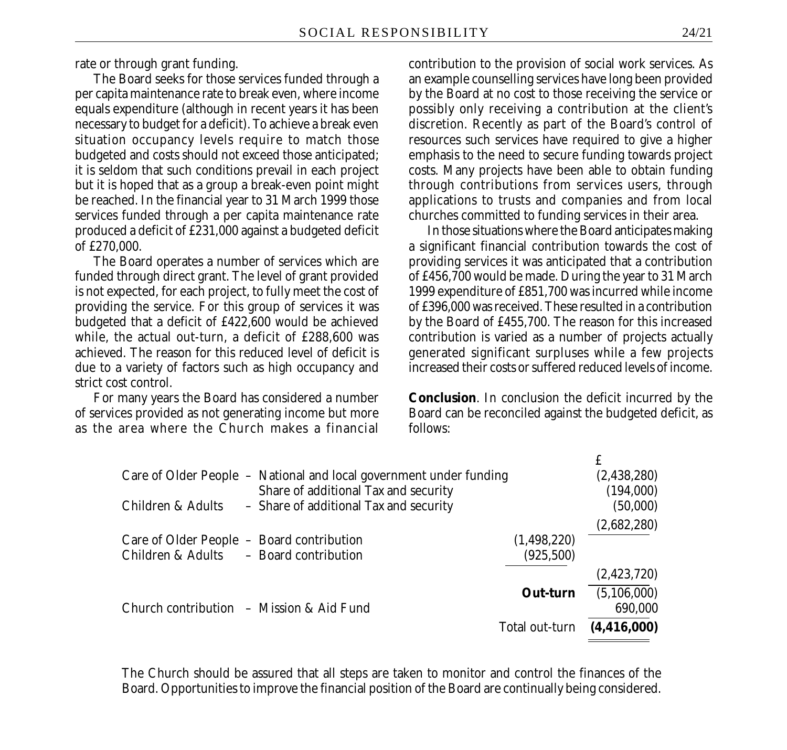rate or through grant funding.

The Board seeks for those services funded through a per capita maintenance rate to break even, where income equals expenditure (although in recent years it has been necessary to budget for a deficit). To achieve a break even situation occupancy levels require to match those budgeted and costs should not exceed those anticipated; it is seldom that such conditions prevail in each project but it is hoped that as a group a break-even point might be reached. In the financial year to 31 March 1999 those services funded through a per capita maintenance rate produced a deficit of £231,000 against a budgeted deficit of £270,000.

The Board operates a number of services which are funded through direct grant. The level of grant provided is not expected, for each project, to fully meet the cost of providing the service. For this group of services it was budgeted that a deficit of £422,600 would be achieved while, the actual out-turn, a deficit of £288,600 was achieved. The reason for this reduced level of deficit is due to a variety of factors such as high occupancy and strict cost control.

For many years the Board has considered a number of services provided as not generating income but more as the area where the Church makes a financial

contribution to the provision of social work services. As an example counselling services have long been provided by the Board at no cost to those receiving the service or possibly only receiving a contribution at the client's discretion. Recently as part of the Board's control of resources such services have required to give a higher emphasis to the need to secure funding towards project costs. Many projects have been able to obtain funding through contributions from services users, through applications to trusts and companies and from local churches committed to funding services in their area.

In those situations where the Board anticipates making a significant financial contribution towards the cost of providing services it was anticipated that a contribution of £456,700 would be made. During the year to 31 March 1999 expenditure of £851,700 was incurred while income of £396,000 was received. These resulted in a contribution by the Board of £455,700. The reason for this increased contribution is varied as a number of projects actually generated significant surpluses while a few projects increased their costs or suffered reduced levels of income.

**Conclusion**. In conclusion the deficit incurred by the Board can be reconciled against the budgeted deficit, as follows:

£

|                                      |                                                                                                                                                                             | (2,438,280)                                                                                         |
|--------------------------------------|-----------------------------------------------------------------------------------------------------------------------------------------------------------------------------|-----------------------------------------------------------------------------------------------------|
| Share of additional Tax and security |                                                                                                                                                                             | (194,000)                                                                                           |
|                                      |                                                                                                                                                                             | (50,000)                                                                                            |
|                                      |                                                                                                                                                                             | (2,682,280)                                                                                         |
|                                      |                                                                                                                                                                             |                                                                                                     |
|                                      | (925, 500)                                                                                                                                                                  |                                                                                                     |
|                                      |                                                                                                                                                                             | (2,423,720)                                                                                         |
|                                      | Out-turn                                                                                                                                                                    | (5, 106, 000)                                                                                       |
|                                      |                                                                                                                                                                             | 690,000                                                                                             |
|                                      |                                                                                                                                                                             | (4, 416, 000)                                                                                       |
|                                      | - Share of additional Tax and security<br>Care of Older People - Board contribution<br>Children & Adults - Board contribution<br>Church contribution $-$ Mission & Aid Fund | Care of Older People - National and local government under funding<br>(1,498,220)<br>Total out-turn |

The Church should be assured that all steps are taken to monitor and control the finances of the Board. Opportunities to improve the financial position of the Board are continually being considered.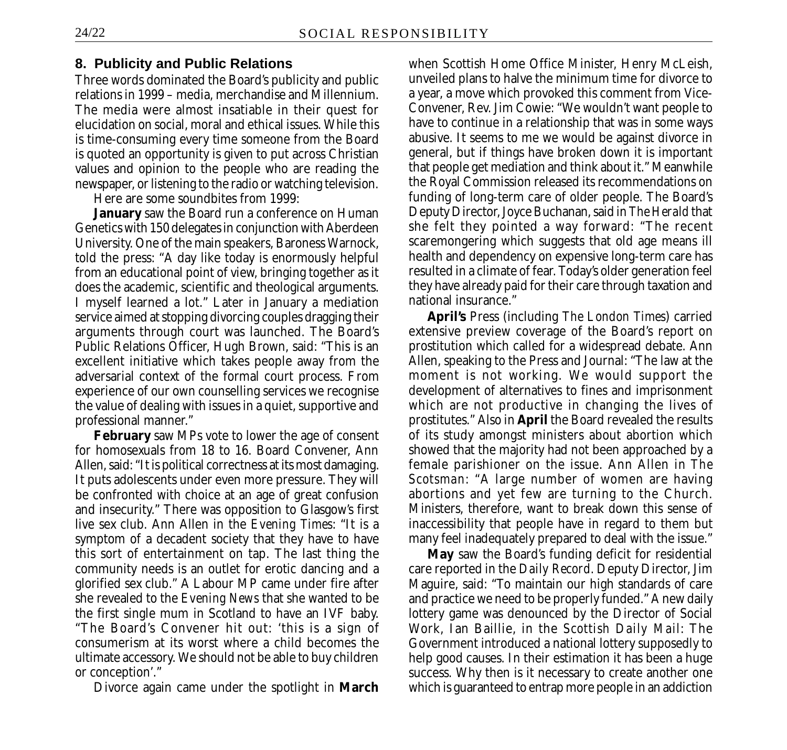### **8. Publicity and Public Relations**

Three words dominated the Board's publicity and public relations in 1999 – media, merchandise and Millennium. The media were almost insatiable in their quest for elucidation on social, moral and ethical issues. While this is time-consuming every time someone from the Board is quoted an opportunity is given to put across Christian values and opinion to the people who are reading the newspaper, or listening to the radio or watching television.

Here are some soundbites from 1999:

**January** saw the Board run a conference on Human Genetics with 150 delegates in conjunction with Aberdeen University. One of the main speakers, Baroness Warnock, told the press: "A day like today is enormously helpful from an educational point of view, bringing together as it does the academic, scientific and theological arguments. I myself learned a lot." Later in January a mediation service aimed at stopping divorcing couples dragging their arguments through court was launched. The Board's Public Relations Officer, Hugh Brown, said: "This is an excellent initiative which takes people away from the adversarial context of the formal court process. From experience of our own counselling services we recognise the value of dealing with issues in a quiet, supportive and professional manner."

**February** saw MPs vote to lower the age of consent for homosexuals from 18 to 16. Board Convener, Ann Allen, said: "It is political correctness at its most damaging. It puts adolescents under even more pressure. They will be confronted with choice at an age of great confusion and insecurity." There was opposition to Glasgow's first live sex club. Ann Allen in the *Evening Times*: "It is a symptom of a decadent society that they have to have this sort of entertainment on tap. The last thing the community needs is an outlet for erotic dancing and a glorified sex club." A Labour MP came under fire after she revealed to the *Evening News* that she wanted to be the first single mum in Scotland to have an IVF baby. "The Board's Convener hit out: 'this is a sign of consumerism at its worst where a child becomes the ultimate accessory. We should not be able to buy children or conception'."

Divorce again came under the spotlight in **March**

when Scottish Home Office Minister, Henry McLeish, unveiled plans to halve the minimum time for divorce to a year, a move which provoked this comment from Vice-Convener, Rev. Jim Cowie: "We wouldn't want people to have to continue in a relationship that was in some ways abusive. It seems to me we would be against divorce in general, but if things have broken down it is important that people get mediation and think about it." Meanwhile the Royal Commission released its recommendations on funding of long-term care of older people. The Board's Deputy Director, Joyce Buchanan, said in *The Herald* that she felt they pointed a way forward: "The recent scaremongering which suggests that old age means ill health and dependency on expensive long-term care has resulted in a climate of fear. Today's older generation feel they have already paid for their care through taxation and national insurance."

**April's** Press (including *The London Times*) carried extensive preview coverage of the Board's report on prostitution which called for a widespread debate. Ann Allen, speaking to the Press and Journal: "The law at the moment is not working. We would support the development of alternatives to fines and imprisonment which are not productive in changing the lives of prostitutes." Also in **April** the Board revealed the results of its study amongst ministers about abortion which showed that the majority had not been approached by a female parishioner on the issue. Ann Allen in *The Scotsman*: "A large number of women are having abortions and yet few are turning to the Church. Ministers, therefore, want to break down this sense of inaccessibility that people have in regard to them but many feel inadequately prepared to deal with the issue."

**May** saw the Board's funding deficit for residential care reported in the *Daily Record*. Deputy Director, Jim Maguire, said: "To maintain our high standards of care and practice we need to be properly funded." A new daily lottery game was denounced by the Director of Social Work, Ian Baillie, in the *Scottish Daily Mail*: The Government introduced a national lottery supposedly to help good causes. In their estimation it has been a huge success. Why then is it necessary to create another one which is guaranteed to entrap more people in an addiction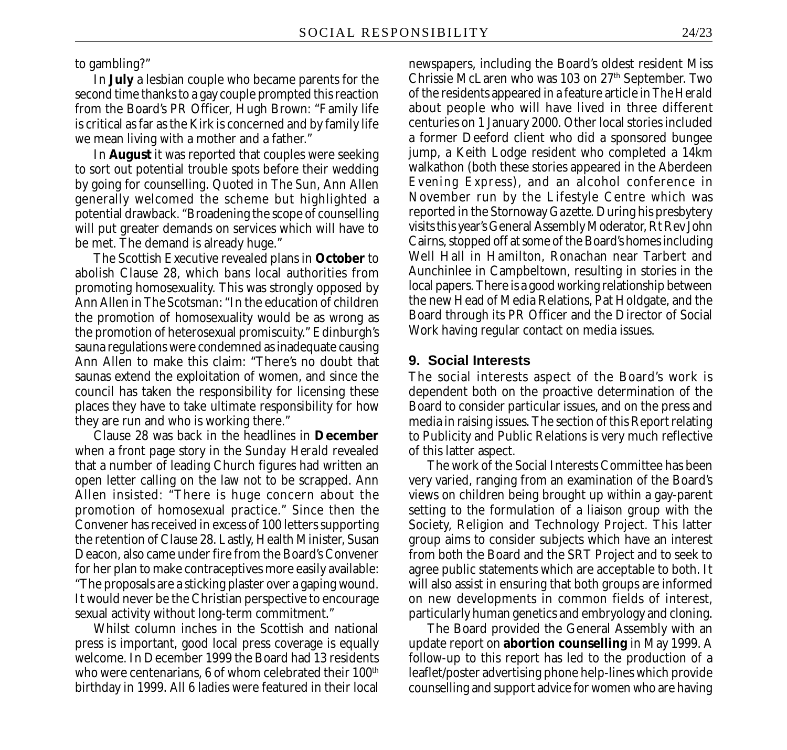to gambling?"

In **July** a lesbian couple who became parents for the second time thanks to a gay couple prompted this reaction from the Board's PR Officer, Hugh Brown: "Family life is critical as far as the Kirk is concerned and by family life we mean living with a mother and a father."

In **August** it was reported that couples were seeking to sort out potential trouble spots before their wedding by going for counselling. Quoted in *The Sun,* Ann Allen generally welcomed the scheme but highlighted a potential drawback. "Broadening the scope of counselling will put greater demands on services which will have to be met. The demand is already huge."

The Scottish Executive revealed plans in **October** to abolish Clause 28, which bans local authorities from promoting homosexuality. This was strongly opposed by Ann Allen in *The Scotsman*: "In the education of children the promotion of homosexuality would be as wrong as the promotion of heterosexual promiscuity." Edinburgh's sauna regulations were condemned as inadequate causing Ann Allen to make this claim: "There's no doubt that saunas extend the exploitation of women, and since the council has taken the responsibility for licensing these places they have to take ultimate responsibility for how they are run and who is working there."

Clause 28 was back in the headlines in **December** when a front page story in the *Sunday Herald* revealed that a number of leading Church figures had written an open letter calling on the law not to be scrapped. Ann Allen insisted: "There is huge concern about the promotion of homosexual practice." Since then the Convener has received in excess of 100 letters supporting the retention of Clause 28. Lastly, Health Minister, Susan Deacon, also came under fire from the Board's Convener for her plan to make contraceptives more easily available: "The proposals are a sticking plaster over a gaping wound. It would never be the Christian perspective to encourage sexual activity without long-term commitment."

Whilst column inches in the Scottish and national press is important, good local press coverage is equally welcome. In December 1999 the Board had 13 residents who were centenarians, 6 of whom celebrated their  $100<sup>th</sup>$ birthday in 1999. All 6 ladies were featured in their local newspapers, including the Board's oldest resident Miss Chrissie McLaren who was 103 on 27<sup>th</sup> September. Two of the residents appeared in a feature article in *The Herald* about people who will have lived in three different centuries on 1 January 2000. Other local stories included a former Deeford client who did a sponsored bungee jump, a Keith Lodge resident who completed a 14km walkathon (both these stories appeared in the Aberdeen *Evening Express*), and an alcohol conference in November run by the Lifestyle Centre which was reported in the Stornoway *Gazette.* During his presbytery visits this year's General Assembly Moderator, Rt Rev John Cairns, stopped off at some of the Board's homes including Well Hall in Hamilton, Ronachan near Tarbert and Aunchinlee in Campbeltown, resulting in stories in the local papers. There is a good working relationship between the new Head of Media Relations, Pat Holdgate, and the Board through its PR Officer and the Director of Social Work having regular contact on media issues.

#### **9. Social Interests**

The social interests aspect of the Board's work is dependent both on the proactive determination of the Board to consider particular issues, and on the press and media in raising issues. The section of this Report relating to Publicity and Public Relations is very much reflective of this latter aspect.

The work of the Social Interests Committee has been very varied, ranging from an examination of the Board's views on children being brought up within a gay-parent setting to the formulation of a liaison group with the Society, Religion and Technology Project. This latter group aims to consider subjects which have an interest from both the Board and the SRT Project and to seek to agree public statements which are acceptable to both. It will also assist in ensuring that both groups are informed on new developments in common fields of interest, particularly human genetics and embryology and cloning.

The Board provided the General Assembly with an update report on **abortion counselling** in May 1999. A follow-up to this report has led to the production of a leaflet/poster advertising phone help-lines which provide counselling and support advice for women who are having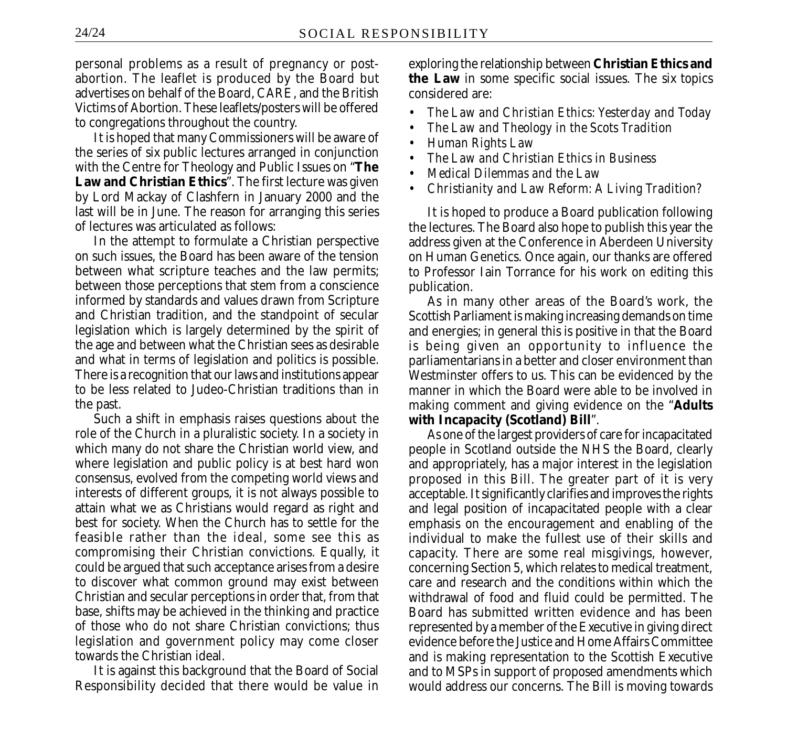personal problems as a result of pregnancy or postabortion. The leaflet is produced by the Board but advertises on behalf of the Board, CARE, and the British Victims of Abortion. These leaflets/posters will be offered to congregations throughout the country.

It is hoped that many Commissioners will be aware of the series of six public lectures arranged in conjunction with the Centre for Theology and Public Issues on "**The Law and Christian Ethics**". The first lecture was given by Lord Mackay of Clashfern in January 2000 and the last will be in June. The reason for arranging this series of lectures was articulated as follows:

In the attempt to formulate a Christian perspective on such issues, the Board has been aware of the tension between what scripture teaches and the law permits; between those perceptions that stem from a conscience informed by standards and values drawn from Scripture and Christian tradition, and the standpoint of secular legislation which is largely determined by the spirit of the age and between what the Christian sees as desirable and what in terms of legislation and politics is possible. There is a recognition that our laws and institutions appear to be less related to Judeo-Christian traditions than in the past.

Such a shift in emphasis raises questions about the role of the Church in a pluralistic society. In a society in which many do not share the Christian world view, and where legislation and public policy is at best hard won consensus, evolved from the competing world views and interests of different groups, it is not always possible to attain what we as Christians would regard as right and best for society. When the Church has to settle for the feasible rather than the ideal, some see this as compromising their Christian convictions. Equally, it could be argued that such acceptance arises from a desire to discover what common ground may exist between Christian and secular perceptions in order that, from that base, shifts may be achieved in the thinking and practice of those who do not share Christian convictions; thus legislation and government policy may come closer towards the Christian ideal.

It is against this background that the Board of Social Responsibility decided that there would be value in exploring the relationship between **Christian Ethics and the Law** in some specific social issues. The six topics considered are:

- *The Law and Christian Ethics: Yesterday and Today*
- *The Law and Theology in the Scots Tradition*
- *Human Rights Law*
- *The Law and Christian Ethics in Business*
- *Medical Dilemmas and the Law*
- *Christianity and Law Reform: A Living Tradition?*

It is hoped to produce a Board publication following the lectures. The Board also hope to publish this year the address given at the Conference in Aberdeen University on Human Genetics. Once again, our thanks are offered to Professor Iain Torrance for his work on editing this publication.

As in many other areas of the Board's work, the Scottish Parliament is making increasing demands on time and energies; in general this is positive in that the Board is being given an opportunity to influence the parliamentarians in a better and closer environment than Westminster offers to us. This can be evidenced by the manner in which the Board were able to be involved in making comment and giving evidence on the "**Adults with Incapacity (Scotland) Bill**".

As one of the largest providers of care for incapacitated people in Scotland outside the NHS the Board, clearly and appropriately, has a major interest in the legislation proposed in this Bill. The greater part of it is very acceptable. It significantly clarifies and improves the rights and legal position of incapacitated people with a clear emphasis on the encouragement and enabling of the individual to make the fullest use of their skills and capacity. There are some real misgivings, however, concerning Section 5, which relates to medical treatment, care and research and the conditions within which the withdrawal of food and fluid could be permitted. The Board has submitted written evidence and has been represented by a member of the Executive in giving direct evidence before the Justice and Home Affairs Committee and is making representation to the Scottish Executive and to MSPs in support of proposed amendments which would address our concerns. The Bill is moving towards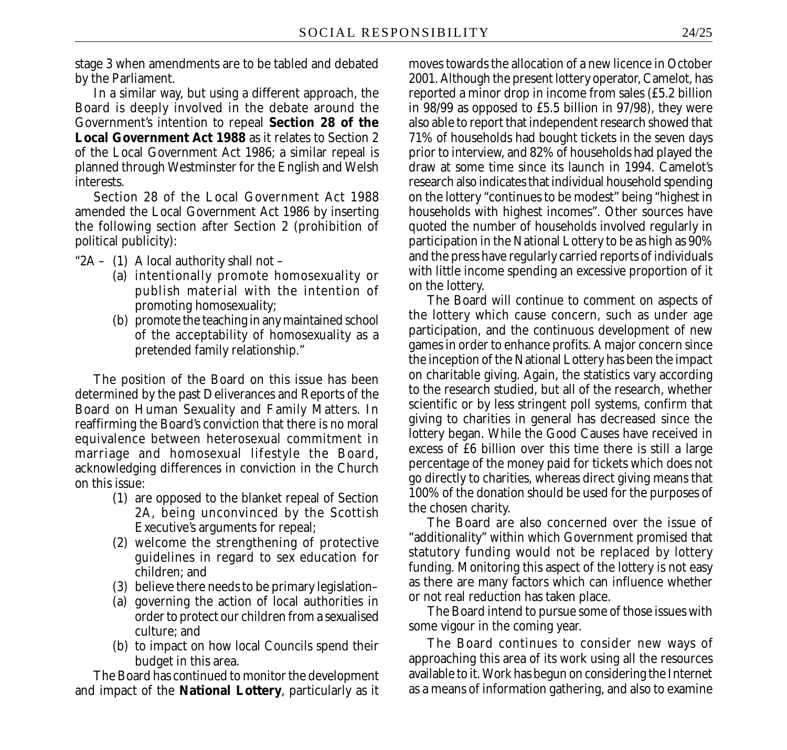stage 3 when amendments are to be tabled and debated by the Parliament.

In a similar way, but using a different approach, the Board is deeply involved in the debate around the Government's intention to repeal **Section 28 of the Local Government Act 1988** as it relates to Section 2 of the Local Government Act 1986; a similar repeal is planned through Westminster for the English and Welsh interests.

Section 28 of the Local Government Act 1988 amended the Local Government Act 1986 by inserting the following section after Section 2 (prohibition of political publicity):

" $2A - (1)$  A local authority shall not –

- (a) intentionally promote homosexuality or publish material with the intention of promoting homosexuality;
- (b) promote the teaching in any maintained school of the acceptability of homosexuality as a pretended family relationship."

The position of the Board on this issue has been determined by the past Deliverances and Reports of the Board on Human Sexuality and Family Matters. In reaffirming the Board's conviction that there is no moral equivalence between heterosexual commitment in marriage and homosexual lifestyle the Board, acknowledging differences in conviction in the Church on this issue:

- (1) are opposed to the blanket repeal of Section 2A, being unconvinced by the Scottish Executive's arguments for repeal;
- (2) welcome the strengthening of protective guidelines in regard to sex education for children; and
- (3) believe there needs to be primary legislation–
- (a) governing the action of local authorities in order to protect our children from a sexualised culture; and
- (b) to impact on how local Councils spend their budget in this area.

The Board has continued to monitor the development and impact of the **National Lottery**, particularly as it

moves towards the allocation of a new licence in October 2001. Although the present lottery operator, Camelot, has reported a minor drop in income from sales (£5.2 billion in 98/99 as opposed to £5.5 billion in 97/98), they were also able to report that independent research showed that 71% of households had bought tickets in the seven days prior to interview, and 82% of households had played the draw at some time since its launch in 1994. Camelot's research also indicates that individual household spending on the lottery "continues to be modest" being "highest in households with highest incomes". Other sources have quoted the number of households involved regularly in participation in the National Lottery to be as high as 90% and the press have regularly carried reports of individuals with little income spending an excessive proportion of it on the lottery.

The Board will continue to comment on aspects of the lottery which cause concern, such as under age participation, and the continuous development of new games in order to enhance profits. A major concern since the inception of the National Lottery has been the impact on charitable giving. Again, the statistics vary according to the research studied, but all of the research, whether scientific or by less stringent poll systems, confirm that giving to charities in general has decreased since the lottery began. While the Good Causes have received in excess of £6 billion over this time there is still a large percentage of the money paid for tickets which does not go directly to charities, whereas direct giving means that 100% of the donation should be used for the purposes of the chosen charity.

The Board are also concerned over the issue of "additionality" within which Government promised that statutory funding would not be replaced by lottery funding. Monitoring this aspect of the lottery is not easy as there are many factors which can influence whether or not real reduction has taken place.

The Board intend to pursue some of those issues with some vigour in the coming year.

The Board continues to consider new ways of approaching this area of its work using all the resources available to it. Work has begun on considering the Internet as a means of information gathering, and also to examine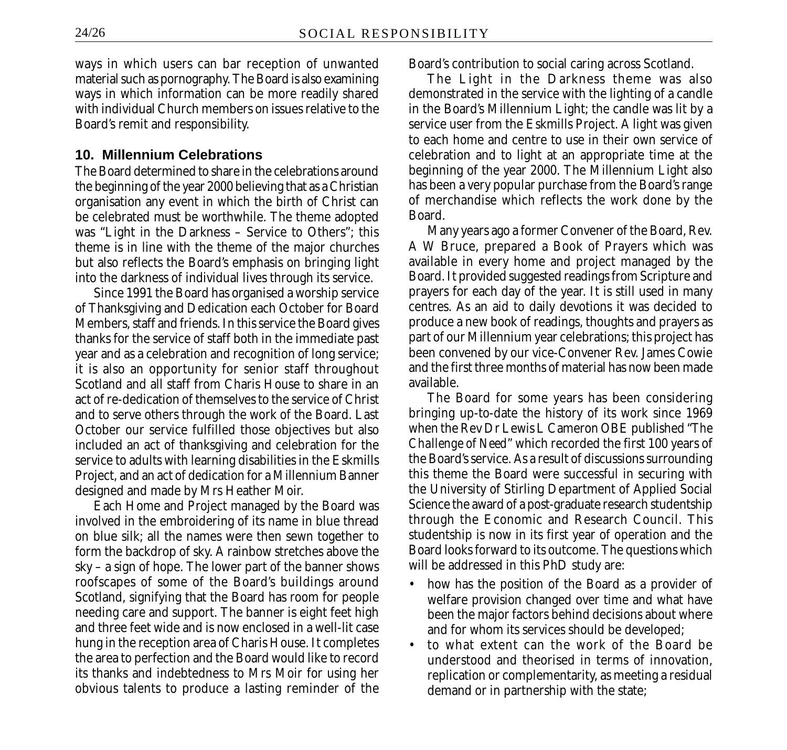ways in which users can bar reception of unwanted material such as pornography. The Board is also examining ways in which information can be more readily shared with individual Church members on issues relative to the Board's remit and responsibility.

#### **10. Millennium Celebrations**

The Board determined to share in the celebrations around the beginning of the year 2000 believing that as a Christian organisation any event in which the birth of Christ can be celebrated must be worthwhile. The theme adopted was "Light in the Darkness – Service to Others"; this theme is in line with the theme of the major churches but also reflects the Board's emphasis on bringing light into the darkness of individual lives through its service.

Since 1991 the Board has organised a worship service of Thanksgiving and Dedication each October for Board Members, staff and friends. In this service the Board gives thanks for the service of staff both in the immediate past year and as a celebration and recognition of long service; it is also an opportunity for senior staff throughout Scotland and all staff from Charis House to share in an act of re-dedication of themselves to the service of Christ and to serve others through the work of the Board. Last October our service fulfilled those objectives but also included an act of thanksgiving and celebration for the service to adults with learning disabilities in the Eskmills Project, and an act of dedication for a Millennium Banner designed and made by Mrs Heather Moir.

Each Home and Project managed by the Board was involved in the embroidering of its name in blue thread on blue silk; all the names were then sewn together to form the backdrop of sky. A rainbow stretches above the sky – a sign of hope. The lower part of the banner shows roofscapes of some of the Board's buildings around Scotland, signifying that the Board has room for people needing care and support. The banner is eight feet high and three feet wide and is now enclosed in a well-lit case hung in the reception area of Charis House. It completes the area to perfection and the Board would like to record its thanks and indebtedness to Mrs Moir for using her obvious talents to produce a lasting reminder of the Board's contribution to social caring across Scotland.

The Light in the Darkness theme was also demonstrated in the service with the lighting of a candle in the Board's Millennium Light; the candle was lit by a service user from the Eskmills Project. A light was given to each home and centre to use in their own service of celebration and to light at an appropriate time at the beginning of the year 2000. The Millennium Light also has been a very popular purchase from the Board's range of merchandise which reflects the work done by the Board.

Many years ago a former Convener of the Board, Rev. A W Bruce, prepared a Book of Prayers which was available in every home and project managed by the Board. It provided suggested readings from Scripture and prayers for each day of the year. It is still used in many centres. As an aid to daily devotions it was decided to produce a new book of readings, thoughts and prayers as part of our Millennium year celebrations; this project has been convened by our vice-Convener Rev. James Cowie and the first three months of material has now been made available.

The Board for some years has been considering bringing up-to-date the history of its work since 1969 when the Rev Dr Lewis L Cameron OBE published "*The Challenge of Need*" which recorded the first 100 years of the Board's service. As a result of discussions surrounding this theme the Board were successful in securing with the University of Stirling Department of Applied Social Science the award of a post-graduate research studentship through the Economic and Research Council. This studentship is now in its first year of operation and the Board looks forward to its outcome. The questions which will be addressed in this PhD study are:

- how has the position of the Board as a provider of welfare provision changed over time and what have been the major factors behind decisions about where and for whom its services should be developed;
- to what extent can the work of the Board be understood and theorised in terms of innovation, replication or complementarity, as meeting a residual demand or in partnership with the state;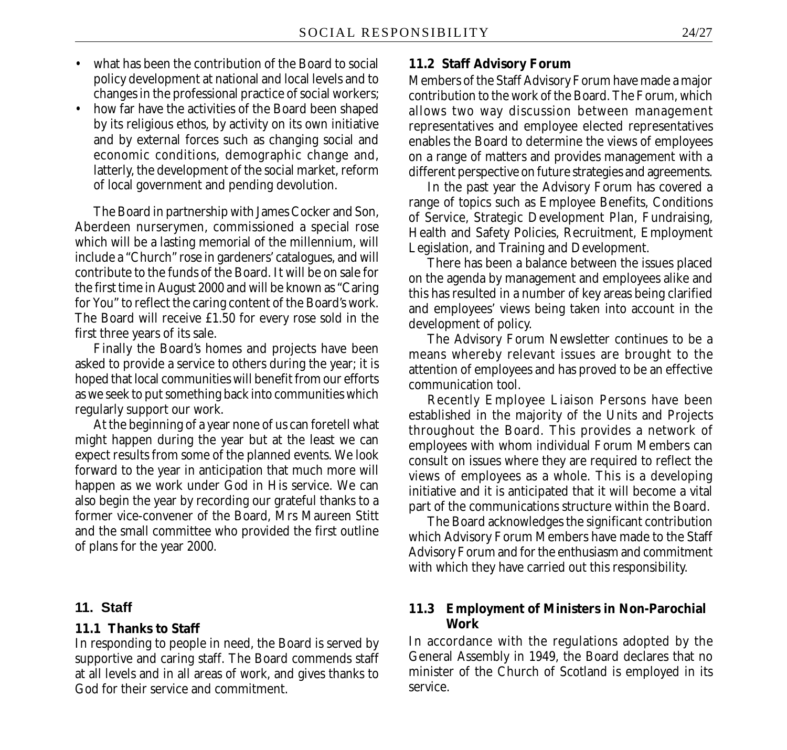- what has been the contribution of the Board to social policy development at national and local levels and to changes in the professional practice of social workers;
- how far have the activities of the Board been shaped by its religious ethos, by activity on its own initiative and by external forces such as changing social and economic conditions, demographic change and, latterly, the development of the social market, reform of local government and pending devolution.

The Board in partnership with James Cocker and Son, Aberdeen nurserymen, commissioned a special rose which will be a lasting memorial of the millennium, will include a "Church" rose in gardeners' catalogues, and will contribute to the funds of the Board. It will be on sale for the first time in August 2000 and will be known as "Caring for You" to reflect the caring content of the Board's work. The Board will receive £1.50 for every rose sold in the first three years of its sale.

Finally the Board's homes and projects have been asked to provide a service to others during the year; it is hoped that local communities will benefit from our efforts as we seek to put something back into communities which regularly support our work.

At the beginning of a year none of us can foretell what might happen during the year but at the least we can expect results from some of the planned events. We look forward to the year in anticipation that much more will happen as we work under God in His service. We can also begin the year by recording our grateful thanks to a former vice-convener of the Board, Mrs Maureen Stitt and the small committee who provided the first outline of plans for the year 2000.

#### **11. Staff**

#### **11.1 Thanks to Staff**

In responding to people in need, the Board is served by supportive and caring staff. The Board commends staff at all levels and in all areas of work, and gives thanks to God for their service and commitment.

#### **11.2 Staff Advisory Forum**

Members of the Staff Advisory Forum have made a major contribution to the work of the Board. The Forum, which allows two way discussion between management representatives and employee elected representatives enables the Board to determine the views of employees on a range of matters and provides management with a different perspective on future strategies and agreements.

In the past year the Advisory Forum has covered a range of topics such as Employee Benefits, Conditions of Service, Strategic Development Plan, Fundraising, Health and Safety Policies, Recruitment, Employment Legislation, and Training and Development.

There has been a balance between the issues placed on the agenda by management and employees alike and this has resulted in a number of key areas being clarified and employees' views being taken into account in the development of policy.

The Advisory Forum Newsletter continues to be a means whereby relevant issues are brought to the attention of employees and has proved to be an effective communication tool.

Recently Employee Liaison Persons have been established in the majority of the Units and Projects throughout the Board. This provides a network of employees with whom individual Forum Members can consult on issues where they are required to reflect the views of employees as a whole. This is a developing initiative and it is anticipated that it will become a vital part of the communications structure within the Board.

The Board acknowledges the significant contribution which Advisory Forum Members have made to the Staff Advisory Forum and for the enthusiasm and commitment with which they have carried out this responsibility.

#### **11.3 Employment of Ministers in Non-Parochial Work**

In accordance with the regulations adopted by the General Assembly in 1949, the Board declares that no minister of the Church of Scotland is employed in its service.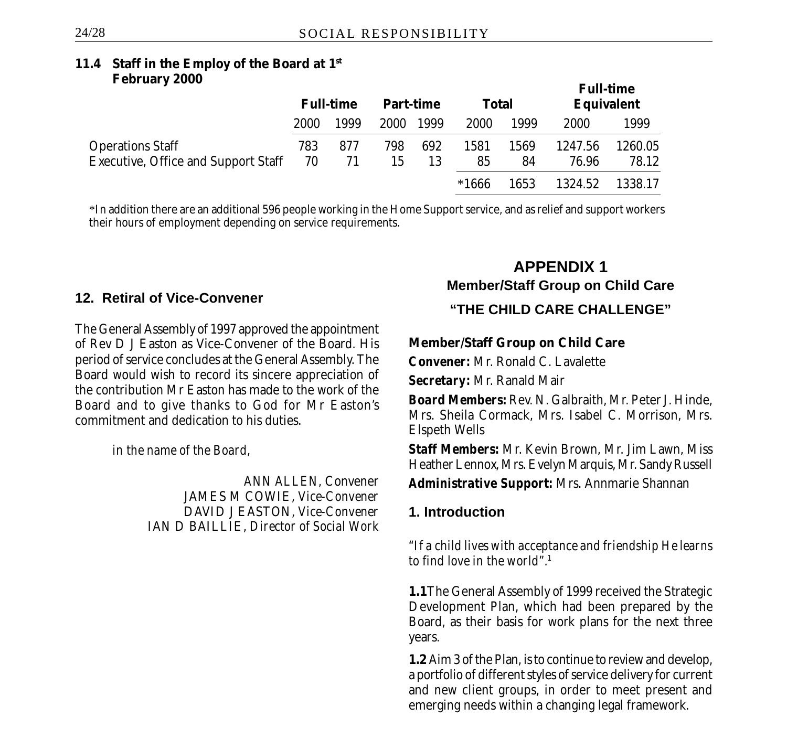#### **11.4 Staff in the Employ of the Board at 1st February 2000**

|                                            |      |                  |      |                  |              |      |                   | <b>Full-time</b> |
|--------------------------------------------|------|------------------|------|------------------|--------------|------|-------------------|------------------|
|                                            |      | <b>Full-time</b> |      | <b>Part-time</b> | <b>Total</b> |      | <b>Equivalent</b> |                  |
|                                            | 2000 | 1999             | 2000 | 1999             | 2000         | 1999 | 2000              | 1999             |
| <b>Operations Staff</b>                    | 783  | 877              | 798  | 692              | 1581         | 1569 | 1247.56           | 1260.05          |
| <b>Executive, Office and Support Staff</b> | 70   | 71               | 15   | 13               | 85           | 84   | 76.96             | 78.12            |
|                                            |      |                  |      |                  | *1666        | 1653 | 1324.52           | 1338.17          |

\*In addition there are an additional 596 people working in the Home Support service, and as relief and support workers their hours of employment depending on service requirements.

### **12. Retiral of Vice-Convener**

The General Assembly of 1997 approved the appointment of Rev D J Easton as Vice-Convener of the Board. His period of service concludes at the General Assembly. The Board would wish to record its sincere appreciation of the contribution Mr Easton has made to the work of the Board and to give thanks to God for Mr Easton's commitment and dedication to his duties.

*in the name of the Board,*

*ANN ALLEN,* Convener JAMES M COWIE, *Vice-Convener* DAVID J EASTON, *Vice-Convener* IAN D BAILLIE, *Director of Social Work*

# **APPENDIX 1 Member/Staff Group on Child Care "THE CHILD CARE CHALLENGE"**

### **Member/Staff Group on Child Care**

*Convener:* Mr. Ronald C. Lavalette

*Secretary:* Mr. Ranald Mair

*Board Members:* Rev. N. Galbraith, Mr. Peter J. Hinde, Mrs. Sheila Cormack, Mrs. Isabel C. Morrison, Mrs. Elspeth Wells

*Staff Members:* Mr. Kevin Brown, Mr. Jim Lawn, Miss Heather Lennox, Mrs. Evelyn Marquis, Mr. Sandy Russell

*Administrative Support:* Mrs. Annmarie Shannan

### **1. Introduction**

*"If a child lives with acceptance and friendship He learns to find love in the world"*. 1

**1.1**The General Assembly of 1999 received the Strategic Development Plan, which had been prepared by the Board, as their basis for work plans for the next three years.

**1.2** Aim 3 of the Plan, is to continue to review and develop, a portfolio of different styles of service delivery for current and new client groups, in order to meet present and emerging needs within a changing legal framework.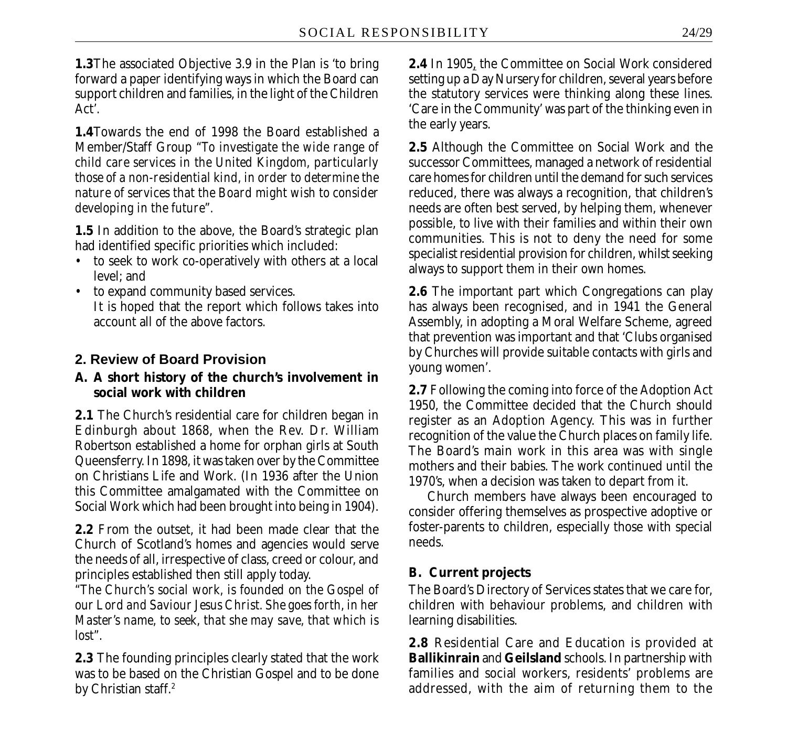**1.3**The associated Objective 3.9 in the Plan is 'to bring forward a paper identifying ways in which the Board can support children and families, in the light of the Children Act'.

**1.4**Towards the end of 1998 the Board established a Member/Staff Group *"To investigate the wide range of child care services in the United Kingdom, particularly those of a non-residential kind, in order to determine the nature of services that the Board might wish to consider developing in the future".*

**1.5** In addition to the above, the Board's strategic plan had identified specific priorities which included:

- to seek to work co-operatively with others at a local level; and
- to expand community based services. It is hoped that the report which follows takes into account all of the above factors.

# **2. Review of Board Provision**

### **A. A short history of the church's involvement in social work with children**

**2.1** The Church's residential care for children began in Edinburgh about 1868, when the Rev. Dr. William Robertson established a home for orphan girls at South Queensferry. In 1898, it was taken over by the Committee on Christians Life and Work. (In 1936 after the Union this Committee amalgamated with the Committee on Social Work which had been brought into being in 1904).

**2.2** From the outset, it had been made clear that the Church of Scotland's homes and agencies would serve the needs of all, irrespective of class, creed or colour, and principles established then still apply today.

*"The Church's social work, is founded on the Gospel of our Lord and Saviour Jesus Christ. She goes forth, in her Master's name, to seek, that she may save, that which is lost".*

**2.3** The founding principles clearly stated that the work was to be based on the Christian Gospel and to be done by Christian staff.<sup>2</sup>

**2.4** In 1905, the Committee on Social Work considered setting up a Day Nursery for children, several years before the statutory services were thinking along these lines. 'Care in the Community' was part of the thinking even in the early years.

**2.5** Although the Committee on Social Work and the successor Committees, managed a network of residential care homes for children until the demand for such services reduced, there was always a recognition, that children's needs are often best served, by helping them, whenever possible, to live with their families and within their own communities. This is not to deny the need for some specialist residential provision for children, whilst seeking always to support them in their own homes.

**2.6** The important part which Congregations can play has always been recognised, and in 1941 the General Assembly, in adopting a Moral Welfare Scheme, agreed that prevention was important and that 'Clubs organised by Churches will provide suitable contacts with girls and young women'.

**2.7** Following the coming into force of the Adoption Act 1950, the Committee decided that the Church should register as an Adoption Agency. This was in further recognition of the value the Church places on family life. The Board's main work in this area was with single mothers and their babies. The work continued until the 1970's, when a decision was taken to depart from it.

Church members have always been encouraged to consider offering themselves as prospective adoptive or foster-parents to children, especially those with special needs.

# **B. Current projects**

The Board's Directory of Services states that we care for, children with behaviour problems, and children with learning disabilities.

**2.8** Residential Care and Education is provided at **Ballikinrain** and **Geilsland** schools. In partnership with families and social workers, residents' problems are addressed, with the aim of returning them to the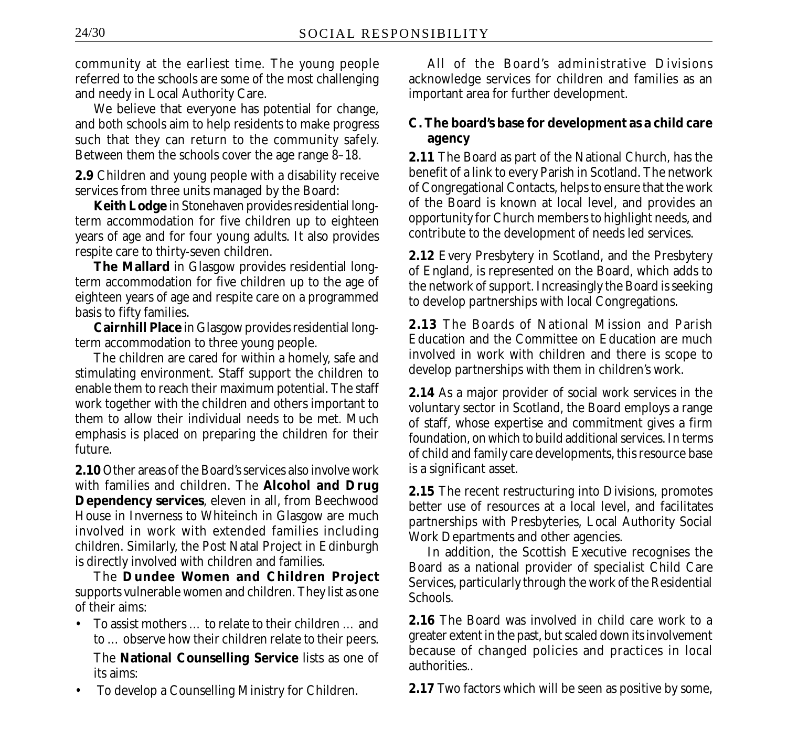community at the earliest time. The young people referred to the schools are some of the most challenging and needy in Local Authority Care.

We believe that everyone has potential for change, and both schools aim to help residents to make progress such that they can return to the community safely. Between them the schools cover the age range 8–18.

**2.9** Children and young people with a disability receive services from three units managed by the Board:

**Keith Lodge** in Stonehaven provides residential longterm accommodation for five children up to eighteen years of age and for four young adults. It also provides respite care to thirty-seven children.

**The Mallard** in Glasgow provides residential longterm accommodation for five children up to the age of eighteen years of age and respite care on a programmed basis to fifty families.

**Cairnhill Place** in Glasgow provides residential longterm accommodation to three young people.

The children are cared for within a homely, safe and stimulating environment. Staff support the children to enable them to reach their maximum potential. The staff work together with the children and others important to them to allow their individual needs to be met. Much emphasis is placed on preparing the children for their future.

**2.10** Other areas of the Board's services also involve work with families and children. The **Alcohol and Drug Dependency services**, eleven in all, from Beechwood House in Inverness to Whiteinch in Glasgow are much involved in work with extended families including children. Similarly, the Post Natal Project in Edinburgh is directly involved with children and families.

The **Dundee Women and Children Project** supports vulnerable women and children. They list as one of their aims:

• To assist mothers … to relate to their children … and to … observe how their children relate to their peers.

The **National Counselling Service** lists as one of its aims:

• To develop a Counselling Ministry for Children.

All of the Board's administrative Divisions acknowledge services for children and families as an important area for further development.

### **C. The board's base for development as a child care agency**

**2.11** The Board as part of the National Church, has the benefit of a link to every Parish in Scotland. The network of Congregational Contacts, helps to ensure that the work of the Board is known at local level, and provides an opportunity for Church members to highlight needs, and contribute to the development of needs led services.

**2.12** Every Presbytery in Scotland, and the Presbytery of England, is represented on the Board, which adds to the network of support. Increasingly the Board is seeking to develop partnerships with local Congregations.

**2.13** The Boards of National Mission and Parish Education and the Committee on Education are much involved in work with children and there is scope to develop partnerships with them in children's work.

**2.14** As a major provider of social work services in the voluntary sector in Scotland, the Board employs a range of staff, whose expertise and commitment gives a firm foundation, on which to build additional services. In terms of child and family care developments, this resource base is a significant asset.

**2.15** The recent restructuring into Divisions, promotes better use of resources at a local level, and facilitates partnerships with Presbyteries, Local Authority Social Work Departments and other agencies.

In addition, the Scottish Executive recognises the Board as a national provider of specialist Child Care Services, particularly through the work of the Residential Schools.

**2.16** The Board was involved in child care work to a greater extent in the past, but scaled down its involvement because of changed policies and practices in local authorities..

**2.17** Two factors which will be seen as positive by some,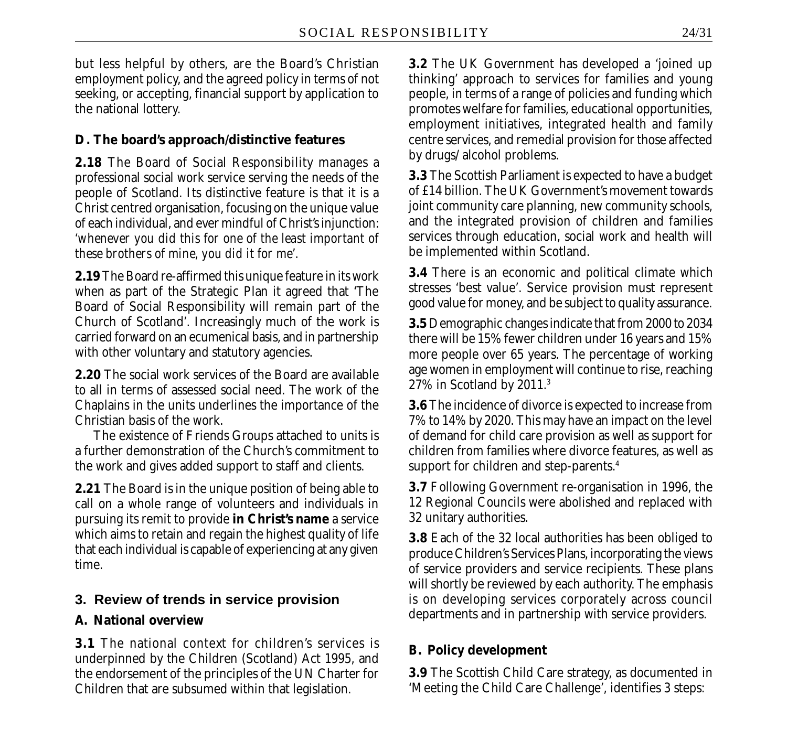but less helpful by others, are the Board's Christian employment policy, and the agreed policy in terms of not seeking, or accepting, financial support by application to the national lottery.

### **D. The board's approach/distinctive features**

**2.18** The Board of Social Responsibility manages a professional social work service serving the needs of the people of Scotland. Its distinctive feature is that it is a Christ centred organisation, focusing on the unique value of each individual, and ever mindful of Christ's injunction: *'whenever you did this for one of the least important of these brothers of mine, you did it for me'.*

**2.19** The Board re-affirmed this unique feature in its work when as part of the Strategic Plan it agreed that 'The Board of Social Responsibility will remain part of the Church of Scotland'. Increasingly much of the work is carried forward on an ecumenical basis, and in partnership with other voluntary and statutory agencies.

**2.20** The social work services of the Board are available to all in terms of assessed social need. The work of the Chaplains in the units underlines the importance of the Christian basis of the work.

The existence of Friends Groups attached to units is a further demonstration of the Church's commitment to the work and gives added support to staff and clients.

**2.21** The Board is in the unique position of being able to call on a whole range of volunteers and individuals in pursuing its remit to provide **in Christ's name** a service which aims to retain and regain the highest quality of life that each individual is capable of experiencing at any given time.

#### **3. Review of trends in service provision**

#### **A. National overview**

**3.1** The national context for children's services is underpinned by the Children (Scotland) Act 1995, and the endorsement of the principles of the UN Charter for Children that are subsumed within that legislation.

**3.2** The UK Government has developed a 'joined up thinking' approach to services for families and young people, in terms of a range of policies and funding which promotes welfare for families, educational opportunities, employment initiatives, integrated health and family centre services, and remedial provision for those affected by drugs/ alcohol problems.

**3.3** The Scottish Parliament is expected to have a budget of £14 billion. The UK Government's movement towards joint community care planning, new community schools, and the integrated provision of children and families services through education, social work and health will be implemented within Scotland.

**3.4** There is an economic and political climate which stresses 'best value'. Service provision must represent good value for money, and be subject to quality assurance.

**3.5** Demographic changes indicate that from 2000 to 2034 there will be 15% fewer children under 16 years and 15% more people over 65 years. The percentage of working age women in employment will continue to rise, reaching 27% in Scotland by 2011.3

**3.6** The incidence of divorce is expected to increase from 7% to 14% by 2020. This may have an impact on the level of demand for child care provision as well as support for children from families where divorce features, as well as support for children and step-parents.4

**3.7** Following Government re-organisation in 1996, the 12 Regional Councils were abolished and replaced with 32 unitary authorities.

**3.8** Each of the 32 local authorities has been obliged to produce Children's Services Plans, incorporating the views of service providers and service recipients. These plans will shortly be reviewed by each authority. The emphasis is on developing services corporately across council departments and in partnership with service providers.

### **B. Policy development**

**3.9** The Scottish Child Care strategy, as documented in 'Meeting the Child Care Challenge', identifies 3 steps: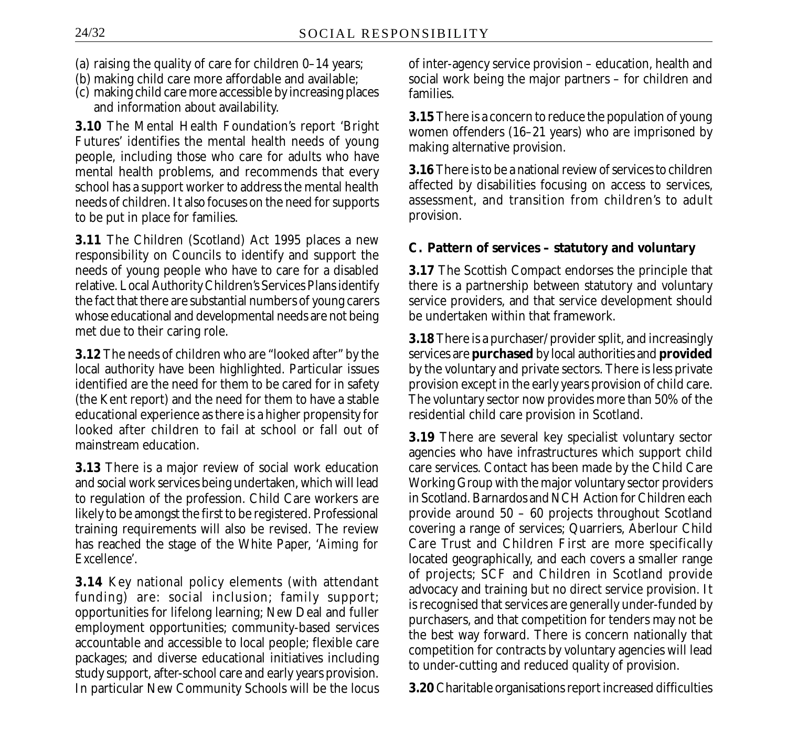- (a) raising the quality of care for children 0–14 years;
- (b) making child care more affordable and available;
- (c) making child care more accessible by increasing places and information about availability.

**3.10** The Mental Health Foundation's report 'Bright Futures' identifies the mental health needs of young people, including those who care for adults who have mental health problems, and recommends that every school has a support worker to address the mental health needs of children. It also focuses on the need for supports to be put in place for families.

**3.11** The Children (Scotland) Act 1995 places a new responsibility on Councils to identify and support the needs of young people who have to care for a disabled relative. Local Authority Children's Services Plans identify the fact that there are substantial numbers of young carers whose educational and developmental needs are not being met due to their caring role.

**3.12** The needs of children who are "looked after" by the local authority have been highlighted. Particular issues identified are the need for them to be cared for in safety (the Kent report) and the need for them to have a stable educational experience as there is a higher propensity for looked after children to fail at school or fall out of mainstream education.

**3.13** There is a major review of social work education and social work services being undertaken, which will lead to regulation of the profession. Child Care workers are likely to be amongst the first to be registered. Professional training requirements will also be revised. The review has reached the stage of the White Paper, '*Aiming for Excellence*'.

**3.14** Key national policy elements (with attendant funding) are: social inclusion; family support; opportunities for lifelong learning; New Deal and fuller employment opportunities; community-based services accountable and accessible to local people; flexible care packages; and diverse educational initiatives including study support, after-school care and early years provision. In particular New Community Schools will be the locus of inter-agency service provision – education, health and social work being the major partners – for children and families.

**3.15** There is a concern to reduce the population of young women offenders (16–21 years) who are imprisoned by making alternative provision.

**3.16** There is to be a national review of services to children affected by disabilities focusing on access to services, assessment, and transition from children's to adult provision.

### **C. Pattern of services – statutory and voluntary**

**3.17** The Scottish Compact endorses the principle that there is a partnership between statutory and voluntary service providers, and that service development should be undertaken within that framework.

**3.18** There is a purchaser/ provider split, and increasingly services are **purchased** by local authorities and **provided** by the voluntary and private sectors. There is less private provision except in the early years provision of child care. The voluntary sector now provides more than 50% of the residential child care provision in Scotland.

**3.19** There are several key specialist voluntary sector agencies who have infrastructures which support child care services. Contact has been made by the Child Care Working Group with the major voluntary sector providers in Scotland. Barnardos and NCH Action for Children each provide around 50 – 60 projects throughout Scotland covering a range of services; Quarriers, Aberlour Child Care Trust and Children First are more specifically located geographically, and each covers a smaller range of projects; SCF and Children in Scotland provide advocacy and training but no direct service provision. It is recognised that services are generally under-funded by purchasers, and that competition for tenders may not be the best way forward. There is concern nationally that competition for contracts by voluntary agencies will lead to under-cutting and reduced quality of provision.

**3.20** Charitable organisations report increased difficulties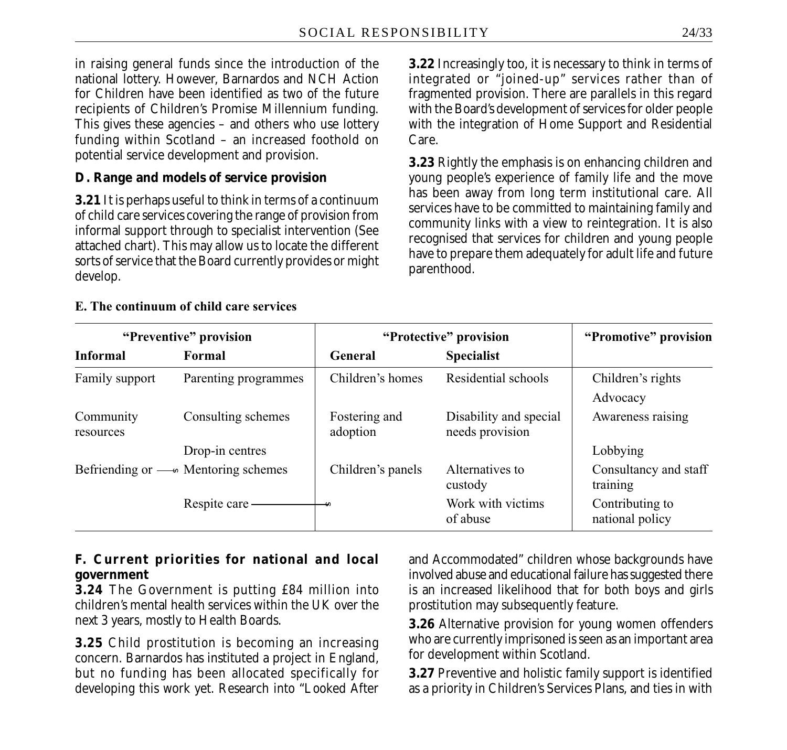in raising general funds since the introduction of the national lottery. However, Barnardos and NCH Action for Children have been identified as two of the future recipients of Children's Promise Millennium funding. This gives these agencies – and others who use lottery funding within Scotland – an increased foothold on potential service development and provision.

### **D. Range and models of service provision**

**3.21** It is perhaps useful to think in terms of a continuum of child care services covering the range of provision from informal support through to specialist intervention (See attached chart). This may allow us to locate the different sorts of service that the Board currently provides or might develop.

**3.22** Increasingly too, it is necessary to think in terms of integrated or "joined-up" services rather than of fragmented provision. There are parallels in this regard with the Board's development of services for older people with the integration of Home Support and Residential Care.

**3.23** Rightly the emphasis is on enhancing children and young people's experience of family life and the move has been away from long term institutional care. All services have to be committed to maintaining family and community links with a view to reintegration. It is also recognised that services for children and young people have to prepare them adequately for adult life and future parenthood.

#### **E. The continuum of child care services**

| "Preventive" provision |                                            | "Protective" provision    | "Promotive" provision                     |                                    |
|------------------------|--------------------------------------------|---------------------------|-------------------------------------------|------------------------------------|
| <b>Informal</b>        | Formal                                     | General                   | <b>Specialist</b>                         |                                    |
| Family support         | Parenting programmes                       | Children's homes          | Residential schools                       | Children's rights<br>Advocacy      |
| Community<br>resources | Consulting schemes                         | Fostering and<br>adoption | Disability and special<br>needs provision | Awareness raising                  |
|                        | Drop-in centres                            |                           |                                           | Lobbying                           |
|                        | Befriending or $-\omega$ Mentoring schemes | Children's panels         | Alternatives to<br>custody                | Consultancy and staff<br>training  |
|                        | Respite care                               |                           | Work with victims<br>of abuse             | Contributing to<br>national policy |

#### **F. Current priorities for national and local government**

**3.24** The Government is putting £84 million into children's mental health services within the UK over the next 3 years, mostly to Health Boards.

**3.25** Child prostitution is becoming an increasing concern. Barnardos has instituted a project in England, but no funding has been allocated specifically for developing this work yet. Research into "Looked After and Accommodated" children whose backgrounds have involved abuse and educational failure has suggested there is an increased likelihood that for both boys and girls prostitution may subsequently feature.

**3.26** Alternative provision for young women offenders who are currently imprisoned is seen as an important area for development within Scotland.

**3.27** Preventive and holistic family support is identified as a priority in Children's Services Plans, and ties in with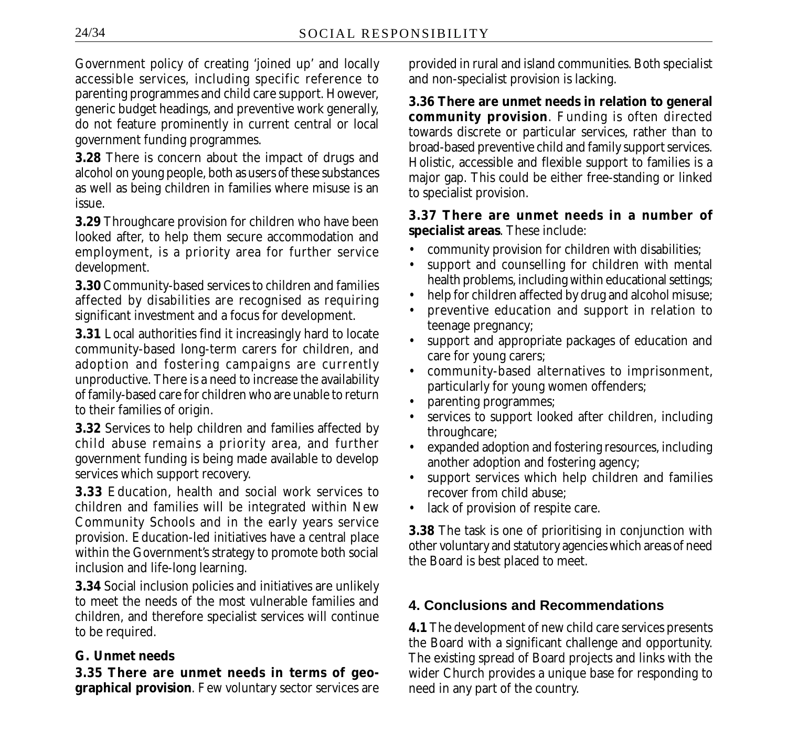Government policy of creating 'joined up' and locally accessible services, including specific reference to parenting programmes and child care support. However, generic budget headings, and preventive work generally, do not feature prominently in current central or local government funding programmes.

**3.28** There is concern about the impact of drugs and alcohol on young people, both as users of these substances as well as being children in families where misuse is an issue.

**3.29** Throughcare provision for children who have been looked after, to help them secure accommodation and employment, is a priority area for further service development.

**3.30** Community-based services to children and families affected by disabilities are recognised as requiring significant investment and a focus for development.

**3.31** Local authorities find it increasingly hard to locate community-based long-term carers for children, and adoption and fostering campaigns are currently unproductive. There is a need to increase the availability of family-based care for children who are unable to return to their families of origin.

**3.32** Services to help children and families affected by child abuse remains a priority area, and further government funding is being made available to develop services which support recovery.

**3.33** Education, health and social work services to children and families will be integrated within New Community Schools and in the early years service provision. Education-led initiatives have a central place within the Government's strategy to promote both social inclusion and life-long learning.

**3.34** Social inclusion policies and initiatives are unlikely to meet the needs of the most vulnerable families and children, and therefore specialist services will continue to be required.

### **G. Unmet needs**

**3.35 There are unmet needs in terms of geographical provision**. Few voluntary sector services are provided in rural and island communities. Both specialist and non-specialist provision is lacking.

**3.36 There are unmet needs in relation to general community provision**. Funding is often directed towards discrete or particular services, rather than to broad-based preventive child and family support services. Holistic, accessible and flexible support to families is a major gap. This could be either free-standing or linked to specialist provision.

#### **3.37 There are unmet needs in a number of specialist areas**. These include:

- community provision for children with disabilities;
- support and counselling for children with mental health problems, including within educational settings;
- help for children affected by drug and alcohol misuse;
- preventive education and support in relation to teenage pregnancy;
- support and appropriate packages of education and care for young carers;
- community-based alternatives to imprisonment, particularly for young women offenders;
- parenting programmes;
- services to support looked after children, including throughcare;
- expanded adoption and fostering resources, including another adoption and fostering agency;
- support services which help children and families recover from child abuse;
- lack of provision of respite care.

**3.38** The task is one of prioritising in conjunction with other voluntary and statutory agencies which areas of need the Board is best placed to meet.

# **4. Conclusions and Recommendations**

**4.1** The development of new child care services presents the Board with a significant challenge and opportunity. The existing spread of Board projects and links with the wider Church provides a unique base for responding to need in any part of the country.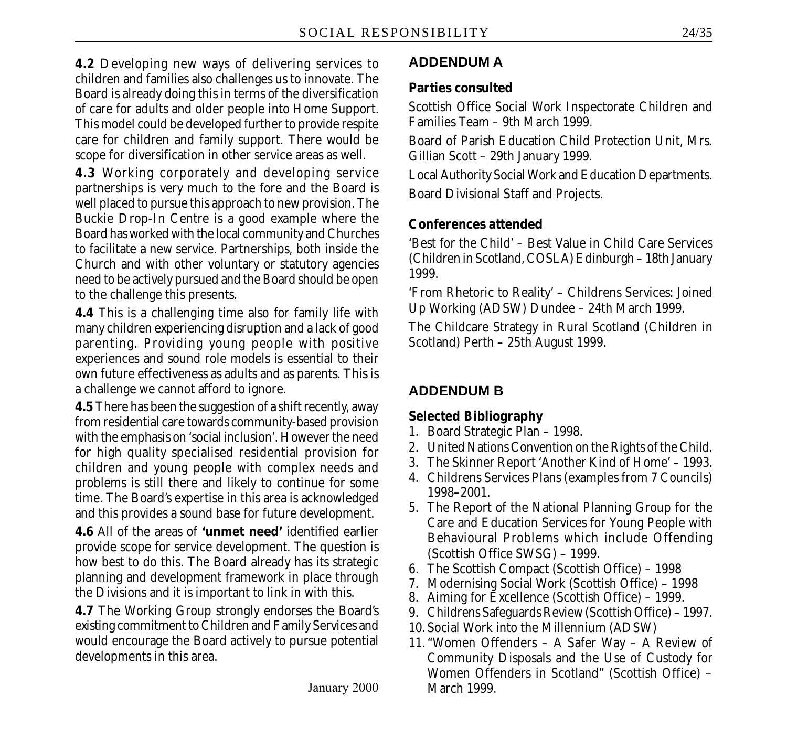**4.2** Developing new ways of delivering services to children and families also challenges us to innovate. The Board is already doing this in terms of the diversification of care for adults and older people into Home Support. This model could be developed further to provide respite care for children and family support. There would be scope for diversification in other service areas as well.

**4.3** Working corporately and developing service partnerships is very much to the fore and the Board is well placed to pursue this approach to new provision. The Buckie Drop-In Centre is a good example where the Board has worked with the local community and Churches to facilitate a new service. Partnerships, both inside the Church and with other voluntary or statutory agencies need to be actively pursued and the Board should be open to the challenge this presents.

**4.4** This is a challenging time also for family life with many children experiencing disruption and a lack of good parenting. Providing young people with positive experiences and sound role models is essential to their own future effectiveness as adults and as parents. This is a challenge we cannot afford to ignore.

**4.5** There has been the suggestion of a shift recently, away from residential care towards community-based provision with the emphasis on 'social inclusion'. However the need for high quality specialised residential provision for children and young people with complex needs and problems is still there and likely to continue for some time. The Board's expertise in this area is acknowledged and this provides a sound base for future development.

**4.6** All of the areas of **'unmet need'** identified earlier provide scope for service development. The question is how best to do this. The Board already has its strategic planning and development framework in place through the Divisions and it is important to link in with this.

**4.7** The Working Group strongly endorses the Board's existing commitment to Children and Family Services and would encourage the Board actively to pursue potential developments in this area.

# **ADDENDUM A**

### **Parties consulted**

Scottish Office Social Work Inspectorate Children and Families Team – 9th March 1999.

Board of Parish Education Child Protection Unit, Mrs. Gillian Scott – 29th January 1999.

Local Authority Social Work and Education Departments. Board Divisional Staff and Projects.

### **Conferences attended**

'Best for the Child' – Best Value in Child Care Services (Children in Scotland, COSLA) Edinburgh – 18th January 1999.

'From Rhetoric to Reality' – Childrens Services: Joined Up Working (ADSW) Dundee – 24th March 1999.

The Childcare Strategy in Rural Scotland (Children in Scotland) Perth – 25th August 1999.

# **ADDENDUM B**

# **Selected Bibliography**

- 1. Board Strategic Plan 1998.
- 2. United Nations Convention on the Rights of the Child.
- 3. The Skinner Report 'Another Kind of Home' 1993.
- 4. Childrens Services Plans (examples from 7 Councils) 1998–2001.
- 5. The Report of the National Planning Group for the Care and Education Services for Young People with Behavioural Problems which include Offending (Scottish Office SWSG) – 1999.
- 6. The Scottish Compact (Scottish Office) 1998
- 7. Modernising Social Work (Scottish Office) 1998
- 8. Aiming for Excellence (Scottish Office) 1999.
- 9. Childrens Safeguards Review (Scottish Office) 1997.
- 10. Social Work into the Millennium (ADSW)
- 11. "Women Offenders A Safer Way A Review of Community Disposals and the Use of Custody for Women Offenders in Scotland" (Scottish Office) – March 1999.

January 2000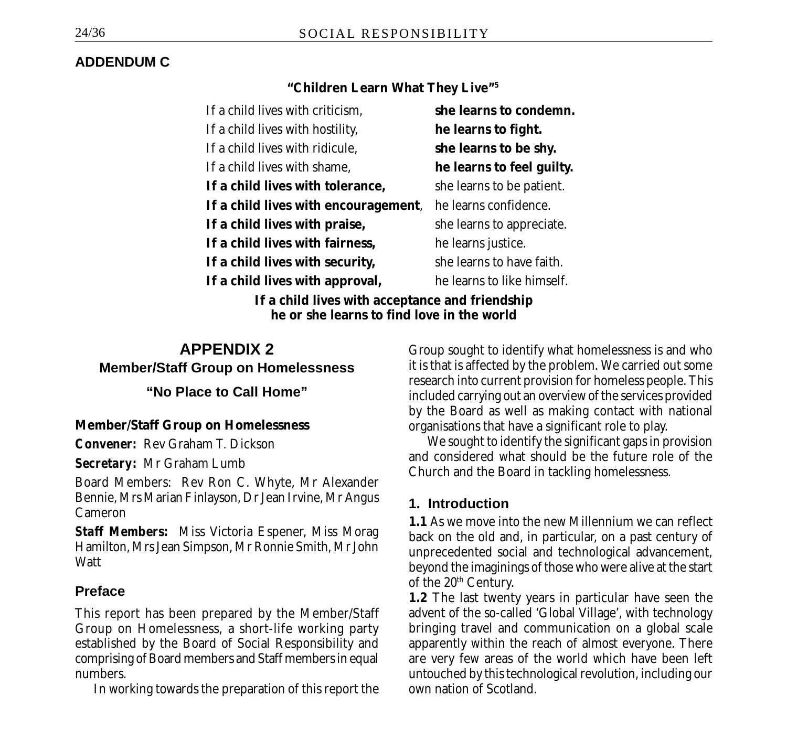# **ADDENDUM C**

### **"Children Learn What They Live"5**

| If a child lives with criticism,                                                              | she learns to condemn.     |
|-----------------------------------------------------------------------------------------------|----------------------------|
| If a child lives with hostility,                                                              | he learns to fight.        |
| If a child lives with ridicule,                                                               | she learns to be shy.      |
| If a child lives with shame,                                                                  | he learns to feel guilty.  |
| If a child lives with tolerance,                                                              | she learns to be patient.  |
| If a child lives with encouragement,                                                          | he learns confidence.      |
| If a child lives with praise,                                                                 | she learns to appreciate.  |
| If a child lives with fairness,                                                               | he learns justice.         |
| If a child lives with security,                                                               | she learns to have faith.  |
| If a child lives with approval,                                                               | he learns to like himself. |
| If a child lives with acceptance and friendship<br>he or she learns to find love in the world |                            |

# **APPENDIX 2**

**Member/Staff Group on Homelessness**

**"No Place to Call Home"**

### **Member/Staff Group on Homelessness**

*Convener:* Rev Graham T. Dickson

*Secretary:* Mr Graham Lumb

Board Members: Rev Ron C. Whyte, Mr Alexander Bennie, Mrs Marian Finlayson, Dr Jean Irvine, Mr Angus Cameron

*Staff Members:* Miss Victoria Espener, Miss Morag Hamilton, Mrs Jean Simpson, Mr Ronnie Smith, Mr John **Watt** 

# **Preface**

This report has been prepared by the Member/Staff Group on Homelessness, a short-life working party established by the Board of Social Responsibility and comprising of Board members and Staff members in equal numbers.

In working towards the preparation of this report the

Group sought to identify what homelessness is and who it is that is affected by the problem. We carried out some research into current provision for homeless people. This included carrying out an overview of the services provided by the Board as well as making contact with national organisations that have a significant role to play.

We sought to identify the significant gaps in provision and considered what should be the future role of the Church and the Board in tackling homelessness.

# **1. Introduction**

**1.1** As we move into the new Millennium we can reflect back on the old and, in particular, on a past century of unprecedented social and technological advancement, beyond the imaginings of those who were alive at the start of the 20<sup>th</sup> Century.

**1.2** The last twenty years in particular have seen the advent of the so-called 'Global Village', with technology bringing travel and communication on a global scale apparently within the reach of almost everyone. There are very few areas of the world which have been left untouched by this technological revolution, including our own nation of Scotland.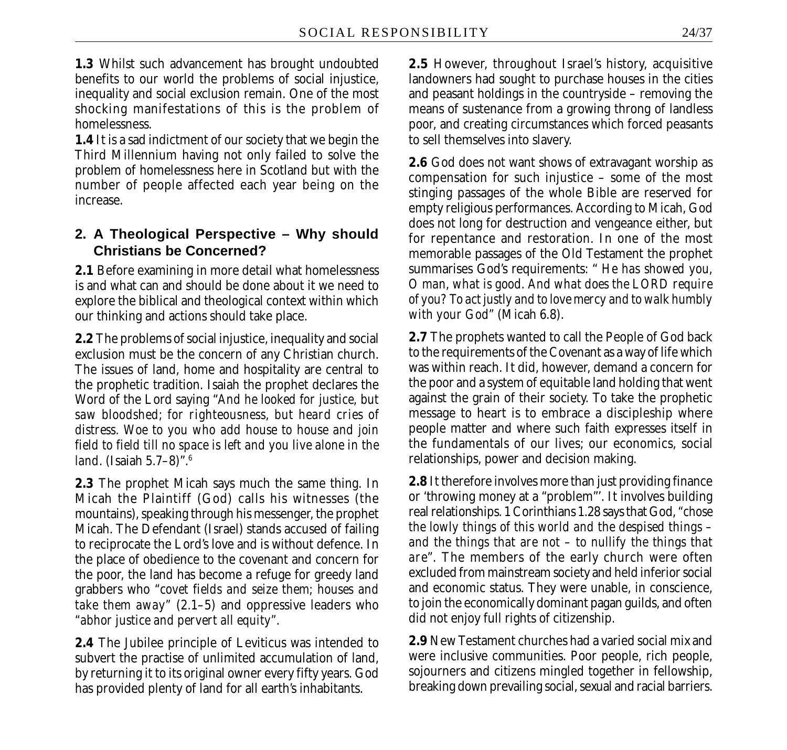**1.3** Whilst such advancement has brought undoubted benefits to our world the problems of social injustice, inequality and social exclusion remain. One of the most shocking manifestations of this is the problem of homelessness.

**1.4** It is a sad indictment of our society that we begin the Third Millennium having not only failed to solve the problem of homelessness here in Scotland but with the number of people affected each year being on the increase.

# **2. A Theological Perspective – Why should Christians be Concerned?**

**2.1** Before examining in more detail what homelessness is and what can and should be done about it we need to explore the biblical and theological context within which our thinking and actions should take place.

**2.2** The problems of social injustice, inequality and social exclusion must be the concern of any Christian church. The issues of land, home and hospitality are central to the prophetic tradition. Isaiah the prophet declares the Word of the Lord saying "*And he looked for justice, but saw bloodshed; for righteousness, but heard cries of distress. Woe to you who add house to house and join field to field till no space is left and you live alone in the land*. (Isaiah 5.7–8)".6

**2.3** The prophet Micah says much the same thing. In Micah the Plaintiff (God) calls his witnesses (the mountains), speaking through his messenger, the prophet Micah. The Defendant (Israel) stands accused of failing to reciprocate the Lord's love and is without defence. In the place of obedience to the covenant and concern for the poor, the land has become a refuge for greedy land grabbers who *"covet fields and seize them; houses and take them away"* (2.1–5) and oppressive leaders who *"abhor justice and pervert all equity"*.

**2.4** The Jubilee principle of Leviticus was intended to subvert the practise of unlimited accumulation of land, by returning it to its original owner every fifty years. God has provided plenty of land for all earth's inhabitants.

**2.5** However, throughout Israel's history, acquisitive landowners had sought to purchase houses in the cities and peasant holdings in the countryside – removing the means of sustenance from a growing throng of landless poor, and creating circumstances which forced peasants to sell themselves into slavery.

**2.6** God does not want shows of extravagant worship as compensation for such injustice – some of the most stinging passages of the whole Bible are reserved for empty religious performances. According to Micah, God does not long for destruction and vengeance either, but for repentance and restoration. In one of the most memorable passages of the Old Testament the prophet summarises God's requirements: " *He has showed you, O man, what is good. And what does the LORD require of you? To act justly and to love mercy and to walk humbly with your God"* (Micah 6.8).

**2.7** The prophets wanted to call the People of God back to the requirements of the Covenant as a way of life which was within reach. It did, however, demand a concern for the poor and a system of equitable land holding that went against the grain of their society. To take the prophetic message to heart is to embrace a discipleship where people matter and where such faith expresses itself in the fundamentals of our lives; our economics, social relationships, power and decision making.

**2.8** It therefore involves more than just providing finance or 'throwing money at a "problem"'. It involves building real relationships. 1 Corinthians 1.28 says that God, *"chose the lowly things of this world and the despised things – and the things that are not – to nullify the things that are*". The members of the early church were often excluded from mainstream society and held inferior social and economic status. They were unable, in conscience, to join the economically dominant pagan guilds, and often did not enjoy full rights of citizenship.

**2.9** New Testament churches had a varied social mix and were inclusive communities. Poor people, rich people, sojourners and citizens mingled together in fellowship, breaking down prevailing social, sexual and racial barriers.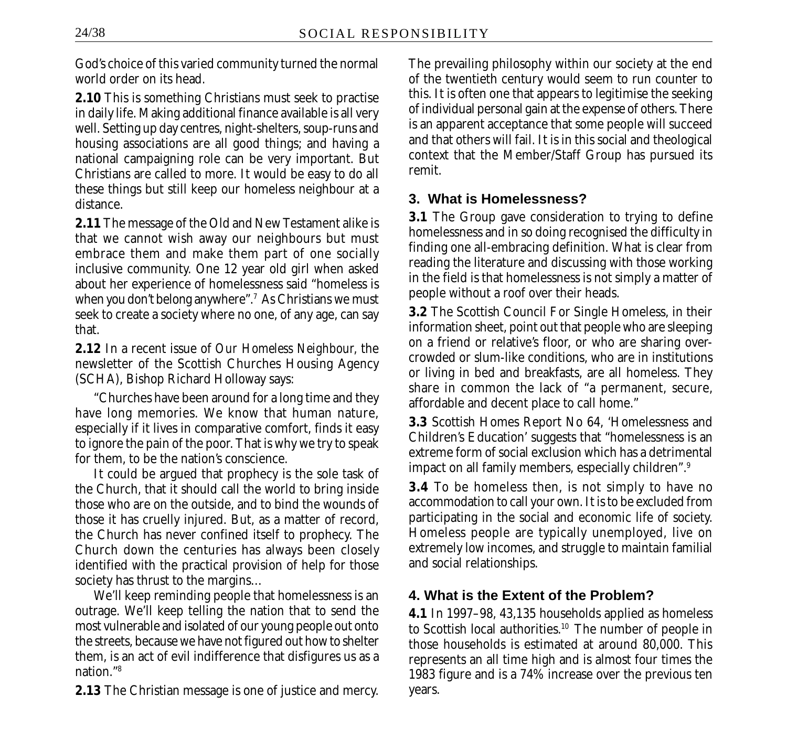God's choice of this varied community turned the normal world order on its head.

**2.10** This is something Christians must seek to practise in daily life. Making additional finance available is all very well. Setting up day centres, night-shelters, soup-runs and housing associations are all good things; and having a national campaigning role can be very important. But Christians are called to more. It would be easy to do all these things but still keep our homeless neighbour at a distance.

**2.11** The message of the Old and New Testament alike is that we cannot wish away our neighbours but must embrace them and make them part of one socially inclusive community. One 12 year old girl when asked about her experience of homelessness said "homeless is when you don't belong anywhere".<sup>7</sup> As Christians we must seek to create a society where no one, of any age, can say that.

**2.12** In a recent issue of *Our Homeless Neighbour,* the newsletter of the Scottish Churches Housing Agency (SCHA), Bishop Richard Holloway says:

"Churches have been around for a long time and they have long memories. We know that human nature, especially if it lives in comparative comfort, finds it easy to ignore the pain of the poor. That is why we try to speak for them, to be the nation's conscience.

It could be argued that prophecy is the sole task of the Church, that it should call the world to bring inside those who are on the outside, and to bind the wounds of those it has cruelly injured. But, as a matter of record, the Church has never confined itself to prophecy. The Church down the centuries has always been closely identified with the practical provision of help for those society has thrust to the margins…

We'll keep reminding people that homelessness is an outrage. We'll keep telling the nation that to send the most vulnerable and isolated of our young people out onto the streets, because we have not figured out how to shelter them, is an act of evil indifference that disfigures us as a nation."8

**2.13** The Christian message is one of justice and mercy.

The prevailing philosophy within our society at the end of the twentieth century would seem to run counter to this. It is often one that appears to legitimise the seeking of individual personal gain at the expense of others. There is an apparent acceptance that some people will succeed and that others will fail. It is in this social and theological context that the Member/Staff Group has pursued its remit.

### **3. What is Homelessness?**

**3.1** The Group gave consideration to trying to define homelessness and in so doing recognised the difficulty in finding one all-embracing definition. What is clear from reading the literature and discussing with those working in the field is that homelessness is not simply a matter of people without a roof over their heads.

**3.2** The Scottish Council For Single Homeless, in their information sheet, point out that people who are sleeping on a friend or relative's floor, or who are sharing overcrowded or slum-like conditions, who are in institutions or living in bed and breakfasts, are all homeless. They share in common the lack of "a permanent, secure, affordable and decent place to call home."

**3.3** Scottish Homes Report No 64, 'Homelessness and Children's Education' suggests that "homelessness is an extreme form of social exclusion which has a detrimental impact on all family members, especially children".9

**3.4** To be homeless then, is not simply to have no accommodation to call your own. It is to be excluded from participating in the social and economic life of society. Homeless people are typically unemployed, live on extremely low incomes, and struggle to maintain familial and social relationships.

# **4. What is the Extent of the Problem?**

**4.1** In 1997–98, 43,135 households applied as homeless to Scottish local authorities.<sup>10</sup> The number of people in those households is estimated at around 80,000. This represents an all time high and is almost four times the 1983 figure and is a 74% increase over the previous ten years.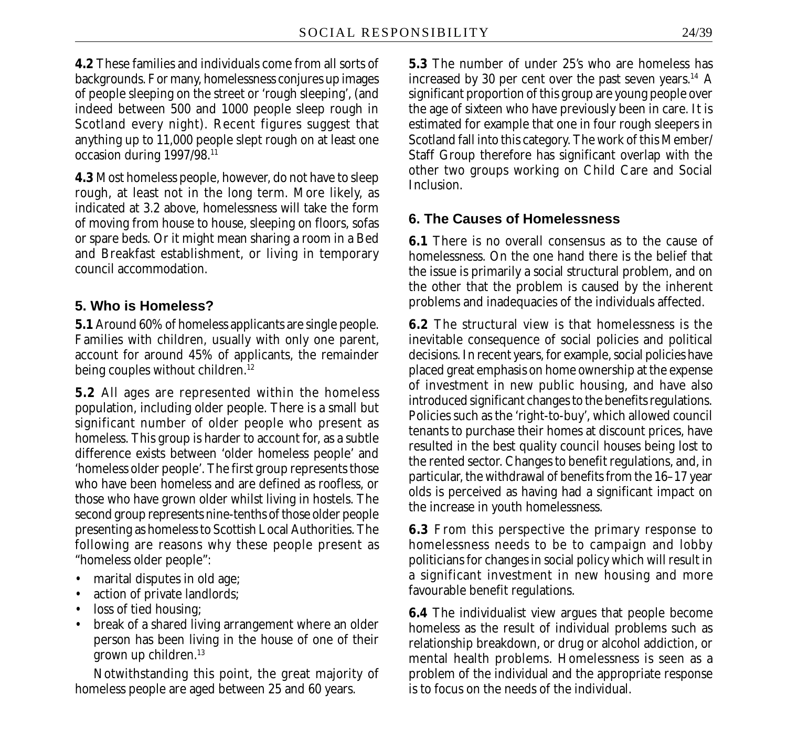**4.2** These families and individuals come from all sorts of backgrounds. For many, homelessness conjures up images of people sleeping on the street or 'rough sleeping', (and indeed between 500 and 1000 people sleep rough in Scotland every night). Recent figures suggest that anything up to 11,000 people slept rough on at least one occasion during 1997/98.11

**4.3** Most homeless people, however, do not have to sleep rough, at least not in the long term. More likely, as indicated at 3.2 above, homelessness will take the form of moving from house to house, sleeping on floors, sofas or spare beds. Or it might mean sharing a room in a Bed and Breakfast establishment, or living in temporary council accommodation.

### **5. Who is Homeless?**

**5.1** Around 60% of homeless applicants are single people. Families with children, usually with only one parent, account for around 45% of applicants, the remainder being couples without children.<sup>12</sup>

**5.2** All ages are represented within the homeless population, including older people. There is a small but significant number of older people who present as homeless. This group is harder to account for, as a subtle difference exists between 'older homeless people' and 'homeless older people'. The first group represents those who have been homeless and are defined as roofless, or those who have grown older whilst living in hostels. The second group represents nine-tenths of those older people presenting as homeless to Scottish Local Authorities. The following are reasons why these people present as "homeless older people":

- marital disputes in old age;
- action of private landlords;
- loss of tied housing;
- break of a shared living arrangement where an older person has been living in the house of one of their grown up children.<sup>13</sup>

Notwithstanding this point, the great majority of homeless people are aged between 25 and 60 years.

**5.3** The number of under 25's who are homeless has increased by 30 per cent over the past seven years.<sup>14</sup> A significant proportion of this group are young people over the age of sixteen who have previously been in care. It is estimated for example that one in four rough sleepers in Scotland fall into this category. The work of this Member/ Staff Group therefore has significant overlap with the other two groups working on Child Care and Social **Inclusion** 

# **6. The Causes of Homelessness**

**6.1** There is no overall consensus as to the cause of homelessness. On the one hand there is the belief that the issue is primarily a social structural problem, and on the other that the problem is caused by the inherent problems and inadequacies of the individuals affected.

**6.2** The structural view is that homelessness is the inevitable consequence of social policies and political decisions. In recent years, for example, social policies have placed great emphasis on home ownership at the expense of investment in new public housing, and have also introduced significant changes to the benefits regulations. Policies such as the 'right-to-buy', which allowed council tenants to purchase their homes at discount prices, have resulted in the best quality council houses being lost to the rented sector. Changes to benefit regulations, and, in particular, the withdrawal of benefits from the 16–17 year olds is perceived as having had a significant impact on the increase in youth homelessness.

**6.3** From this perspective the primary response to homelessness needs to be to campaign and lobby politicians for changes in social policy which will result in a significant investment in new housing and more favourable benefit regulations.

**6.4** The individualist view argues that people become homeless as the result of individual problems such as relationship breakdown, or drug or alcohol addiction, or mental health problems. Homelessness is seen as a problem of the individual and the appropriate response is to focus on the needs of the individual.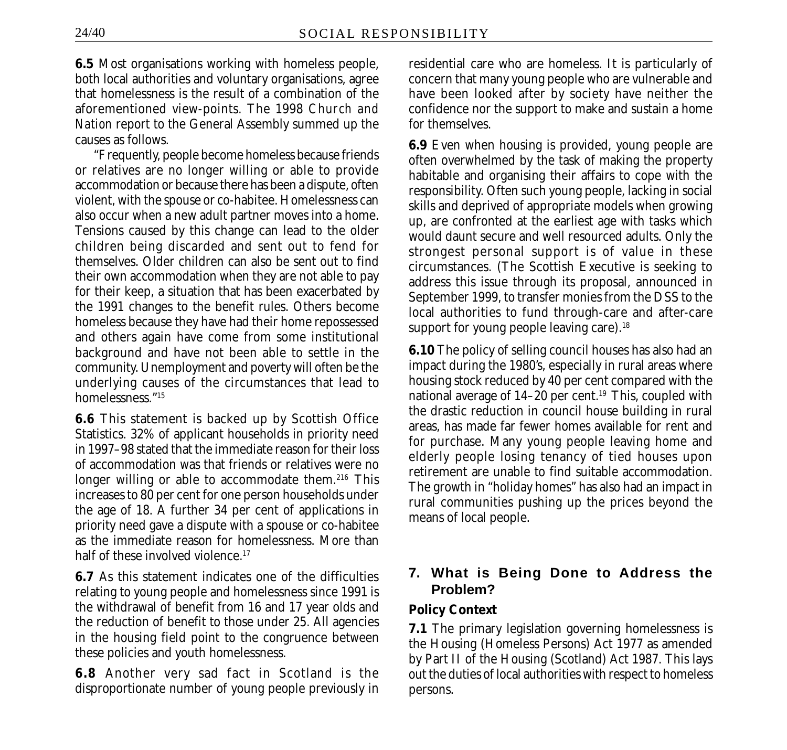**6.5** Most organisations working with homeless people, both local authorities and voluntary organisations, agree that homelessness is the result of a combination of the aforementioned view-points. The 1998 *Church and Nation* report to the General Assembly summed up the causes as follows.

"Frequently, people become homeless because friends or relatives are no longer willing or able to provide accommodation or because there has been a dispute, often violent, with the spouse or co-habitee. Homelessness can also occur when a new adult partner moves into a home. Tensions caused by this change can lead to the older children being discarded and sent out to fend for themselves. Older children can also be sent out to find their own accommodation when they are not able to pay for their keep, a situation that has been exacerbated by the 1991 changes to the benefit rules. Others become homeless because they have had their home repossessed and others again have come from some institutional background and have not been able to settle in the community. Unemployment and poverty will often be the underlying causes of the circumstances that lead to homelessness."15

**6.6** This statement is backed up by Scottish Office Statistics. 32% of applicant households in priority need in 1997–98 stated that the immediate reason for their loss of accommodation was that friends or relatives were no longer willing or able to accommodate them.<sup>216</sup> This increases to 80 per cent for one person households under the age of 18. A further 34 per cent of applications in priority need gave a dispute with a spouse or co-habitee as the immediate reason for homelessness. More than half of these involved violence.<sup>17</sup>

**6.7** As this statement indicates one of the difficulties relating to young people and homelessness since 1991 is the withdrawal of benefit from 16 and 17 year olds and the reduction of benefit to those under 25. All agencies in the housing field point to the congruence between these policies and youth homelessness.

**6.8** Another very sad fact in Scotland is the disproportionate number of young people previously in residential care who are homeless. It is particularly of concern that many young people who are vulnerable and have been looked after by society have neither the confidence nor the support to make and sustain a home for themselves.

**6.9** Even when housing is provided, young people are often overwhelmed by the task of making the property habitable and organising their affairs to cope with the responsibility. Often such young people, lacking in social skills and deprived of appropriate models when growing up, are confronted at the earliest age with tasks which would daunt secure and well resourced adults. Only the strongest personal support is of value in these circumstances. (The Scottish Executive is seeking to address this issue through its proposal, announced in September 1999, to transfer monies from the DSS to the local authorities to fund through-care and after-care support for young people leaving care).<sup>18</sup>

**6.10** The policy of selling council houses has also had an impact during the 1980's, especially in rural areas where housing stock reduced by 40 per cent compared with the national average of 14-20 per cent.<sup>19</sup> This, coupled with the drastic reduction in council house building in rural areas, has made far fewer homes available for rent and for purchase. Many young people leaving home and elderly people losing tenancy of tied houses upon retirement are unable to find suitable accommodation. The growth in "holiday homes" has also had an impact in rural communities pushing up the prices beyond the means of local people.

# **7. What is Being Done to Address the Problem?**

#### **Policy Context**

**7.1** The primary legislation governing homelessness is the Housing (Homeless Persons) Act 1977 as amended by Part II of the Housing (Scotland) Act 1987. This lays out the duties of local authorities with respect to homeless persons.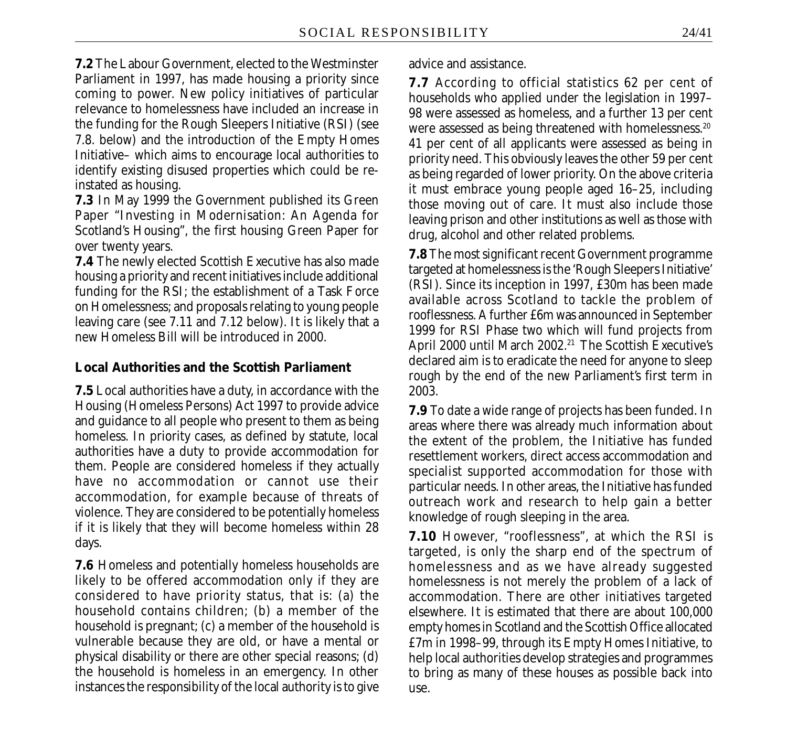**7.2** The Labour Government, elected to the Westminster Parliament in 1997, has made housing a priority since coming to power. New policy initiatives of particular relevance to homelessness have included an increase in the funding for the Rough Sleepers Initiative (RSI) (see 7.8. below) and the introduction of the Empty Homes Initiative– which aims to encourage local authorities to identify existing disused properties which could be reinstated as housing.

**7.3** In May 1999 the Government published its Green Paper "Investing in Modernisation: An Agenda for Scotland's Housing", the first housing Green Paper for over twenty years.

**7.4** The newly elected Scottish Executive has also made housing a priority and recent initiatives include additional funding for the RSI; the establishment of a Task Force on Homelessness; and proposals relating to young people leaving care (see 7.11 and 7.12 below). It is likely that a new Homeless Bill will be introduced in 2000.

#### **Local Authorities and the Scottish Parliament**

**7.5** Local authorities have a duty, in accordance with the Housing (Homeless Persons) Act 1997 to provide advice and guidance to all people who present to them as being homeless. In priority cases, as defined by statute, local authorities have a duty to provide accommodation for them. People are considered homeless if they actually have no accommodation or cannot use their accommodation, for example because of threats of violence. They are considered to be potentially homeless if it is likely that they will become homeless within 28 days.

**7.6** Homeless and potentially homeless households are likely to be offered accommodation only if they are considered to have priority status, that is: (a) the household contains children; (b) a member of the household is pregnant; (c) a member of the household is vulnerable because they are old, or have a mental or physical disability or there are other special reasons; (d) the household is homeless in an emergency. In other instances the responsibility of the local authority is to give advice and assistance.

**7.7** According to official statistics 62 per cent of households who applied under the legislation in 1997– 98 were assessed as homeless, and a further 13 per cent were assessed as being threatened with homelessness.<sup>20</sup> 41 per cent of all applicants were assessed as being in priority need. This obviously leaves the other 59 per cent as being regarded of lower priority. On the above criteria it must embrace young people aged 16–25, including those moving out of care. It must also include those leaving prison and other institutions as well as those with drug, alcohol and other related problems.

**7.8** The most significant recent Government programme targeted at homelessnessis the 'Rough Sleepers Initiative' (RSI). Since its inception in 1997, £30m has been made available across Scotland to tackle the problem of rooflessness. A further £6m was announced in September 1999 for RSI Phase two which will fund projects from April 2000 until March 2002.<sup>21</sup> The Scottish Executive's declared aim is to eradicate the need for anyone to sleep rough by the end of the new Parliament's first term in 2003.

**7.9** To date a wide range of projects has been funded. In areas where there was already much information about the extent of the problem, the Initiative has funded resettlement workers, direct access accommodation and specialist supported accommodation for those with particular needs. In other areas, the Initiative has funded outreach work and research to help gain a better knowledge of rough sleeping in the area.

**7.10** However, "rooflessness", at which the RSI is targeted, is only the sharp end of the spectrum of homelessness and as we have already suggested homelessness is not merely the problem of a lack of accommodation. There are other initiatives targeted elsewhere. It is estimated that there are about 100,000 empty homes in Scotland and the Scottish Office allocated £7m in 1998–99, through its Empty Homes Initiative, to help local authorities develop strategies and programmes to bring as many of these houses as possible back into use.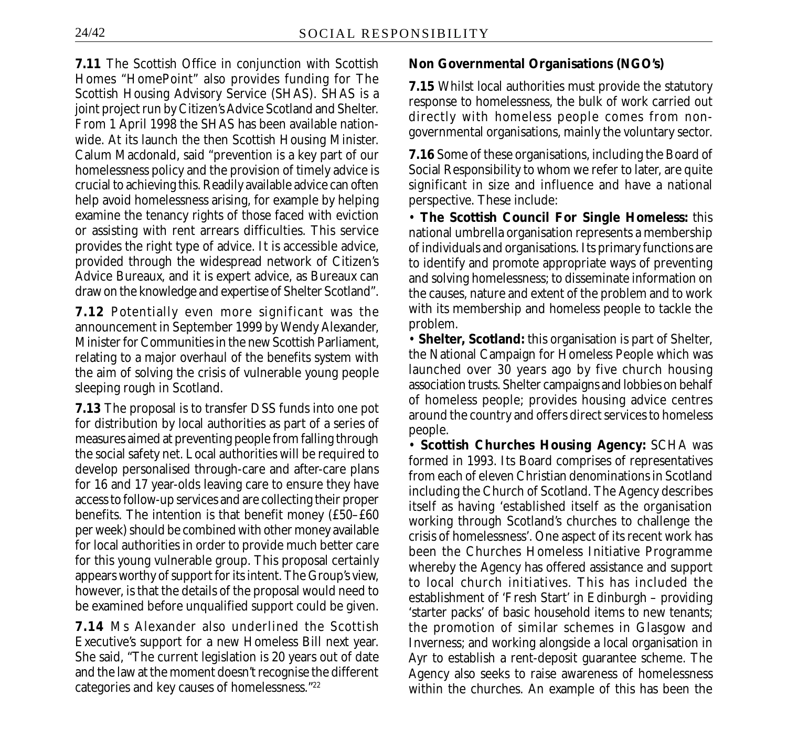**7.11** The Scottish Office in conjunction with Scottish Homes "HomePoint" also provides funding for The Scottish Housing Advisory Service (SHAS). SHAS is a joint project run by Citizen's Advice Scotland and Shelter. From 1 April 1998 the SHAS has been available nationwide. At its launch the then Scottish Housing Minister. Calum Macdonald, said "prevention is a key part of our homelessness policy and the provision of timely advice is crucial to achieving this. Readily available advice can often help avoid homelessness arising, for example by helping examine the tenancy rights of those faced with eviction or assisting with rent arrears difficulties. This service provides the right type of advice. It is accessible advice, provided through the widespread network of Citizen's Advice Bureaux, and it is expert advice, as Bureaux can draw on the knowledge and expertise of Shelter Scotland".

**7.12** Potentially even more significant was the announcement in September 1999 by Wendy Alexander, Minister for Communities in the new Scottish Parliament, relating to a major overhaul of the benefits system with the aim of solving the crisis of vulnerable young people sleeping rough in Scotland.

**7.13** The proposal is to transfer DSS funds into one pot for distribution by local authorities as part of a series of measures aimed at preventing people from falling through the social safety net. Local authorities will be required to develop personalised through-care and after-care plans for 16 and 17 year-olds leaving care to ensure they have access to follow-up services and are collecting their proper benefits. The intention is that benefit money (£50–£60 per week) should be combined with other money available for local authorities in order to provide much better care for this young vulnerable group. This proposal certainly appears worthy of support for its intent. The Group's view, however, is that the details of the proposal would need to be examined before unqualified support could be given.

**7.14** Ms Alexander also underlined the Scottish Executive's support for a new Homeless Bill next year. She said, "The current legislation is 20 years out of date and the law at the moment doesn't recognise the different categories and key causes of homelessness."22

### **Non Governmental Organisations (NGO's)**

**7.15** Whilst local authorities must provide the statutory response to homelessness, the bulk of work carried out directly with homeless people comes from nongovernmental organisations, mainly the voluntary sector.

**7.16** Some of these organisations, including the Board of Social Responsibility to whom we refer to later, are quite significant in size and influence and have a national perspective. These include:

• **The Scottish Council For Single Homeless:** this national umbrella organisation represents a membership of individuals and organisations. Its primary functions are to identify and promote appropriate ways of preventing and solving homelessness; to disseminate information on the causes, nature and extent of the problem and to work with its membership and homeless people to tackle the problem.

• **Shelter, Scotland:** this organisation is part of Shelter, the National Campaign for Homeless People which was launched over 30 years ago by five church housing association trusts. Shelter campaigns and lobbies on behalf of homeless people; provides housing advice centres around the country and offers direct services to homeless people.

• **Scottish Churches Housing Agency:** SCHA was formed in 1993. Its Board comprises of representatives from each of eleven Christian denominations in Scotland including the Church of Scotland. The Agency describes itself as having 'established itself as the organisation working through Scotland's churches to challenge the crisis of homelessness'. One aspect of its recent work has been the Churches Homeless Initiative Programme whereby the Agency has offered assistance and support to local church initiatives. This has included the establishment of 'Fresh Start' in Edinburgh – providing 'starter packs' of basic household items to new tenants; the promotion of similar schemes in Glasgow and Inverness; and working alongside a local organisation in Ayr to establish a rent-deposit guarantee scheme. The Agency also seeks to raise awareness of homelessness within the churches. An example of this has been the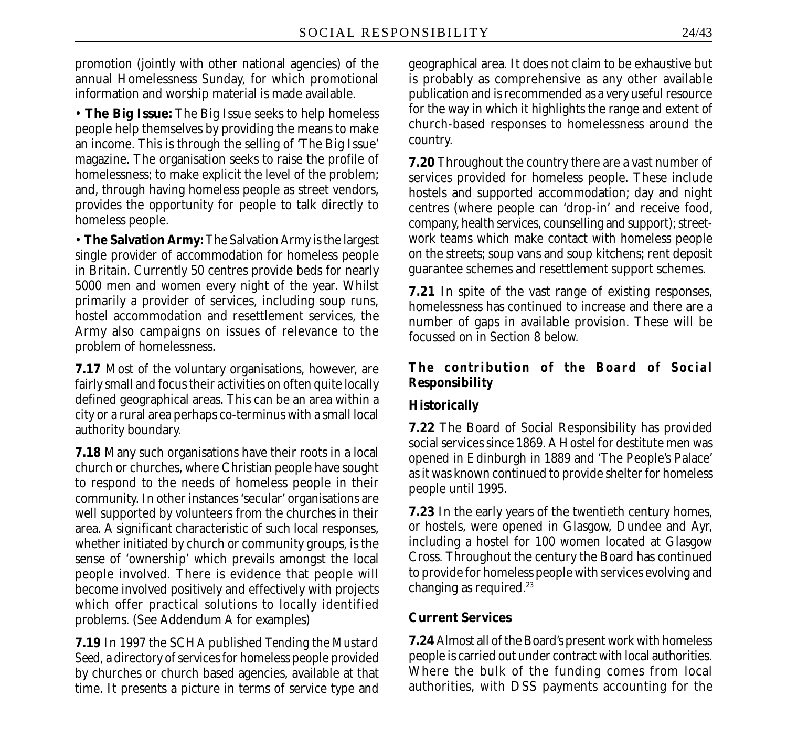promotion (jointly with other national agencies) of the annual Homelessness Sunday, for which promotional information and worship material is made available.

• **The Big Issue:** The Big Issue seeks to help homeless people help themselves by providing the means to make an income. This is through the selling of 'The Big Issue' magazine. The organisation seeks to raise the profile of homelessness; to make explicit the level of the problem; and, through having homeless people as street vendors, provides the opportunity for people to talk directly to homeless people.

• **The Salvation Army:** The Salvation Army is the largest single provider of accommodation for homeless people in Britain. Currently 50 centres provide beds for nearly 5000 men and women every night of the year. Whilst primarily a provider of services, including soup runs, hostel accommodation and resettlement services, the Army also campaigns on issues of relevance to the problem of homelessness.

**7.17** Most of the voluntary organisations, however, are fairly small and focus their activities on often quite locally defined geographical areas. This can be an area within a city or a rural area perhaps co-terminus with a small local authority boundary.

**7.18** Many such organisations have their roots in a local church or churches, where Christian people have sought to respond to the needs of homeless people in their community. In other instances 'secular' organisations are well supported by volunteers from the churches in their area. A significant characteristic of such local responses, whether initiated by church or community groups, is the sense of 'ownership' which prevails amongst the local people involved. There is evidence that people will become involved positively and effectively with projects which offer practical solutions to locally identified problems. (See Addendum A for examples)

**7.19** In 1997 the SCHA published *Tending the Mustard Seed,* a directory of services for homeless people provided by churches or church based agencies, available at that time. It presents a picture in terms of service type and geographical area. It does not claim to be exhaustive but is probably as comprehensive as any other available publication and is recommended as a very useful resource for the way in which it highlights the range and extent of church-based responses to homelessness around the country.

**7.20** Throughout the country there are a vast number of services provided for homeless people. These include hostels and supported accommodation; day and night centres (where people can 'drop-in' and receive food, company, health services, counselling and support); streetwork teams which make contact with homeless people on the streets; soup vans and soup kitchens; rent deposit guarantee schemes and resettlement support schemes.

**7.21** In spite of the vast range of existing responses, homelessness has continued to increase and there are a number of gaps in available provision. These will be focussed on in Section 8 below.

#### *The contribution of the Board of Social Responsibility*

### **Historically**

**7.22** The Board of Social Responsibility has provided social services since 1869. A Hostel for destitute men was opened in Edinburgh in 1889 and 'The People's Palace' as it was known continued to provide shelter for homeless people until 1995.

**7.23** In the early years of the twentieth century homes, or hostels, were opened in Glasgow, Dundee and Ayr, including a hostel for 100 women located at Glasgow Cross. Throughout the century the Board has continued to provide for homeless people with services evolving and changing as required.<sup>23</sup>

#### **Current Services**

**7.24** Almost all of the Board's present work with homeless people is carried out under contract with local authorities. Where the bulk of the funding comes from local authorities, with DSS payments accounting for the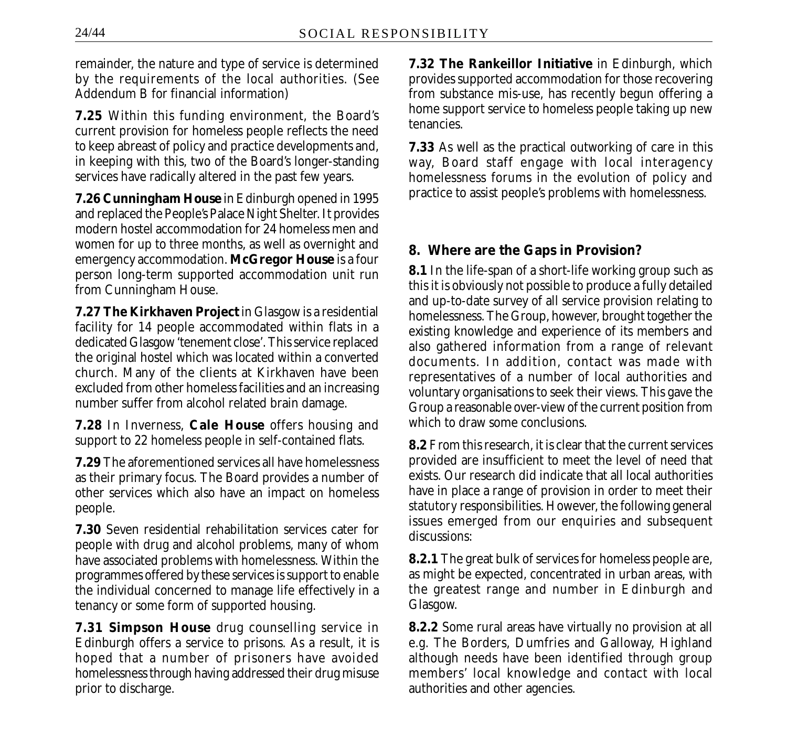remainder, the nature and type of service is determined by the requirements of the local authorities. (See Addendum B for financial information)

**7.25** Within this funding environment, the Board's current provision for homeless people reflects the need to keep abreast of policy and practice developments and, in keeping with this, two of the Board's longer-standing services have radically altered in the past few years.

**7.26 Cunningham House** in Edinburgh opened in 1995 and replaced the People's Palace Night Shelter. It provides modern hostel accommodation for 24 homeless men and women for up to three months, as well as overnight and emergency accommodation. **McGregor House** is a four person long-term supported accommodation unit run from Cunningham House.

**7.27 The Kirkhaven Project** in Glasgow is a residential facility for 14 people accommodated within flats in a dedicated Glasgow 'tenement close'. This service replaced the original hostel which was located within a converted church. Many of the clients at Kirkhaven have been excluded from other homeless facilities and an increasing number suffer from alcohol related brain damage.

**7.28** In Inverness, **Cale House** offers housing and support to 22 homeless people in self-contained flats.

**7.29** The aforementioned services all have homelessness as their primary focus. The Board provides a number of other services which also have an impact on homeless people.

**7.30** Seven residential rehabilitation services cater for people with drug and alcohol problems, many of whom have associated problems with homelessness. Within the programmes offered by these services is support to enable the individual concerned to manage life effectively in a tenancy or some form of supported housing.

**7.31 Simpson House** drug counselling service in Edinburgh offers a service to prisons. As a result, it is hoped that a number of prisoners have avoided homelessness through having addressed their drug misuse prior to discharge.

**7.32 The Rankeillor Initiative** in Edinburgh, which provides supported accommodation for those recovering from substance mis-use, has recently begun offering a home support service to homeless people taking up new tenancies.

**7.33** As well as the practical outworking of care in this way, Board staff engage with local interagency homelessness forums in the evolution of policy and practice to assist people's problems with homelessness.

### **8. Where are the Gaps in Provision?**

**8.1** In the life-span of a short-life working group such as this it is obviously not possible to produce a fully detailed and up-to-date survey of all service provision relating to homelessness. The Group, however, brought together the existing knowledge and experience of its members and also gathered information from a range of relevant documents. In addition, contact was made with representatives of a number of local authorities and voluntary organisations to seek their views. This gave the Group a reasonable over-view of the current position from which to draw some conclusions.

**8.2** From this research, it is clear that the current services provided are insufficient to meet the level of need that exists. Our research did indicate that all local authorities have in place a range of provision in order to meet their *statutory* responsibilities. However, the following general issues emerged from our enquiries and subsequent discussions:

**8.2.1** The great bulk of services for homeless people are, as might be expected, concentrated in urban areas, with the greatest range and number in Edinburgh and Glasgow.

**8.2.2** Some rural areas have virtually no provision at all e.g. The Borders, Dumfries and Galloway, Highland although needs have been identified through group members' local knowledge and contact with local authorities and other agencies.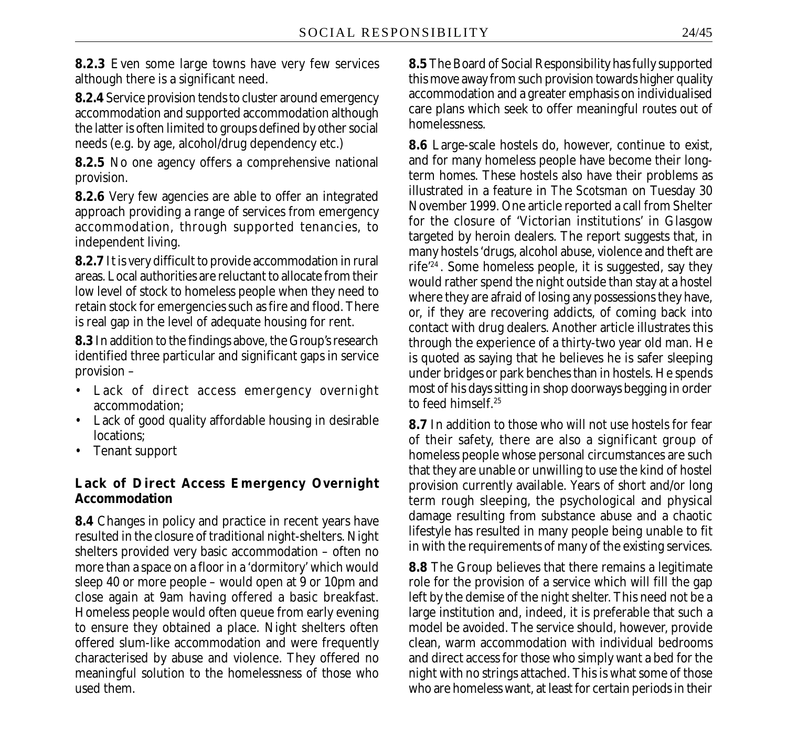**8.2.3** Even some large towns have very few services although there is a significant need.

**8.2.4** Service provision tends to cluster around emergency accommodation and supported accommodation although the latter is often limited to groups defined by other social needs (e.g. by age, alcohol/drug dependency etc.)

**8.2.5** No one agency offers a comprehensive national provision.

**8.2.6** Very few agencies are able to offer an integrated approach providing a range of services from emergency accommodation, through supported tenancies, to independent living.

**8.2.7** It is very difficult to provide accommodation in rural areas. Local authorities are reluctant to allocate from their low level of stock to homeless people when they need to retain stock for emergencies such as fire and flood. There is real gap in the level of adequate housing for rent.

**8.3** In addition to the findings above, the Group's research identified three particular and significant gaps in service provision –

- Lack of direct access emergency overnight accommodation;
- Lack of good quality affordable housing in desirable locations;
- Tenant support

# **Lack of Direct Access Emergency Overnight Accommodation**

**8.4** Changes in policy and practice in recent years have resulted in the closure of traditional night-shelters. Night shelters provided very basic accommodation – often no more than a space on a floor in a 'dormitory' which would sleep 40 or more people – would open at 9 or 10pm and close again at 9am having offered a basic breakfast. Homeless people would often queue from early evening to ensure they obtained a place. Night shelters often offered slum-like accommodation and were frequently characterised by abuse and violence. They offered no meaningful solution to the homelessness of those who used them.

**8.5** The Board of Social Responsibility has fully supported this move away from such provision towards higher quality accommodation and a greater emphasis on individualised care plans which seek to offer meaningful routes out of homelessness.

**8.6** Large-scale hostels do, however, continue to exist, and for many homeless people have become their longterm homes. These hostels also have their problems as illustrated in a feature in *The Scotsman* on Tuesday 30 November 1999. One article reported a call from Shelter for the closure of 'Victorian institutions' in Glasgow targeted by heroin dealers. The report suggests that, in many hostels 'drugs, alcohol abuse, violence and theft are rife'24 . Some homeless people, it is suggested, say they would rather spend the night outside than stay at a hostel where they are afraid of losing any possessions they have, or, if they are recovering addicts, of coming back into contact with drug dealers. Another article illustrates this through the experience of a thirty-two year old man. He is quoted as saying that he believes he is safer sleeping under bridges or park benches than in hostels. He spends most of his days sitting in shop doorways begging in order to feed himself.<sup>25</sup>

**8.7** In addition to those who will not use hostels for fear of their safety, there are also a significant group of homeless people whose personal circumstances are such that they are unable or unwilling to use the kind of hostel provision currently available. Years of short and/or long term rough sleeping, the psychological and physical damage resulting from substance abuse and a chaotic lifestyle has resulted in many people being unable to fit in with the requirements of many of the existing services.

**8.8** The Group believes that there remains a legitimate role for the provision of a service which will fill the gap left by the demise of the night shelter. This need not be a large institution and, indeed, it is preferable that such a model be avoided. The service should, however, provide clean, warm accommodation with individual bedrooms and direct access for those who simply want a bed for the night with no strings attached. This is what some of those who are homeless want, at least for certain periods in their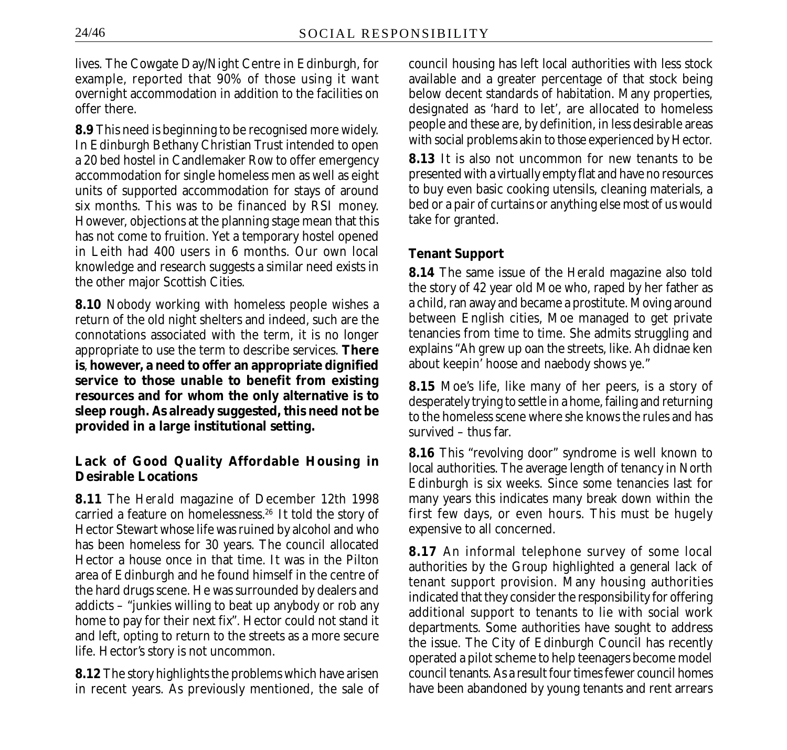lives. The Cowgate Day/Night Centre in Edinburgh, for example, reported that 90% of those using it want overnight accommodation in addition to the facilities on offer there.

**8.9** This need is beginning to be recognised more widely. In Edinburgh Bethany Christian Trust intended to open a 20 bed hostel in Candlemaker Row to offer emergency accommodation for single homeless men as well as eight units of supported accommodation for stays of around six months. This was to be financed by RSI money. However, objections at the planning stage mean that this has not come to fruition. Yet a temporary hostel opened in Leith had 400 users in 6 months. Our own local knowledge and research suggests a similar need exists in the other major Scottish Cities.

**8.10** Nobody working with homeless people wishes a return of the old night shelters and indeed, such are the connotations associated with the term, it is no longer appropriate to use the term to describe services. **There is**, **however, a need to offer an appropriate dignified service to those unable to benefit from existing resources and for whom the only alternative is to sleep rough. As already suggested, this need not be provided in a large institutional setting.**

### **Lack of Good Quality Affordable Housing in Desirable Locations**

**8.11** The *Herald* magazine of December 12th 1998 carried a feature on homelessness.26 It told the story of Hector Stewart whose life was ruined by alcohol and who has been homeless for 30 years. The council allocated Hector a house once in that time. It was in the Pilton area of Edinburgh and he found himself in the centre of the hard drugs scene. He was surrounded by dealers and addicts – "junkies willing to beat up anybody or rob any home to pay for their next fix". Hector could not stand it and left, opting to return to the streets as a more secure life. Hector's story is not uncommon.

**8.12** The story highlights the problems which have arisen in recent years. As previously mentioned, the sale of council housing has left local authorities with less stock available and a greater percentage of that stock being below decent standards of habitation. Many properties, designated as 'hard to let', are allocated to homeless people and these are, by definition, in less desirable areas with social problems akin to those experienced by Hector.

**8.13** It is also not uncommon for new tenants to be presented with a virtually empty flat and have no resources to buy even basic cooking utensils, cleaning materials, a bed or a pair of curtains or anything else most of us would take for granted.

#### **Tenant Support**

**8.14** The same issue of the *Herald* magazine also told the story of 42 year old Moe who, raped by her father as a child, ran away and became a prostitute. Moving around between English cities, Moe managed to get private tenancies from time to time. She admits struggling and explains "Ah grew up oan the streets, like. Ah didnae ken about keepin' hoose and naebody shows ye."

**8.15** Moe's life, like many of her peers, is a story of desperately trying to settle in a home, failing and returning to the homeless scene where she knows the rules and has survived – thus far.

**8.16** This "revolving door" syndrome is well known to local authorities. The average length of tenancy in North Edinburgh is six weeks. Since some tenancies last for many years this indicates many break down within the first few days, or even hours. This must be hugely expensive to all concerned.

**8.17** An informal telephone survey of some local authorities by the Group highlighted a general lack of tenant support provision. Many housing authorities indicated that they consider the responsibility for offering additional support to tenants to lie with social work departments. Some authorities have sought to address the issue. The City of Edinburgh Council has recently operated a pilot scheme to help teenagers become model council tenants. As a result four times fewer council homes have been abandoned by young tenants and rent arrears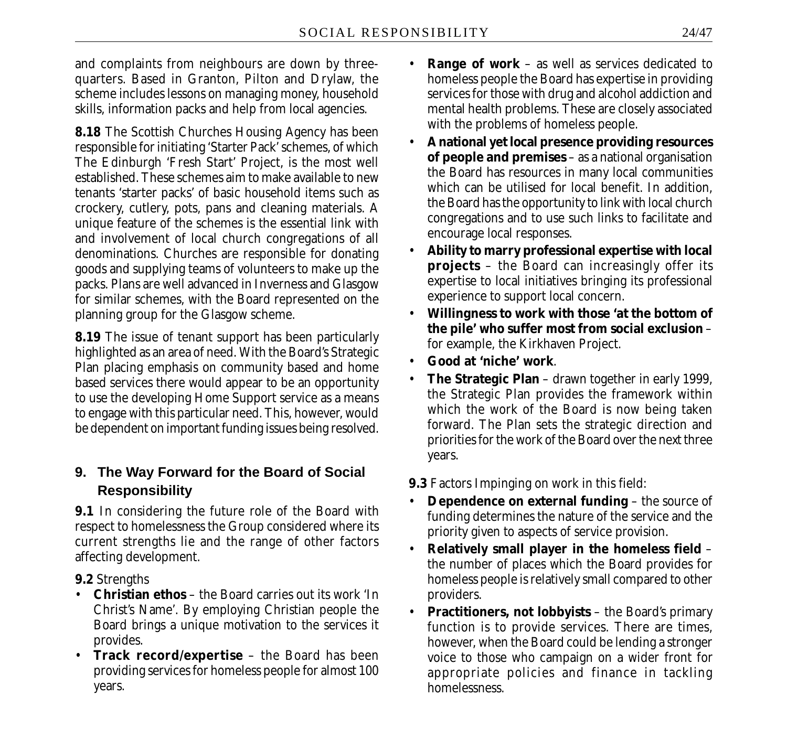and complaints from neighbours are down by threequarters. Based in Granton, Pilton and Drylaw, the scheme includes lessons on managing money, household skills, information packs and help from local agencies.

**8.18** The Scottish Churches Housing Agency has been responsible for initiating 'Starter Pack' schemes, of which The Edinburgh 'Fresh Start' Project, is the most well established. These schemes aim to make available to new tenants 'starter packs' of basic household items such as crockery, cutlery, pots, pans and cleaning materials. A unique feature of the schemes is the essential link with and involvement of local church congregations of all denominations. Churches are responsible for donating goods and supplying teams of volunteers to make up the packs. Plans are well advanced in Inverness and Glasgow for similar schemes, with the Board represented on the planning group for the Glasgow scheme.

**8.19** The issue of tenant support has been particularly highlighted as an area of need. With the Board's Strategic Plan placing emphasis on community based and home based services there would appear to be an opportunity to use the developing Home Support service as a means to engage with this particular need. This, however, would be dependent on important funding issues being resolved.

# **9. The Way Forward for the Board of Social Responsibility**

**9.1** In considering the future role of the Board with respect to homelessness the Group considered where its current strengths lie and the range of other factors affecting development.

**9.2** Strengths

- **Christian ethos** the Board carries out its work 'In Christ's Name'. By employing Christian people the Board brings a unique motivation to the services it provides.
- **Track record/expertise** the Board has been providing services for homeless people for almost 100 years.
- **Range of work** as well as services dedicated to homeless people the Board has expertise in providing services for those with drug and alcohol addiction and mental health problems. These are closely associated with the problems of homeless people.
- **A national yet local presence providing resources of people and premises** – as a national organisation the Board has resources in many local communities which can be utilised for local benefit. In addition, the Board has the opportunity to link with local church congregations and to use such links to facilitate and encourage local responses.
- **Ability to marry professional expertise with local projects** – the Board can increasingly offer its expertise to local initiatives bringing its professional experience to support local concern.
- **Willingness to work with those 'at the bottom of the pile' who suffer most from social exclusion** – for example, the Kirkhaven Project.
- **Good at 'niche' work**.
- **The Strategic Plan** drawn together in early 1999, the Strategic Plan provides the framework within which the work of the Board is now being taken forward. The Plan sets the strategic direction and priorities for the work of the Board over the next three years.

**9.3** Factors Impinging on work in this field:

- **Dependence on external funding** the source of funding determines the nature of the service and the priority given to aspects of service provision.
- **Relatively small player in the homeless field** the number of places which the Board provides for homeless people is relatively small compared to other providers.
- **Practitioners, not lobbyists** the Board's primary function is to provide services. There are times, however, when the Board could be lending a stronger voice to those who campaign on a wider front for appropriate policies and finance in tackling homelessness.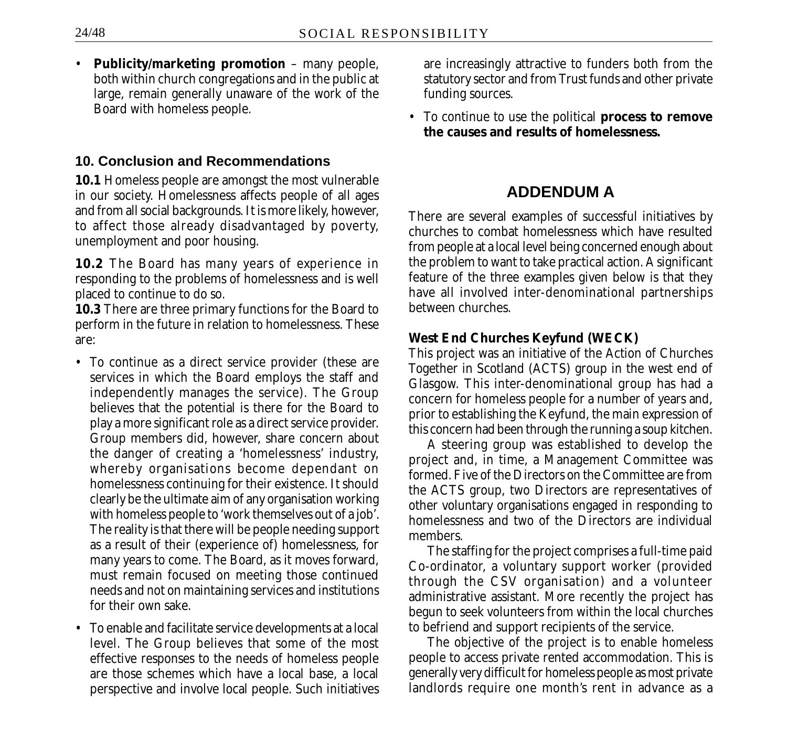• **Publicity/marketing promotion** – many people, both within church congregations and in the public at large, remain generally unaware of the work of the Board with homeless people.

### **10. Conclusion and Recommendations**

**10.1** Homeless people are amongst the most vulnerable in our society. Homelessness affects people of all ages and from all social backgrounds. It is more likely, however, to affect those already disadvantaged by poverty, unemployment and poor housing.

**10.2** The Board has many years of experience in responding to the problems of homelessness and is well placed to continue to do so.

**10.3** There are three primary functions for the Board to perform in the future in relation to homelessness. These are:

- To continue as a direct service provider (these are services in which the Board employs the staff and independently manages the service). The Group believes that the potential is there for the Board to play a more significant role as a direct service provider. Group members did, however, share concern about the danger of creating a 'homelessness' industry, whereby organisations become dependant on homelessness continuing for their existence. It should clearly be the ultimate aim of any organisation working with homeless people to 'work themselves out of a job'. The reality is that there will be people needing support as a result of their (experience of) homelessness, for many years to come. The Board, as it moves forward, must remain focused on meeting those continued needs and not on maintaining services and institutions for their own sake.
- To enable and facilitate service developments at a local level. The Group believes that some of the most effective responses to the needs of homeless people are those schemes which have a local base, a local perspective and involve local people. Such initiatives

are increasingly attractive to funders both from the statutory sector and from Trust funds and other private funding sources.

• To continue to use the political **process to remove the causes and results of homelessness.**

### **ADDENDUM A**

There are several examples of successful initiatives by churches to combat homelessness which have resulted from people at a local level being concerned enough about the problem to want to take practical action. A significant feature of the three examples given below is that they have all involved inter-denominational partnerships between churches.

#### **West End Churches Keyfund (WECK)**

This project was an initiative of the Action of Churches Together in Scotland (ACTS) group in the west end of Glasgow. This inter-denominational group has had a concern for homeless people for a number of years and, prior to establishing the Keyfund, the main expression of this concern had been through the running a soup kitchen.

A steering group was established to develop the project and, in time, a Management Committee was formed. Five of the Directors on the Committee are from the ACTS group, two Directors are representatives of other voluntary organisations engaged in responding to homelessness and two of the Directors are individual members.

The staffing for the project comprises a full-time paid Co-ordinator, a voluntary support worker (provided through the CSV organisation) and a volunteer administrative assistant. More recently the project has begun to seek volunteers from within the local churches to befriend and support recipients of the service.

The objective of the project is to enable homeless people to access private rented accommodation. This is generally very difficult for homeless people as most private landlords require one month's rent in advance as a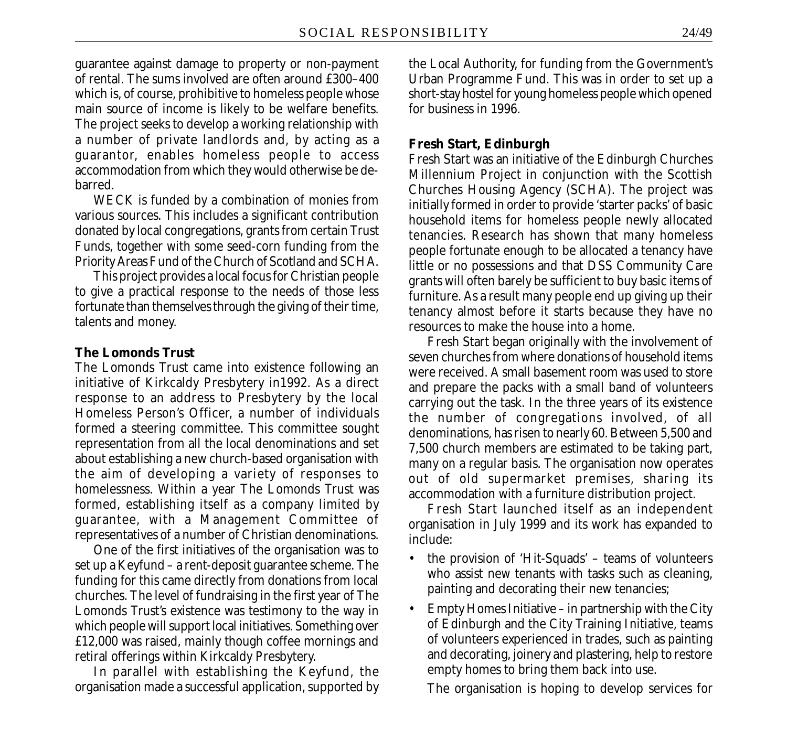guarantee against damage to property or non-payment of rental. The sums involved are often around £300–400 which is, of course, prohibitive to homeless people whose main source of income is likely to be welfare benefits. The project seeks to develop a working relationship with a number of private landlords and, by acting as a guarantor, enables homeless people to access accommodation from which they would otherwise be debarred.

WECK is funded by a combination of monies from various sources. This includes a significant contribution donated by local congregations, grants from certain Trust Funds, together with some seed-corn funding from the Priority Areas Fund of the Church of Scotland and SCHA.

This project provides a local focus for Christian people to give a practical response to the needs of those less fortunate than themselves through the giving of their time, talents and money.

#### **The Lomonds Trust**

The Lomonds Trust came into existence following an initiative of Kirkcaldy Presbytery in1992. As a direct response to an address to Presbytery by the local Homeless Person's Officer, a number of individuals formed a steering committee. This committee sought representation from all the local denominations and set about establishing a new church-based organisation with the aim of developing a variety of responses to homelessness. Within a year The Lomonds Trust was formed, establishing itself as a company limited by guarantee, with a Management Committee of representatives of a number of Christian denominations.

One of the first initiatives of the organisation was to set up a Keyfund – a rent-deposit guarantee scheme. The funding for this came directly from donations from local churches. The level of fundraising in the first year of The Lomonds Trust's existence was testimony to the way in which people will support local initiatives. Something over £12,000 was raised, mainly though coffee mornings and retiral offerings within Kirkcaldy Presbytery.

In parallel with establishing the Keyfund, the organisation made a successful application, supported by the Local Authority, for funding from the Government's Urban Programme Fund. This was in order to set up a short-stay hostel for young homeless people which opened for business in 1996.

#### **Fresh Start, Edinburgh**

Fresh Start was an initiative of the Edinburgh Churches Millennium Project in conjunction with the Scottish Churches Housing Agency (SCHA). The project was initially formed in order to provide 'starter packs' of basic household items for homeless people newly allocated tenancies. Research has shown that many homeless people fortunate enough to be allocated a tenancy have little or no possessions and that DSS Community Care grants will often barely be sufficient to buy basic items of furniture. As a result many people end up giving up their tenancy almost before it starts because they have no resources to make the house into a home.

Fresh Start began originally with the involvement of seven churches from where donations of household items were received. A small basement room was used to store and prepare the packs with a small band of volunteers carrying out the task. In the three years of its existence the number of congregations involved, of all denominations, has risen to nearly 60. Between 5,500 and 7,500 church members are estimated to be taking part, many on a regular basis. The organisation now operates out of old supermarket premises, sharing its accommodation with a furniture distribution project.

Fresh Start launched itself as an independent organisation in July 1999 and its work has expanded to include:

- the provision of 'Hit-Squads' teams of volunteers who assist new tenants with tasks such as cleaning, painting and decorating their new tenancies;
- Empty Homes Initiative in partnership with the City of Edinburgh and the City Training Initiative, teams of volunteers experienced in trades, such as painting and decorating, joinery and plastering, help to restore empty homes to bring them back into use.

The organisation is hoping to develop services for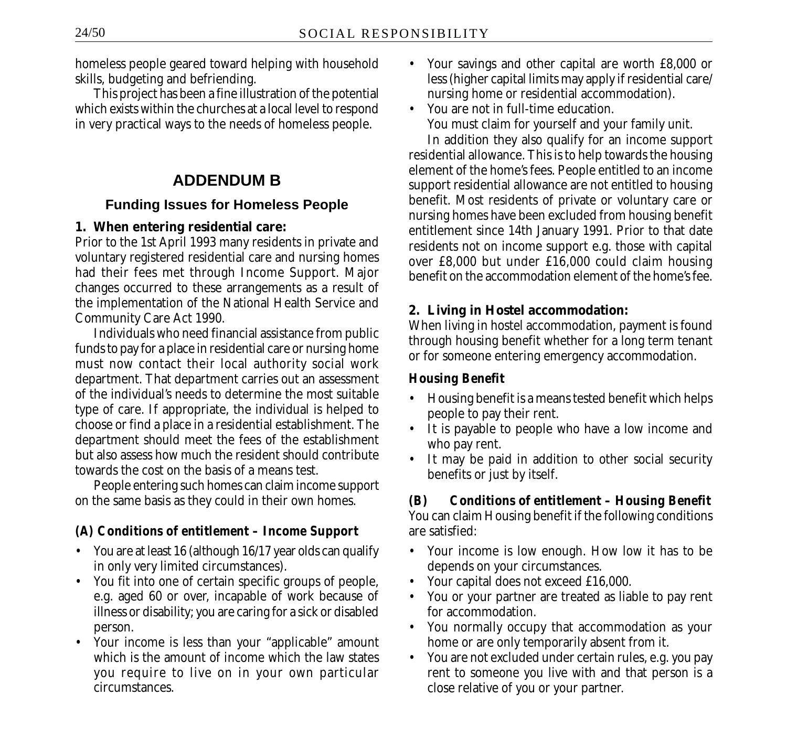homeless people geared toward helping with household skills, budgeting and befriending.

This project has been a fine illustration of the potential which exists within the churches at a local level to respond in very practical ways to the needs of homeless people.

# **ADDENDUM B**

### **Funding Issues for Homeless People**

### **1. When entering residential care:**

Prior to the 1st April 1993 many residents in private and voluntary registered residential care and nursing homes had their fees met through Income Support. Major changes occurred to these arrangements as a result of the implementation of the National Health Service and Community Care Act 1990.

Individuals who need financial assistance from public funds to pay for a place in residential care or nursing home must now contact their local authority social work department. That department carries out an assessment of the individual's needs to determine the most suitable type of care. If appropriate, the individual is helped to choose or find a place in a residential establishment. The department should meet the fees of the establishment but also assess how much the resident should contribute towards the cost on the basis of a means test.

People entering such homes can claim income support on the same basis as they could in their own homes.

# *(A) Conditions of entitlement – Income Support*

- You are at least 16 (although 16/17 year olds can qualify in only very limited circumstances).
- You fit into one of certain specific groups of people, e.g. aged 60 or over, incapable of work because of illness or disability; you are caring for a sick or disabled person.
- Your income is less than your "applicable" amount which is the amount of income which the law states you require to live on in your own particular circumstances.
- Your savings and other capital are worth £8,000 or less (higher capital limits may apply if residential care/ nursing home or residential accommodation).
- You are not in full-time education. You must claim for yourself and your family unit.

In addition they also qualify for an income support residential allowance. This is to help towards the housing element of the home's fees. People entitled to an income support residential allowance are not entitled to housing benefit. Most residents of private or voluntary care or nursing homes have been excluded from housing benefit entitlement since 14th January 1991. Prior to that date residents not on income support e.g. those with capital over £8,000 but under £16,000 could claim housing benefit on the accommodation element of the home's fee.

# **2. Living in Hostel accommodation:**

When living in hostel accommodation, payment is found through housing benefit whether for a long term tenant or for someone entering emergency accommodation.

### *Housing Benefit*

- Housing benefit is a means tested benefit which helps people to pay their rent.
- It is payable to people who have a low income and who pay rent.
- It may be paid in addition to other social security benefits or just by itself.

*(B) Conditions of entitlement – Housing Benefit* You can claim Housing benefit if the following conditions are satisfied:

- Your income is low enough. How low it has to be depends on your circumstances.
- Your capital does not exceed £16,000.
- You or your partner are treated as liable to pay rent for accommodation.
- You normally occupy that accommodation as your home or are only temporarily absent from it.
- You are not excluded under certain rules, e.g. you pay rent to someone you live with and that person is a close relative of you or your partner.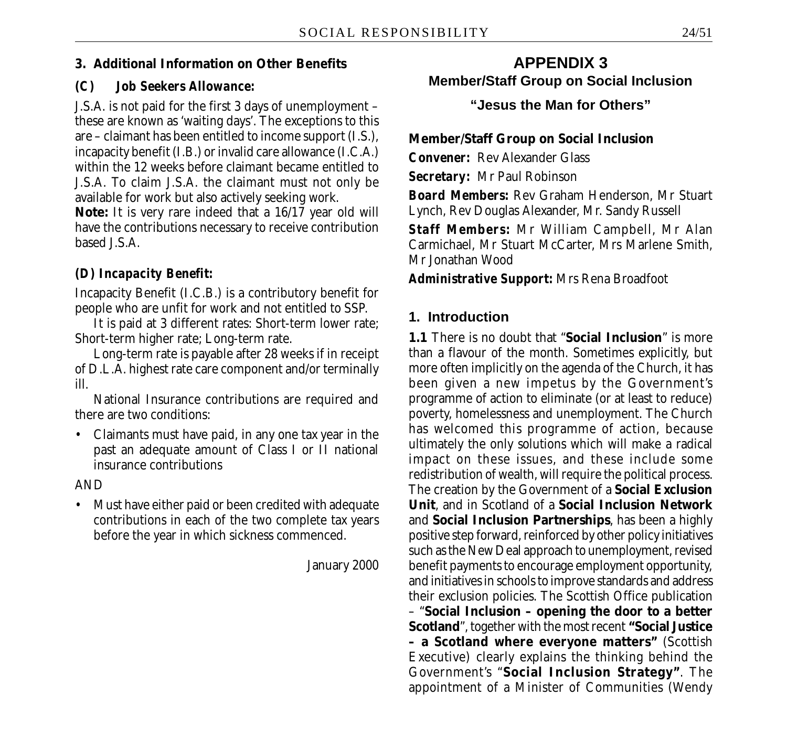#### **3. Additional Information on Other Benefits**

#### *(C) Job Seekers Allowance:*

J.S.A. is not paid for the first 3 days of unemployment – these are known as 'waiting days'. The exceptions to this are – claimant has been entitled to income support (I.S.), incapacity benefit (I.B.) or invalid care allowance (I.C.A.) within the 12 weeks before claimant became entitled to J.S.A. To claim J.S.A. the claimant must not only be available for work but also actively seeking work.

**Note:** It is very rare indeed that a 16/17 year old will have the contributions necessary to receive contribution based J.S.A.

#### *(D) Incapacity Benefit:*

Incapacity Benefit (I.C.B.) is a contributory benefit for people who are unfit for work and not entitled to SSP.

It is paid at 3 different rates: Short-term lower rate; Short-term higher rate; Long-term rate.

Long-term rate is payable after 28 weeks if in receipt of D.L.A. highest rate care component and/or terminally ill.

National Insurance contributions are required and there are two conditions:

• Claimants must have paid, in any one tax year in the past an adequate amount of Class I or II national insurance contributions

AND

• Must have either paid or been credited with adequate contributions in each of the two complete tax years before the year in which sickness commenced.

January 2000

# **APPENDIX 3 Member/Staff Group on Social Inclusion**

**"Jesus the Man for Others"**

**Member/Staff Group on Social Inclusion**

*Convener:* Rev Alexander Glass

*Secretary:* Mr Paul Robinson

*Board Members:* Rev Graham Henderson, Mr Stuart Lynch, Rev Douglas Alexander, Mr. Sandy Russell

*Staff Members:* Mr William Campbell, Mr Alan Carmichael, Mr Stuart McCarter, Mrs Marlene Smith, Mr Jonathan Wood

*Administrative Support:* Mrs Rena Broadfoot

### **1. Introduction**

**1.1** There is no doubt that "**Social Inclusion**" is more than a flavour of the month. Sometimes explicitly, but more often implicitly on the agenda of the Church, it has been given a new impetus by the Government's programme of action to eliminate (or at least to reduce) poverty, homelessness and unemployment. The Church has welcomed this programme of action, because ultimately the only solutions which will make a radical impact on these issues, and these include some redistribution of wealth, will require the political process. The creation by the Government of a **Social Exclusion Unit**, and in Scotland of a **Social Inclusion Network** and **Social Inclusion Partnerships**, has been a highly positive step forward, reinforced by other policy initiatives such as the New Deal approach to unemployment, revised benefit payments to encourage employment opportunity, and initiatives in schools to improve standards and address their exclusion policies. The Scottish Office publication – "**Social Inclusion – opening the door to a better Scotland**", together with the most recent **"Social Justice – a Scotland where everyone matters"** (Scottish Executive) clearly explains the thinking behind the Government's "**Social Inclusion Strategy"**. The appointment of a Minister of Communities (Wendy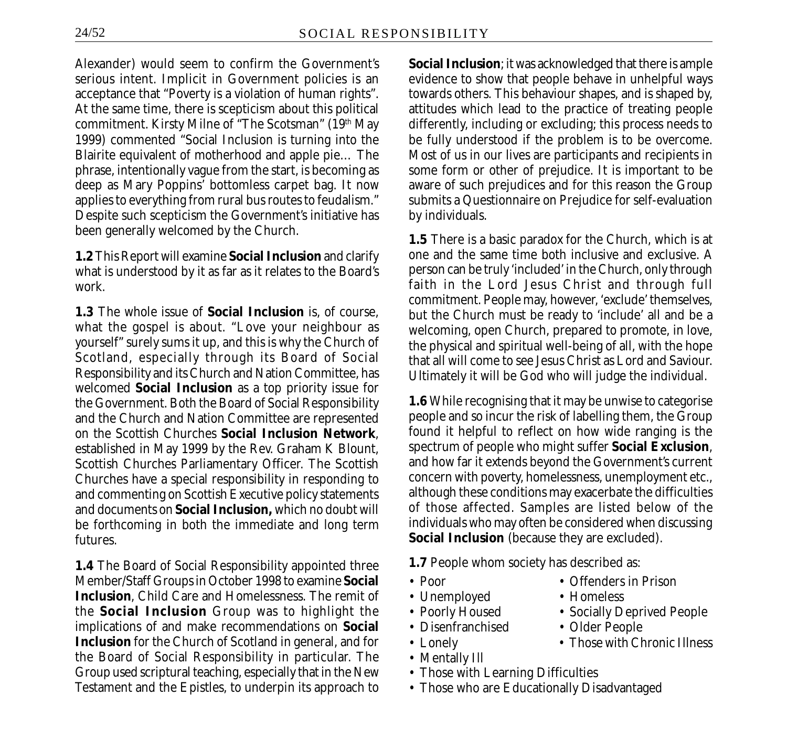Alexander) would seem to confirm the Government's serious intent. Implicit in Government policies is an acceptance that "Poverty is a violation of human rights". At the same time, there is scepticism about this political commitment. Kirsty Milne of "The Scotsman" (19th May 1999) commented "Social Inclusion is turning into the Blairite equivalent of motherhood and apple pie… The phrase, intentionally vague from the start, is becoming as deep as Mary Poppins' bottomless carpet bag. It now applies to everything from rural bus routes to feudalism." Despite such scepticism the Government's initiative has been generally welcomed by the Church.

**1.2** This Report will examine **Social Inclusion** and clarify what is understood by it as far as it relates to the Board's work.

**1.3** The whole issue of **Social Inclusion** is, of course, what the gospel is about. "Love your neighbour as yourself" surely sums it up, and this is why the Church of Scotland, especially through its Board of Social Responsibility and its Church and Nation Committee, has welcomed **Social Inclusion** as a top priority issue for the Government. Both the Board of Social Responsibility and the Church and Nation Committee are represented on the Scottish Churches **Social Inclusion Network**, established in May 1999 by the Rev. Graham K Blount, Scottish Churches Parliamentary Officer. The Scottish Churches have a special responsibility in responding to and commenting on Scottish Executive policy statements and documents on **Social Inclusion,** which no doubt will be forthcoming in both the immediate and long term futures.

**1.4** The Board of Social Responsibility appointed three Member/Staff Groups in October 1998 to examine **Social Inclusion**, Child Care and Homelessness. The remit of the **Social Inclusion** Group was to highlight the implications of and make recommendations on **Social Inclusion** for the Church of Scotland in general, and for the Board of Social Responsibility in particular. The Group used scriptural teaching, especially that in the New Testament and the Epistles, to underpin its approach to

**Social Inclusion**; it was acknowledged that there is ample evidence to show that people behave in unhelpful ways towards others. This behaviour shapes, and is shaped by, attitudes which lead to the practice of treating people differently, including or excluding; this process needs to be fully understood if the problem is to be overcome. Most of us in our lives are participants and recipients in some form or other of prejudice. It is important to be aware of such prejudices and for this reason the Group submits a Questionnaire on Prejudice for self-evaluation by individuals.

**1.5** There is a basic paradox for the Church, which is at one and the same time both inclusive and exclusive. A person can be truly 'included' in the Church, only through faith in the Lord Jesus Christ and through full commitment. People may, however, 'exclude' themselves, but the Church must be ready to 'include' all and be a welcoming, open Church, prepared to promote, in love, the physical and spiritual well-being of all, with the hope that all will come to see Jesus Christ as Lord and Saviour. Ultimately it will be God who will judge the individual.

**1.6** While recognising that it may be unwise to categorise people and so incur the risk of labelling them, the Group found it helpful to reflect on how wide ranging is the spectrum of people who might suffer **Social Exclusion**, and how far it extends beyond the Government's current concern with poverty, homelessness, unemployment etc., although these conditions may exacerbate the difficulties of those affected. Samples are listed below of the individuals who may often be considered when discussing **Social Inclusion** (because they are excluded).

**1.7** People whom society has described as:

- 
- 
- 
- Disenfranchised Older People
- Lonely Those with Chronic Illness
- Mentally Ill
- Those with Learning Difficulties
- Those who are Educationally Disadvantaged
- Poor Offenders in Prison
	-
- Poorly Housed Socially Deprived People

- Unemployed Homeless
	-
	-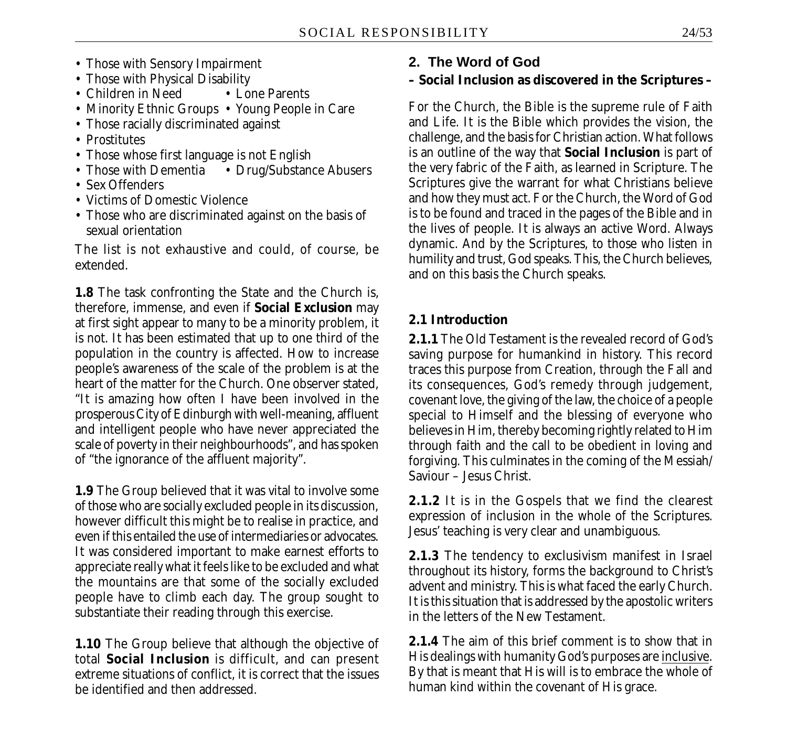- Those with Sensory Impairment
- 
- Those with Physical Disability<br>• Children in Need Lone Parents • Children in Need
- Minority Ethnic Groups Young People in Care
- Those racially discriminated against
- Prostitutes
- Those whose first language is not English<br>• Those with Dementia Drug/Substan
- Drug/Substance Abusers
- Sex Offenders
- Victims of Domestic Violence
- Those who are discriminated against on the basis of sexual orientation

The list is not exhaustive and could, of course, be extended.

**1.8** The task confronting the State and the Church is, therefore, immense, and even if **Social Exclusion** may at first sight appear to many to be a minority problem, it is not. It has been estimated that up to one third of the population in the country is affected. How to increase people's awareness of the scale of the problem is at the heart of the matter for the Church. One observer stated, "It is amazing how often I have been involved in the prosperous City of Edinburgh with well-meaning, affluent and intelligent people who have never appreciated the scale of poverty in their neighbourhoods", and has spoken of "the ignorance of the affluent majority".

**1.9** The Group believed that it was vital to involve some of those who are socially excluded people in its discussion, however difficult this might be to realise in practice, and even if this entailed the use of intermediaries or advocates. It was considered important to make earnest efforts to appreciate really what it feels like to be excluded and what the mountains are that some of the socially excluded people have to climb each day. The group sought to substantiate their reading through this exercise.

**1.10** The Group believe that although the objective of total **Social Inclusion** is difficult, and can present extreme situations of conflict, it is correct that the issues be identified and then addressed.

# **2. The Word of God**

# **– Social Inclusion as discovered in the Scriptures –**

For the Church, the Bible is the supreme rule of Faith and Life. It is the Bible which provides the vision, the challenge, and the basis for Christian action. What follows is an outline of the way that **Social Inclusion** is part of the very fabric of the Faith, as learned in Scripture. The Scriptures give the warrant for what Christians believe and how they must act. For the Church, the Word of God is to be found and traced in the pages of the Bible and in the lives of people. It is always an active Word. Always dynamic. And by the Scriptures, to those who listen in humility and trust, God speaks. This, the Church believes, and on this basis the Church speaks.

### **2.1 Introduction**

**2.1.1** The Old Testament is the revealed record of God's saving purpose for humankind in history. This record traces this purpose from Creation, through the Fall and its consequences, God's remedy through judgement, covenant love, the giving of the law, the choice of a people special to Himself and the blessing of everyone who believes in Him, thereby becoming rightly related to Him through faith and the call to be obedient in loving and forgiving. This culminates in the coming of the Messiah/ Saviour – Jesus Christ.

**2.1.2** It is in the Gospels that we find the clearest expression of inclusion in the whole of the Scriptures. Jesus' teaching is very clear and unambiguous.

**2.1.3** The tendency to exclusivism manifest in Israel throughout its history, forms the background to Christ's advent and ministry. This is what faced the early Church. It is this situation that is addressed by the apostolic writers in the letters of the New Testament.

**2.1.4** The aim of this brief comment is to show that in His dealings with humanity God's purposes are inclusive. By that is meant that His will is to embrace the whole of human kind within the covenant of His grace.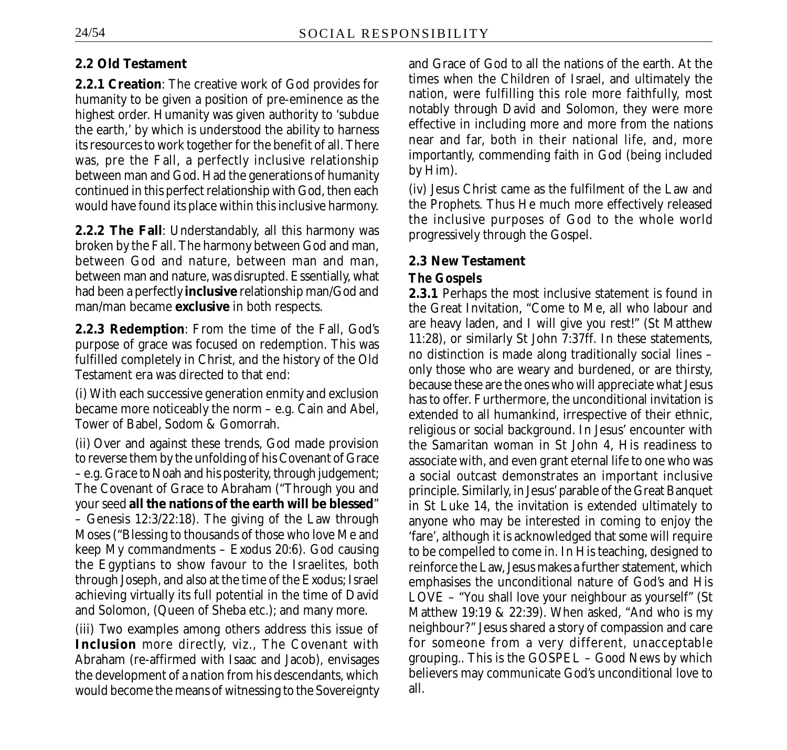### **2.2 Old Testament**

**2.2.1 Creation**: The creative work of God provides for humanity to be given a position of pre-eminence as the highest order. Humanity was given authority to 'subdue the earth,' by which is understood the ability to harness its resources to work together for the benefit of all. There was, pre the Fall, a perfectly inclusive relationship between man and God. Had the generations of humanity continued in this perfect relationship with God, then each would have found its place within this inclusive harmony.

**2.2.2 The Fall**: Understandably, all this harmony was broken by the Fall. The harmony between God and man, between God and nature, between man and man, between man and nature, was disrupted. Essentially, what had been a perfectly **inclusive** relationship man/God and man/man became **exclusive** in both respects.

**2.2.3 Redemption**: From the time of the Fall, God's purpose of grace was focused on redemption. This was fulfilled completely in Christ, and the history of the Old Testament era was directed to that end:

(i) With each successive generation enmity and exclusion became more noticeably the norm – e.g. Cain and Abel, Tower of Babel, Sodom & Gomorrah.

(ii) Over and against these trends, God made provision to reverse them by the unfolding of his Covenant of Grace – e.g. Grace to Noah and his posterity, through judgement; The Covenant of Grace to Abraham ("Through you and your seed **all the nations of the earth will be blessed**" – Genesis 12:3/22:18). The giving of the Law through Moses ("Blessing to thousands of those who love Me and keep My commandments – Exodus 20:6). God causing the Egyptians to show favour to the Israelites, both through Joseph, and also at the time of the Exodus; Israel achieving virtually its full potential in the time of David and Solomon, (Queen of Sheba etc.); and many more.

(iii) Two examples among others address this issue of **Inclusion** more directly, viz., The Covenant with Abraham (re-affirmed with Isaac and Jacob), envisages the development of a nation from his descendants, which would become the means of witnessing to the Sovereignty and Grace of God to all the nations of the earth. At the times when the Children of Israel, and ultimately the nation, were fulfilling this role more faithfully, most notably through David and Solomon, they were more effective in including more and more from the nations near and far, both in their national life, and, more importantly, commending faith in God (being included by Him).

(iv) Jesus Christ came as the fulfilment of the Law and the Prophets. Thus He much more effectively released the inclusive purposes of God to the whole world progressively through the Gospel.

# **2.3 New Testament**

# *The Gospels*

**2.3.1** Perhaps the most inclusive statement is found in the Great Invitation, "Come to Me, all who labour and are heavy laden, and I will give you rest!" (St Matthew 11:28), or similarly St John 7:37ff. In these statements, no distinction is made along traditionally social lines – only those who are weary and burdened, or are thirsty, because these are the ones who will appreciate what Jesus has to offer. Furthermore, the unconditional invitation is extended to all humankind, irrespective of their ethnic, religious or social background. In Jesus' encounter with the Samaritan woman in St John 4, His readiness to associate with, and even grant eternal life to one who was a social outcast demonstrates an important inclusive principle. Similarly, in Jesus' parable of the Great Banquet in St Luke 14, the invitation is extended ultimately to anyone who may be interested in coming to enjoy the 'fare', although it is acknowledged that some will require to be compelled to come in. In His teaching, designed to reinforce the Law, Jesus makes a further statement, which emphasises the unconditional nature of God's and His LOVE – "You shall love your neighbour as yourself" (St Matthew 19:19 & 22:39). When asked, "And who is my neighbour?" Jesus shared a story of compassion and care for someone from a very different, unacceptable grouping.. This is the GOSPEL – Good News by which believers may communicate God's unconditional love to all.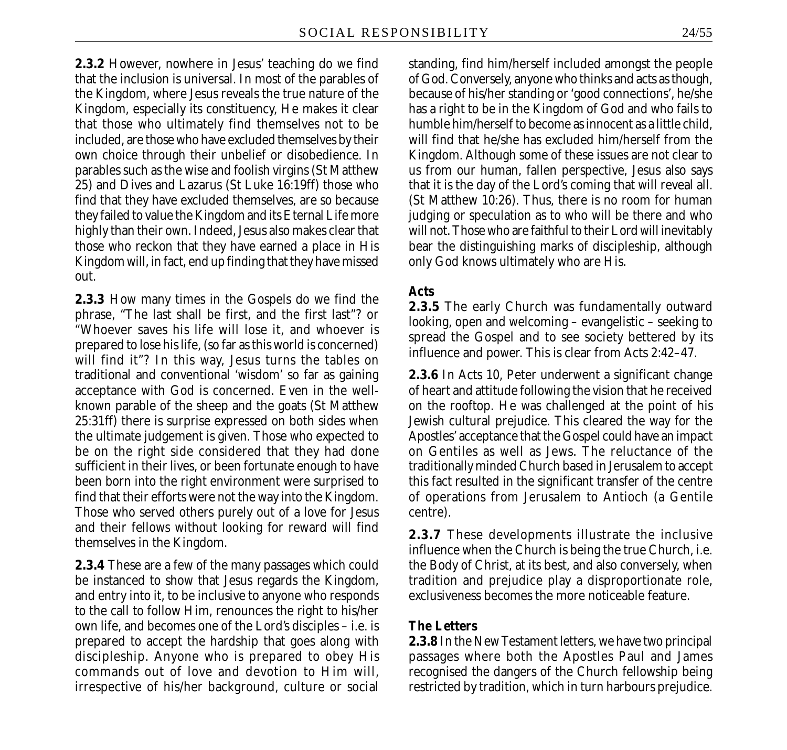**2.3.2** However, nowhere in Jesus' teaching do we find that the inclusion is universal. In most of the parables of the Kingdom, where Jesus reveals the true nature of the Kingdom, especially its constituency, He makes it clear that those who ultimately find themselves not to be included, are those who have excluded themselves by their own choice through their unbelief or disobedience. In parables such as the wise and foolish virgins (St Matthew 25) and Dives and Lazarus (St Luke 16:19ff) those who find that they have excluded themselves, are so because they failed to value the Kingdom and its Eternal Life more highly than their own. Indeed, Jesus also makes clear that those who reckon that they have earned a place in His Kingdom will, in fact, end up finding that they have missed out.

**2.3.3** How many times in the Gospels do we find the phrase, "The last shall be first, and the first last"? or "Whoever saves his life will lose it, and whoever is prepared to lose his life, (so far as this world is concerned) will find it"? In this way, Jesus turns the tables on traditional and conventional 'wisdom' so far as gaining acceptance with God is concerned. Even in the wellknown parable of the sheep and the goats (St Matthew 25:31ff) there is surprise expressed on both sides when the ultimate judgement is given. Those who expected to be on the right side considered that they had done sufficient in their lives, or been fortunate enough to have been born into the right environment were surprised to find that their efforts were not the way into the Kingdom. Those who served others purely out of a love for Jesus and their fellows without looking for reward will find themselves in the Kingdom.

**2.3.4** These are a few of the many passages which could be instanced to show that Jesus regards the Kingdom, and entry into it, to be inclusive to anyone who responds to the call to follow Him, renounces the right to his/her own life, and becomes one of the Lord's disciples – i.e. is prepared to accept the hardship that goes along with discipleship. Anyone who is prepared to obey His commands out of love and devotion to Him will, irrespective of his/her background, culture or social

standing, find him/herself included amongst the people of God. Conversely, anyone who thinks and acts as though, because of his/her standing or 'good connections', he/she has a right to be in the Kingdom of God and who fails to humble him/herself to become as innocent as a little child, will find that he/she has excluded him/herself from the Kingdom. Although some of these issues are not clear to us from our human, fallen perspective, Jesus also says that it is the day of the Lord's coming that will reveal all. (St Matthew 10:26). Thus, there is no room for human judging or speculation as to who will be there and who will not. Those who are faithful to their Lord will inevitably bear the distinguishing marks of discipleship, although only God knows ultimately who are His.

#### *Acts*

**2.3.5** The early Church was fundamentally outward looking, open and welcoming – evangelistic – seeking to spread the Gospel and to see society bettered by its influence and power. This is clear from Acts 2:42–47.

**2.3.6** In Acts 10, Peter underwent a significant change of heart and attitude following the vision that he received on the rooftop. He was challenged at the point of his Jewish cultural prejudice. This cleared the way for the Apostles' acceptance that the Gospel could have an impact on Gentiles as well as Jews. The reluctance of the traditionally minded Church based in Jerusalem to accept this fact resulted in the significant transfer of the centre of operations from Jerusalem to Antioch (a Gentile centre).

**2.3.7** These developments illustrate the inclusive influence when the Church is being the true Church, i.e. the Body of Christ, at its best, and also conversely, when tradition and prejudice play a disproportionate role, exclusiveness becomes the more noticeable feature.

#### *The Letters*

**2.3.8** In the New Testament letters, we have two principal passages where both the Apostles Paul and James recognised the dangers of the Church fellowship being restricted by tradition, which in turn harbours prejudice.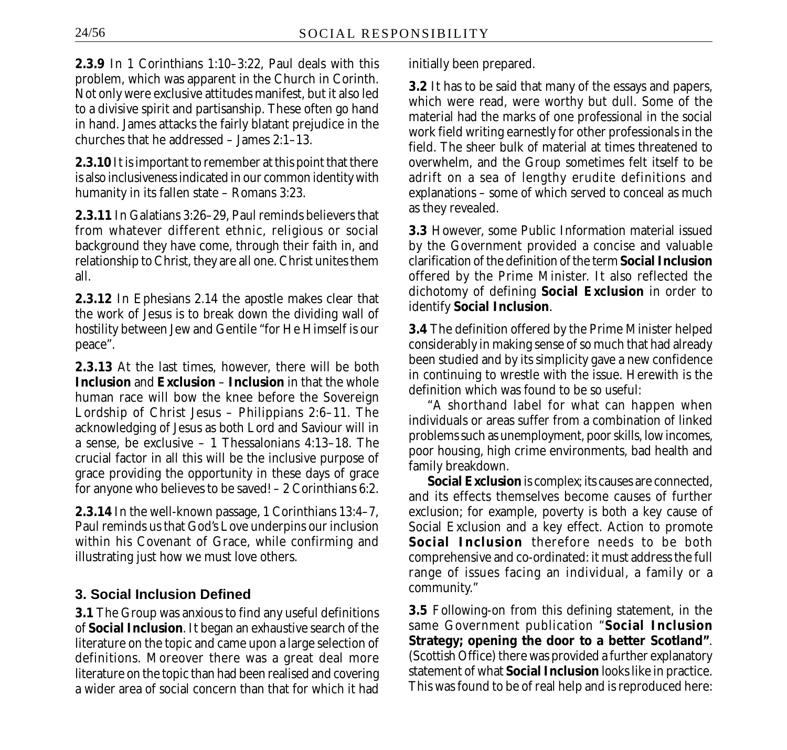**2.3.9** In 1 Corinthians 1:10–3:22, Paul deals with this problem, which was apparent in the Church in Corinth. Not only were exclusive attitudes manifest, but it also led to a divisive spirit and partisanship. These often go hand in hand. James attacks the fairly blatant prejudice in the churches that he addressed – James 2:1–13.

**2.3.10** It is important to remember at this point that there is also inclusiveness indicated in our common identity with humanity in its fallen state – Romans 3:23.

**2.3.11** In Galatians 3:26–29, Paul reminds believers that from whatever different ethnic, religious or social background they have come, through their faith in, and relationship to Christ, they are all one. Christ unites them all.

**2.3.12** In Ephesians 2.14 the apostle makes clear that the work of Jesus is to break down the dividing wall of hostility between Jew and Gentile "for He Himself is our peace".

**2.3.13** At the last times, however, there will be both **Inclusion** and **Exclusion** – **Inclusion** in that the whole human race will bow the knee before the Sovereign Lordship of Christ Jesus – Philippians 2:6–11. The acknowledging of Jesus as both Lord and Saviour will in a sense, be exclusive – 1 Thessalonians 4:13–18. The crucial factor in all this will be the inclusive purpose of grace providing the opportunity in these days of grace for anyone who believes to be saved! – 2 Corinthians 6:2.

**2.3.14** In the well-known passage, 1 Corinthians 13:4–7, Paul reminds us that God's Love underpins our inclusion within his Covenant of Grace, while confirming and illustrating just how we must love others.

# **3. Social Inclusion Defined**

**3.1** The Group was anxious to find any useful definitions of **Social Inclusion**. It began an exhaustive search of the literature on the topic and came upon a large selection of definitions. Moreover there was a great deal more literature on the topic than had been realised and covering a wider area of social concern than that for which it had initially been prepared.

**3.2** It has to be said that many of the essays and papers, which were read, were worthy but dull. Some of the material had the marks of one professional in the social work field writing earnestly for other professionals in the field. The sheer bulk of material at times threatened to overwhelm, and the Group sometimes felt itself to be adrift on a sea of lengthy erudite definitions and explanations – some of which served to conceal as much as they revealed.

**3.3** However, some Public Information material issued by the Government provided a concise and valuable clarification of the definition of the term **Social Inclusion** offered by the Prime Minister. It also reflected the dichotomy of defining **Social Exclusion** in order to identify **Social Inclusion**.

**3.4** The definition offered by the Prime Minister helped considerably in making sense of so much that had already been studied and by its simplicity gave a new confidence in continuing to wrestle with the issue. Herewith is the definition which was found to be so useful:

"A shorthand label for what can happen when individuals or areas suffer from a combination of linked problems such as unemployment, poor skills, low incomes, poor housing, high crime environments, bad health and family breakdown.

**Social Exclusion** is complex; its causes are connected, and its effects themselves become causes of further exclusion; for example, poverty is both a key cause of Social Exclusion and a key effect. Action to promote **Social Inclusion** therefore needs to be both comprehensive and co-ordinated: it must address the full range of issues facing an individual, a family or a community."

**3.5** Following-on from this defining statement, in the same Government publication "**Social Inclusion Strategy; opening the door to a better Scotland"***.* (Scottish Office) there was provided a further explanatory statement of what **Social Inclusion** looks like in practice. This was found to be of real help and is reproduced here: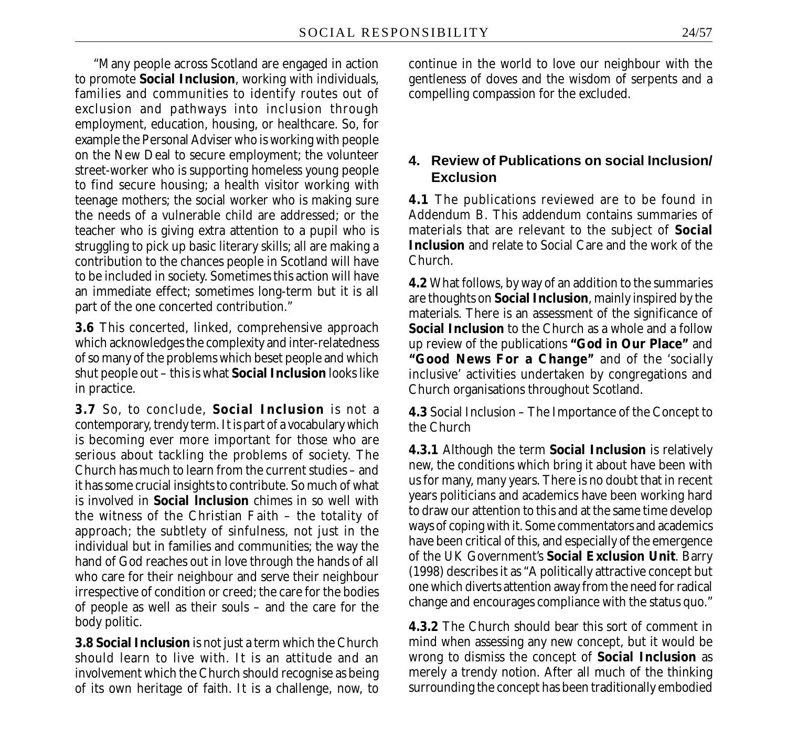"Many people across Scotland are engaged in action to promote **Social Inclusion**, working with individuals, families and communities to identify routes out of exclusion and pathways into inclusion through employment, education, housing, or healthcare. So, for example the Personal Adviser who is working with people on the New Deal to secure employment; the volunteer street-worker who is supporting homeless young people to find secure housing; a health visitor working with teenage mothers; the social worker who is making sure the needs of a vulnerable child are addressed; or the teacher who is giving extra attention to a pupil who is struggling to pick up basic literary skills; all are making a contribution to the chances people in Scotland will have to be included in society. Sometimes this action will have an immediate effect; sometimes long-term but it is all part of the one concerted contribution."

**3.6** This concerted, linked, comprehensive approach which acknowledges the complexity and inter-relatedness of so many of the problems which beset people and which shut people out – this is what **Social Inclusion** looks like in practice.

**3.7** So, to conclude, **Social Inclusion** is not a contemporary, trendy term. It is part of a vocabulary which is becoming ever more important for those who are serious about tackling the problems of society. The Church has much to learn from the current studies – and it has some crucial insights to contribute. So much of what is involved in **Social lnclusion** chimes in so well with the witness of the Christian Faith – the totality of approach; the subtlety of sinfulness, not just in the individual but in families and communities; the way the hand of God reaches out in love through the hands of all who care for their neighbour and serve their neighbour irrespective of condition or creed; the care for the bodies of people as well as their souls – and the care for the body politic.

**3.8 Social Inclusion** is not just a term which the Church should learn to live with. It is an attitude and an involvement which the Church should recognise as being of its own heritage of faith. It is a challenge, now, to continue in the world to love our neighbour with the gentleness of doves and the wisdom of serpents and a compelling compassion for the excluded.

### **4. Review of Publications on social Inclusion/ Exclusion**

**4.1** The publications reviewed are to be found in Addendum B. This addendum contains summaries of materials that are relevant to the subject of **Social Inclusion** and relate to Social Care and the work of the Church.

**4.2** What follows, by way of an addition to the summaries are thoughts on **Social Inclusion**, mainly inspired by the materials. There is an assessment of the significance of **Social Inclusion** to the Church as a whole and a follow up review of the publications **"God in Our Place***"* and **"Good News For a Change***"* and of the 'socially inclusive' activities undertaken by congregations and Church organisations throughout Scotland.

**4.3** Social Inclusion – The Importance of the Concept to the Church

**4.3.1** Although the term **Social Inclusion** is relatively new, the conditions which bring it about have been with us for many, many years. There is no doubt that in recent years politicians and academics have been working hard to draw our attention to this and at the same time develop ways of coping with it. Some commentators and academics have been critical of this, and especially of the emergence of the UK Government's **Social Exclusion Unit**. Barry (1998) describes it as "A politically attractive concept but one which diverts attention away from the need for radical change and encourages compliance with the status quo."

**4.3.2** The Church should bear this sort of comment in mind when assessing any new concept, but it would be wrong to dismiss the concept of **Social Inclusion** as merely a trendy notion. After all much of the thinking surrounding the concept has been traditionally embodied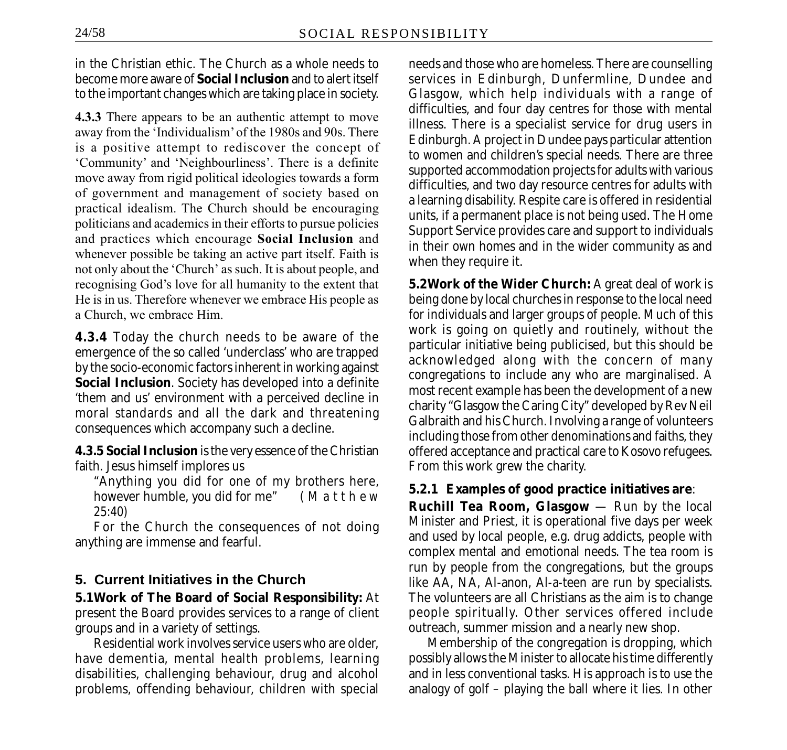in the Christian ethic. The Church as a whole needs to become more aware of **Social Inclusion** and to alert itself to the important changes which are taking place in society.

**4.3.3** There appears to be an authentic attempt to move away from the 'Individualism' of the 1980s and 90s. There is a positive attempt to rediscover the concept of 'Community' and 'Neighbourliness'. There is a definite move away from rigid political ideologies towards a form of government and management of society based on practical idealism. The Church should be encouraging politicians and academics in their efforts to pursue policies and practices which encourage **Social Inclusion** and whenever possible be taking an active part itself. Faith is not only about the 'Church' as such. It is about people, and recognising God's love for all humanity to the extent that He is in us. Therefore whenever we embrace His people as a Church, we embrace Him.

**4.3.4** Today the church needs to be aware of the emergence of the so called 'underclass' who are trapped by the socio-economic factors inherent in working against **Social Inclusion**. Society has developed into a definite 'them and us' environment with a perceived decline in moral standards and all the dark and threatening consequences which accompany such a decline.

**4.3.5 Social Inclusion** is the very essence of the Christian faith. Jesus himself implores us

"Anything you did for one of my brothers here, however humble, you did for me" ( *Matthew 25:40)*

For the Church the consequences of not doing anything are immense and fearful.

### **5. Current Initiatives in the Church**

**5.1Work of The Board of Social Responsibility:** At present the Board provides services to a range of client groups and in a variety of settings.

Residential work involves service users who are older, have dementia, mental health problems, learning disabilities, challenging behaviour, drug and alcohol problems, offending behaviour, children with special

needs and those who are homeless. There are counselling services in Edinburgh, Dunfermline, Dundee and Glasgow, which help individuals with a range of difficulties, and four day centres for those with mental illness. There is a specialist service for drug users in Edinburgh. A project in Dundee pays particular attention to women and children's special needs. There are three supported accommodation projects for adults with various difficulties, and two day resource centres for adults with a learning disability. Respite care is offered in residential units, if a permanent place is not being used. The Home Support Service provides care and support to individuals in their own homes and in the wider community as and when they require it.

**5.2Work of the Wider Church:** A great deal of work is being done by local churches in response to the local need for individuals and larger groups of people. Much of this work is going on quietly and routinely, without the particular initiative being publicised, but this should be acknowledged along with the concern of many congregations to include any who are marginalised. A most recent example has been the development of a new charity "Glasgow the Caring City" developed by Rev Neil Galbraith and his Church. Involving a range of volunteers including those from other denominations and faiths, they offered acceptance and practical care to Kosovo refugees. From this work grew the charity.

#### **5.2.1 Examples of good practice initiatives are**:

**Ruchill Tea Room, Glasgow** — Run by the local Minister and Priest, it is operational five days per week and used by local people, e.g. drug addicts, people with complex mental and emotional needs. The tea room is run by people from the congregations, but the groups like AA, NA, Al-anon, Al-a-teen are run by specialists. The volunteers are all Christians as the aim is to change people spiritually. Other services offered include outreach, summer mission and a nearly new shop.

Membership of the congregation is dropping, which possibly allows the Minister to allocate his time differently and in less conventional tasks. His approach is to use the analogy of golf – playing the ball where it lies. In other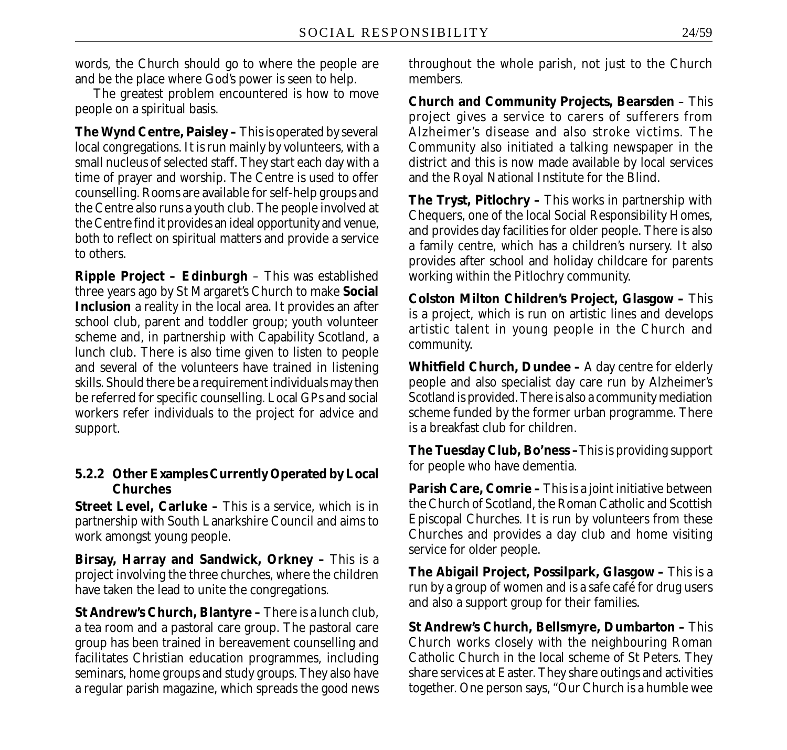words, the Church should go to where the people are and be the place where God's power is seen to help.

The greatest problem encountered is how to move people on a spiritual basis.

**The Wynd Centre, Paisley –** This is operated by several local congregations. It is run mainly by volunteers, with a small nucleus of selected staff. They start each day with a time of prayer and worship. The Centre is used to offer counselling. Rooms are available for self-help groups and the Centre also runs a youth club. The people involved at the Centre find it provides an ideal opportunity and venue, both to reflect on spiritual matters and provide a service to others.

**Ripple Project – Edinburgh** – This was established three years ago by St Margaret's Church to make **Social Inclusion** a reality in the local area. It provides an after school club, parent and toddler group; youth volunteer scheme and, in partnership with Capability Scotland, a lunch club. There is also time given to listen to people and several of the volunteers have trained in listening skills. Should there be a requirement individuals may then be referred for specific counselling. Local GPs and social workers refer individuals to the project for advice and support.

### **5.2.2 Other Examples Currently Operated by Local Churches**

**Street Level, Carluke –** This is a service, which is in partnership with South Lanarkshire Council and aims to work amongst young people.

**Birsay, Harray and Sandwick, Orkney –** This is a project involving the three churches, where the children have taken the lead to unite the congregations.

**St Andrew's Church, Blantyre –** There is a lunch club, a tea room and a pastoral care group. The pastoral care group has been trained in bereavement counselling and facilitates Christian education programmes, including seminars, home groups and study groups. They also have a regular parish magazine, which spreads the good news throughout the whole parish, not just to the Church members.

**Church and Community Projects, Bearsden** – This project gives a service to carers of sufferers from Alzheimer's disease and also stroke victims. The Community also initiated a talking newspaper in the district and this is now made available by local services and the Royal National Institute for the Blind.

**The Tryst, Pitlochry –** This works in partnership with Chequers, one of the local Social Responsibility Homes, and provides day facilities for older people. There is also a family centre, which has a children's nursery. It also provides after school and holiday childcare for parents working within the Pitlochry community.

**Colston Milton Children's Project, Glasgow –** This is a project, which is run on artistic lines and develops artistic talent in young people in the Church and community.

**Whitfield Church, Dundee –** A day centre for elderly people and also specialist day care run by Alzheimer's Scotland is provided. There is also a community mediation scheme funded by the former urban programme. There is a breakfast club for children.

**The Tuesday Club, Bo'ness –**This is providing support for people who have dementia.

**Parish Care, Comrie –** This is a joint initiative between the Church of Scotland, the Roman Catholic and Scottish Episcopal Churches. It is run by volunteers from these Churches and provides a day club and home visiting service for older people.

**The Abigail Project, Possilpark, Glasgow –** This is a run by a group of women and is a safe café for drug users and also a support group for their families.

**St Andrew's Church, Bellsmyre, Dumbarton –** This Church works closely with the neighbouring Roman Catholic Church in the local scheme of St Peters. They share services at Easter. They share outings and activities together. One person says, "Our Church is a humble wee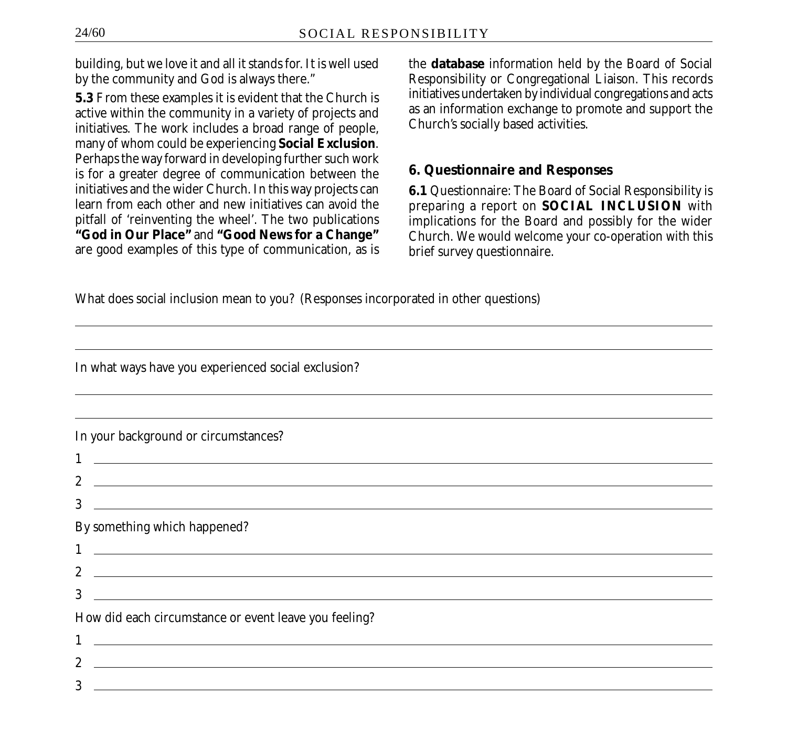building, but we love it and all it stands for. It is well used by the community and God is always there."

**5.3** From these examples it is evident that the Church is active within the community in a variety of projects and initiatives. The work includes a broad range of people, many of whom could be experiencing **Social Exclusion**. Perhaps the way forward in developing further such work is for a greater degree of communication between the initiatives and the wider Church. In this way projects can learn from each other and new initiatives can avoid the pitfall of 'reinventing the wheel'. The two publications **"God in Our Place"** and **"Good News for a Change"** are good examples of this type of communication, as is the **database** information held by the Board of Social Responsibility or Congregational Liaison. This records initiatives undertaken by individual congregations and acts as an information exchange to promote and support the Church's socially based activities.

#### **6. Questionnaire and Responses**

**6.1** Questionnaire: The Board of Social Responsibility is preparing a report on **SOCIAL INCLUSION** with implications for the Board and possibly for the wider Church. We would welcome your co-operation with this brief survey questionnaire.

What does social inclusion mean to you? (Responses incorporated in other questions)

In what ways have you experienced social exclusion?

| In your background or circumstances?                                                                                                                                                                                                |
|-------------------------------------------------------------------------------------------------------------------------------------------------------------------------------------------------------------------------------------|
|                                                                                                                                                                                                                                     |
| 2 $\sim$                                                                                                                                                                                                                            |
| 3                                                                                                                                                                                                                                   |
| By something which happened?                                                                                                                                                                                                        |
| $1$ <u>and the contract of the contract of the contract of the contract of the contract of the contract of the contract of the contract of the contract of the contract of the contract of the contract of the contract of the </u> |
|                                                                                                                                                                                                                                     |
| 3<br><u> 1989 - Andrea State Barbara, amerikan bahasa ing kabupatèn Barbara di Barbara di Barbara di Barbara di Barbara</u>                                                                                                         |
| How did each circumstance or event leave you feeling?                                                                                                                                                                               |
|                                                                                                                                                                                                                                     |
| $\overline{2}$<br><u> Alexandria de la contrada de la contrada de la contrada de la contrada de la contrada de la contrada de la c</u>                                                                                              |
| 3                                                                                                                                                                                                                                   |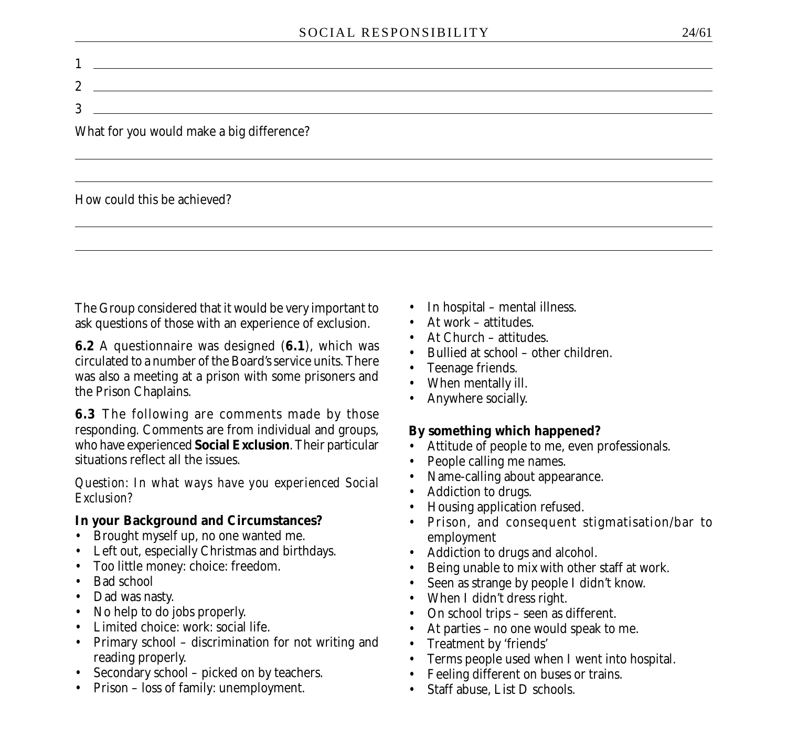$1 \overline{\phantom{a}}$ 2 3

What for you would make a big difference?

How could this be achieved?

The Group considered that it would be very important to ask questions of those with an experience of exclusion.

**6.2** A questionnaire was designed (**6.1**), which was circulated to a number of the Board's service units. There was also a meeting at a prison with some prisoners and the Prison Chaplains.

**6.3** The following are comments made by those responding. Comments are from individual and groups, who have experienced **Social Exclusion**. Their particular situations reflect all the issues.

*Question: In what ways have you experienced Social Exclusion?*

#### **In your Background and Circumstances?**

- Brought myself up, no one wanted me.
- Left out, especially Christmas and birthdays.
- Too little money: choice: freedom.
- Bad school
- Dad was nasty.
- No help to do jobs properly.
- Limited choice: work: social life.
- Primary school discrimination for not writing and reading properly.
- Secondary school picked on by teachers.
- Prison loss of family: unemployment.
- In hospital mental illness.
- At work attitudes.
- At Church attitudes
- Bullied at school other children.
- Teenage friends.
- When mentally ill.
- Anywhere socially.

### **By something which happened?**

- Attitude of people to me, even professionals.
- People calling me names.
- Name-calling about appearance.
- Addiction to drugs.
- Housing application refused.
- Prison, and consequent stigmatisation/bar to employment
- Addiction to drugs and alcohol.
- Being unable to mix with other staff at work.
- Seen as strange by people I didn't know.
- When I didn't dress right.
- On school trips seen as different.
- At parties no one would speak to me.
- Treatment by 'friends'
- Terms people used when I went into hospital.
- Feeling different on buses or trains.
- Staff abuse, List D schools.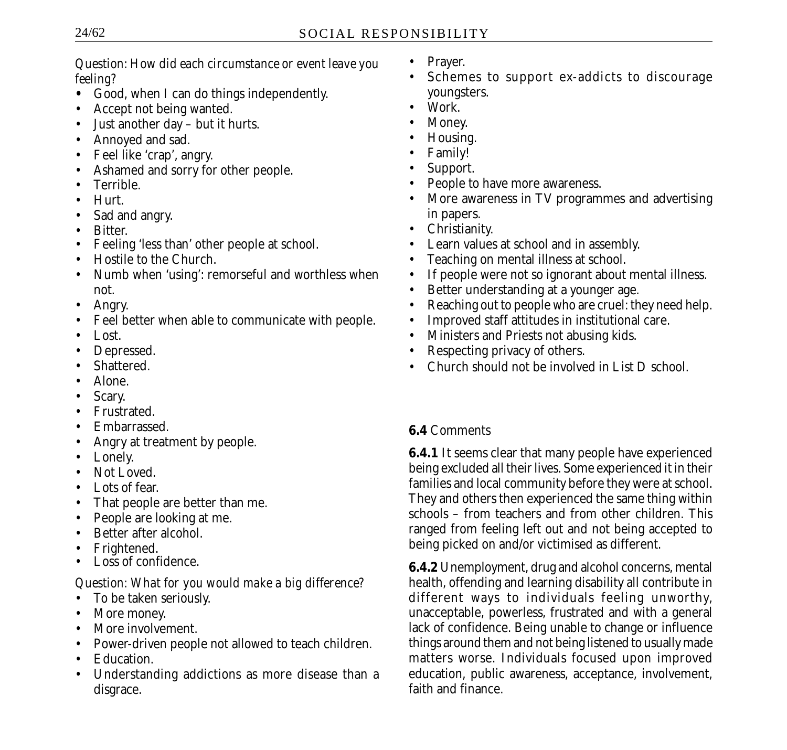*Question: How did each circumstance or event leave you feeling?*

- **•** Good, when I can do things independently.
- Accept not being wanted.
- Just another day but it hurts.
- Annoyed and sad.
- Feel like 'crap', angry.
- Ashamed and sorry for other people.
- Terrible.
- Hurt.
- Sad and angry.
- Bitter.
- Feeling 'less than' other people at school.
- Hostile to the Church
- Numb when 'using': remorseful and worthless when not.
- Angry.
- Feel better when able to communicate with people.
- Lost.
- Depressed.
- Shattered.
- Alone.
- Scary.
- Frustrated.
- Embarrassed.
- Angry at treatment by people.
- Lonely.
- Not Loved.
- Lots of fear.
- That people are better than me.
- People are looking at me.
- Better after alcohol.
- Frightened.
- Loss of confidence.

### *Question: What for you would make a big difference?*

- To be taken seriously.
- More money.
- More involvement.
- Power-driven people not allowed to teach children.
- Education.
- Understanding addictions as more disease than a disgrace.
- Prayer.
- Schemes to support ex-addicts to discourage youngsters.
- Work.
- Money.
- Housing.
- Family!
- Support.
- People to have more awareness.
- More awareness in TV programmes and advertising in papers.
- Christianity.
- Learn values at school and in assembly.
- Teaching on mental illness at school.
- If people were not so ignorant about mental illness.
- Better understanding at a younger age.
- Reaching out to people who are cruel: they need help.
- Improved staff attitudes in institutional care.
- Ministers and Priests not abusing kids.
- Respecting privacy of others.
- Church should not be involved in List D school.

# **6.4** Comments

**6.4.1** It seems clear that many people have experienced being excluded all their lives. Some experienced it in their families and local community before they were at school. They and others then experienced the same thing within schools – from teachers and from other children. This ranged from feeling left out and not being accepted to being picked on and/or victimised as different.

**6.4.2** Unemployment, drug and alcohol concerns, mental health, offending and learning disability all contribute in different ways to individuals feeling unworthy, unacceptable, powerless, frustrated and with a general lack of confidence. Being unable to change or influence things around them and not being listened to usually made matters worse. Individuals focused upon improved education, public awareness, acceptance, involvement, faith and finance.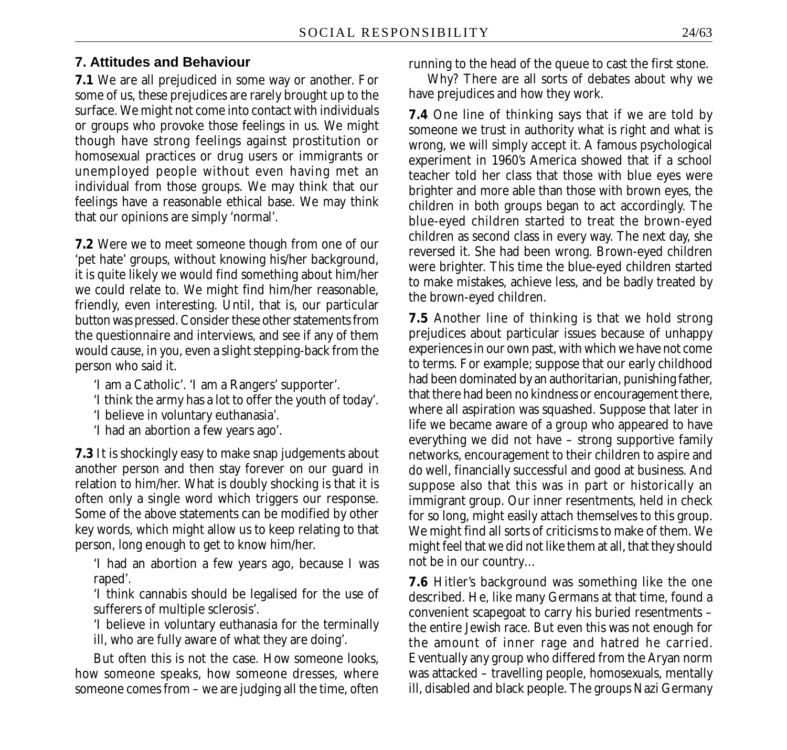#### **7. Attitudes and Behaviour**

**7.1** We are all prejudiced in some way or another. For some of us, these prejudices are rarely brought up to the surface. We might not come into contact with individuals or groups who provoke those feelings in us. We might though have strong feelings against prostitution or homosexual practices or drug users or immigrants or unemployed people without even having met an individual from those groups. We may think that our feelings have a reasonable ethical base. We may think that our opinions are simply 'normal'.

**7.2** Were we to meet someone though from one of our 'pet hate' groups, without knowing his/her background, it is quite likely we would find something about him/her we could relate to. We might find him/her reasonable, friendly, even interesting. Until, that is, our particular button was pressed. Consider these other statements from the questionnaire and interviews, and see if any of them would cause, in you, even a slight stepping-back from the person who said it.

'I am a Catholic'. 'I am a Rangers' supporter'.

'I think the army has a lot to offer the youth of today'.

'I believe in voluntary euthanasia'.

'I had an abortion a few years ago'.

**7.3** It is shockingly easy to make snap judgements about another person and then stay forever on our guard in relation to him/her. What is doubly shocking is that it is often only a single word which triggers our response. Some of the above statements can be modified by other key words, which might allow us to keep relating to that person, long enough to get to know him/her.

'I had an abortion a few years ago, because I was raped'.

'I think cannabis should be legalised for the use of sufferers of multiple sclerosis'.

'I believe in voluntary euthanasia for the terminally ill, who are fully aware of what they are doing'.

But often this is not the case. How someone looks, how someone speaks, how someone dresses, where someone comes from – we are judging all the time, often running to the head of the queue to cast the first stone.

Why? There are all sorts of debates about why we have prejudices and how they work.

**7.4** One line of thinking says that if we are told by someone we trust in authority what is right and what is wrong, we will simply accept it. A famous psychological experiment in 1960's America showed that if a school teacher told her class that those with blue eyes were brighter and more able than those with brown eyes, the children in both groups began to act accordingly. The blue-eyed children started to treat the brown-eyed children as second class in every way. The next day, she reversed it. She had been wrong. Brown-eyed children were brighter. This time the blue-eyed children started to make mistakes, achieve less, and be badly treated by the brown-eyed children.

**7.5** Another line of thinking is that we hold strong prejudices about particular issues because of unhappy experiences in our own past, with which we have not come to terms. For example; suppose that our early childhood had been dominated by an authoritarian, punishing father, that there had been no kindness or encouragement there, where all aspiration was squashed. Suppose that later in life we became aware of a group who appeared to have everything we did not have – strong supportive family networks, encouragement to their children to aspire and do well, financially successful and good at business. And suppose also that this was in part or historically an immigrant group. Our inner resentments, held in check for so long, might easily attach themselves to this group. We might find all sorts of criticisms to make of them. We might feel that we did not like them at all, that they should not be in our country…

**7.6** Hitler's background was something like the one described. He, like many Germans at that time, found a convenient scapegoat to carry his buried resentments – the entire Jewish race. But even this was not enough for the amount of inner rage and hatred he carried. Eventually any group who differed from the Aryan norm was attacked – travelling people, homosexuals, mentally ill, disabled and black people. The groups Nazi Germany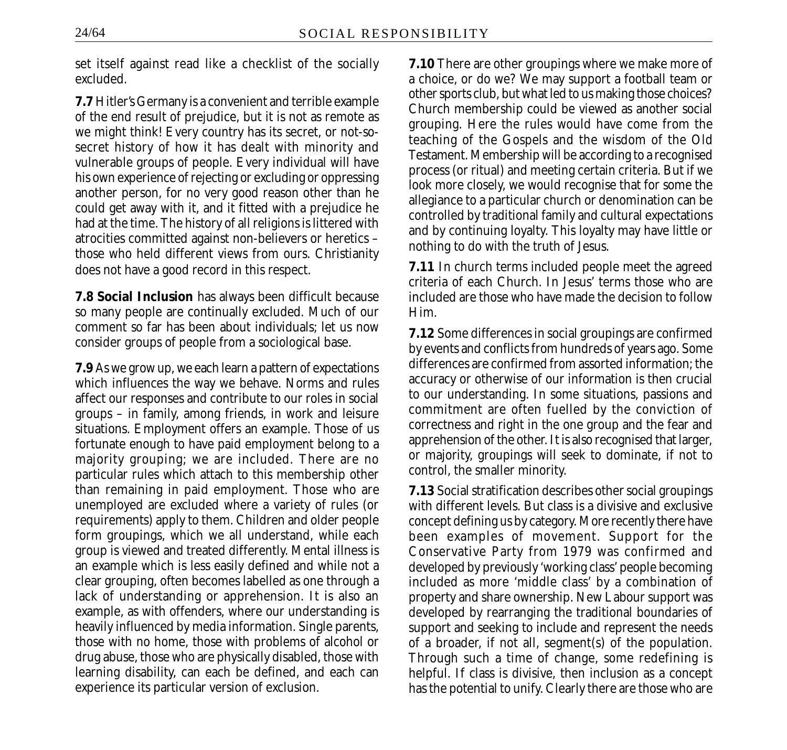set itself against read like a checklist of the socially excluded.

**7.7** Hitler's Germany is a convenient and terrible example of the end result of prejudice, but it is not as remote as we might think! Every country has its secret, or not-sosecret history of how it has dealt with minority and vulnerable groups of people. Every individual will have his own experience of rejecting or excluding or oppressing another person, for no very good reason other than he could get away with it, and it fitted with a prejudice he had at the time. The history of all religions is littered with atrocities committed against non-believers or heretics – those who held different views from ours. Christianity does not have a good record in this respect.

**7.8 Social Inclusion** has always been difficult because so many people are continually excluded. Much of our comment so far has been about individuals; let us now consider groups of people from a sociological base.

**7.9** As we grow up, we each learn a pattern of expectations which influences the way we behave. Norms and rules affect our responses and contribute to our roles in social groups – in family, among friends, in work and leisure situations. Employment offers an example. Those of us fortunate enough to have paid employment belong to a majority grouping; we are included. There are no particular rules which attach to this membership other than remaining in paid employment. Those who are unemployed are excluded where a variety of rules (or requirements) apply to them. Children and older people form groupings, which we all understand, while each group is viewed and treated differently. Mental illness is an example which is less easily defined and while not a clear grouping, often becomes labelled as one through a lack of understanding or apprehension. It is also an example, as with offenders, where our understanding is heavily influenced by media information. Single parents, those with no home, those with problems of alcohol or drug abuse, those who are physically disabled, those with learning disability, can each be defined, and each can experience its particular version of exclusion.

**7.10** There are other groupings where we make more of a choice, or do we? We may support a football team or other sports club, but what led to us making those choices? Church membership could be viewed as another social grouping. Here the rules would have come from the teaching of the Gospels and the wisdom of the Old Testament. Membership will be according to a recognised process (or ritual) and meeting certain criteria. But if we look more closely, we would recognise that for some the allegiance to a particular church or denomination can be controlled by traditional family and cultural expectations and by continuing loyalty. This loyalty may have little or nothing to do with the truth of Jesus.

**7.11** In church terms included people meet the agreed criteria of each Church. In Jesus' terms those who are included are those who have made the decision to follow Him.

**7.12** Some differences in social groupings are confirmed by events and conflicts from hundreds of years ago. Some differences are confirmed from assorted information; the accuracy or otherwise of our information is then crucial to our understanding. In some situations, passions and commitment are often fuelled by the conviction of correctness and right in the one group and the fear and apprehension of the other. It is also recognised that larger, or majority, groupings will seek to dominate, if not to control, the smaller minority.

**7.13** Social stratification describes other social groupings with different levels. But class is a divisive and exclusive concept defining us by category. More recently there have been examples of movement. Support for the Conservative Party from 1979 was confirmed and developed by previously 'working class' people becoming included as more 'middle class' by a combination of property and share ownership. New Labour support was developed by rearranging the traditional boundaries of support and seeking to include and represent the needs of a broader, if not all, segment(s) of the population. Through such a time of change, some redefining is helpful. If class is divisive, then inclusion as a concept has the potential to unify. Clearly there are those who are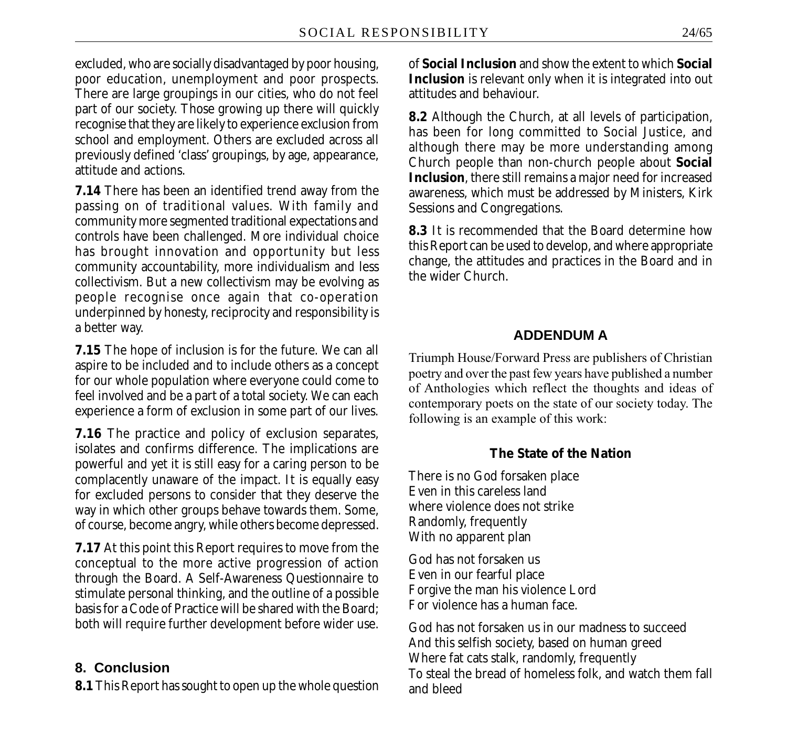excluded, who are socially disadvantaged by poor housing, poor education, unemployment and poor prospects. There are large groupings in our cities, who do not feel part of our society. Those growing up there will quickly recognise that they are likely to experience exclusion from school and employment. Others are excluded across all previously defined 'class' groupings, by age, appearance, attitude and actions.

**7.14** There has been an identified trend away from the passing on of traditional values. With family and community more segmented traditional expectations and controls have been challenged. More individual choice has brought innovation and opportunity but less community accountability, more individualism and less collectivism. But a new collectivism may be evolving as people recognise once again that co-operation underpinned by honesty, reciprocity and responsibility is a better way.

**7.15** The hope of inclusion is for the future. We can all aspire to be included and to include others as a concept for our whole population where everyone could come to feel involved and be a part of a total society. We can each experience a form of exclusion in some part of our lives.

**7.16** The practice and policy of exclusion separates, isolates and confirms difference. The implications are powerful and yet it is still easy for a caring person to be complacently unaware of the impact. It is equally easy for excluded persons to consider that they deserve the way in which other groups behave towards them. Some, of course, become angry, while others become depressed.

**7.17** At this point this Report requires to move from the conceptual to the more active progression of action through the Board. A Self-Awareness Questionnaire to stimulate personal thinking, and the outline of a possible basis for a Code of Practice will be shared with the Board; both will require further development before wider use.

# **8. Conclusion**

**8.1** This Report has sought to open up the whole question

of **Social Inclusion** and show the extent to which **Social Inclusion** is relevant only when it is integrated into out attitudes and behaviour.

**8.2** Although the Church, at all levels of participation, has been for long committed to Social Justice, and although there may be more understanding among Church people than non-church people about **Social Inclusion**, there still remains a major need for increased awareness, which must be addressed by Ministers, Kirk Sessions and Congregations.

**8.3** It is recommended that the Board determine how this Report can be used to develop, and where appropriate change, the attitudes and practices in the Board and in the wider Church.

# **ADDENDUM A**

Triumph House/Forward Press are publishers of Christian poetry and over the past few years have published a number of Anthologies which reflect the thoughts and ideas of contemporary poets on the state of our society today. The following is an example of this work:

# **The State of the Nation**

There is no God forsaken place Even in this careless land where violence does not strike Randomly, frequently With no apparent plan

God has not forsaken us Even in our fearful place Forgive the man his violence Lord For violence has a human face.

God has not forsaken us in our madness to succeed And this selfish society, based on human greed Where fat cats stalk, randomly, frequently To steal the bread of homeless folk, and watch them fall and bleed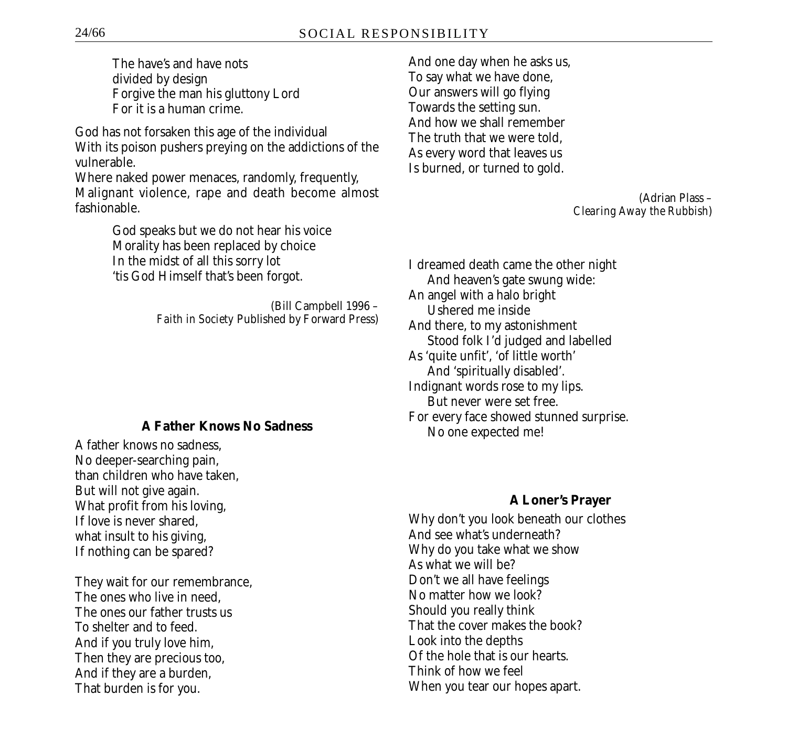The have's and have nots divided by design Forgive the man his gluttony Lord For it is a human crime.

God has not forsaken this age of the individual With its poison pushers preying on the addictions of the vulnerable.

Where naked power menaces, randomly, frequently, Malignant violence, rape and death become almost fashionable.

> God speaks but we do not hear his voice Morality has been replaced by choice In the midst of all this sorry lot 'tis God Himself that's been forgot.

> > (Bill Campbell 1996 – *Faith in Society* Published by Forward Press)

#### **A Father Knows No Sadness**

A father knows no sadness, No deeper-searching pain, than children who have taken, But will not give again. What profit from his loving, If love is never shared, what insult to his giving, If nothing can be spared?

They wait for our remembrance, The ones who live in need, The ones our father trusts us To shelter and to feed. And if you truly love him, Then they are precious too, And if they are a burden, That burden is for you.

And one day when he asks us, To say what we have done, Our answers will go flying Towards the setting sun. And how we shall remember The truth that we were told, As every word that leaves us Is burned, or turned to gold.

> (Adrian Plass – *Clearing Away the Rubbish*)

I dreamed death came the other night And heaven's gate swung wide: An angel with a halo bright Ushered me inside And there, to my astonishment Stood folk I'd judged and labelled As 'quite unfit', 'of little worth' And 'spiritually disabled'. Indignant words rose to my lips. But never were set free. For every face showed stunned surprise. No one expected me!

#### **A Loner's Prayer**

Why don't you look beneath our clothes And see what's underneath? Why do you take what we show As what we will be? Don't we all have feelings No matter how we look? Should you really think That the cover makes the book? Look into the depths Of the hole that is our hearts. Think of how we feel When you tear our hopes apart.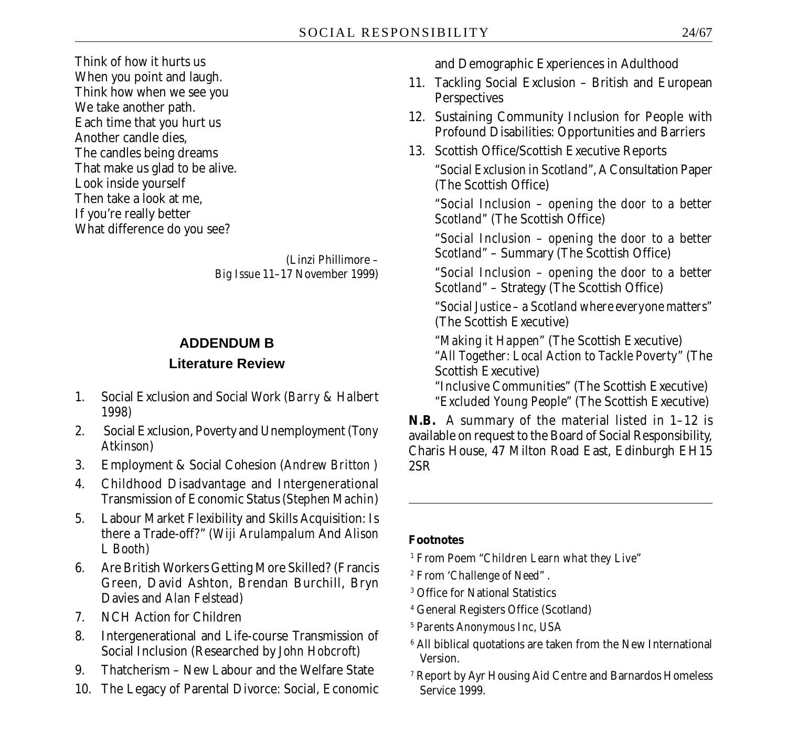Think of how it hurts us When you point and laugh. Think how when we see you We take another path. Each time that you hurt us Another candle dies, The candles being dreams That make us glad to be alive. Look inside yourself Then take a look at me, If you're really better What difference do you see?

> (Linzi Phillimore *– Big Issue* 11–17 November 1999)

### **ADDENDUM B**

#### **Literature Review**

- 1. Social Exclusion and Social Work (*Barry & Halbert 1998)*
- 2. Social Exclusion, Poverty and Unemployment (*Tony Atkinson*)
- 3. Employment & Social Cohesion (*Andrew Britton )*
- 4. Childhood Disadvantage and Intergenerational Transmission of Economic Status (*Stephen Machin*)
- 5. Labour Market Flexibility and Skills Acquisition: Is there a Trade-off?" *(Wiji Arulampalum* And *Alison L Booth)*
- 6. Are British Workers Getting More Skilled? (Francis Green, David Ashton, Brendan Burchill, Bryn Davies and *Alan Felstead)*
- 7. NCH Action for Children
- 8. Intergenerational and Life-course Transmission of Social Inclusion (Researched by *John Hobcroft)*
- 9. Thatcherism New Labour and the Welfare State
- 10. The Legacy of Parental Divorce: Social, Economic

and Demographic Experiences in Adulthood

- 11. Tackling Social Exclusion British and European **Perspectives**
- 12. Sustaining Community Inclusion for People with Profound Disabilities: Opportunities and Barriers
- 13. Scottish Office/Scottish Executive Reports *"Social Exclusion in Scotland"*, A Consultation Paper (The Scottish Office)

*"Social Inclusion – opening the door to a better Scotland"* (The Scottish Office)

*"Social Inclusion – opening the door to a better Scotland"* – Summary (The Scottish Office)

*"Social Inclusion – opening the door to a better Scotland"* – Strategy (The Scottish Office)

*"Social Justice – a Scotland where everyone matters"* (The Scottish Executive)

*"Making it Happen"* (The Scottish Executive) *"All Together: Local Action to Tackle Poverty"* (The Scottish Executive)

*"Inclusive Communities"* (The Scottish Executive) *"Excluded Young People"* (The Scottish Executive)

**N.B.** A summary of the material listed in 1–12 is available on request to the Board of Social Responsibility, Charis House, 47 Milton Road East, Edinburgh EH15 2SR

#### **Footnotes**

- 1 From Poem "*Children Learn what they Live*"
- 2 From '*Challenge of Need*" .
- 3 Office for National Statistics
- 4 General Registers Office (Scotland)
- <sup>5</sup> *Parents Anonymous Inc, USA*
- $^{\rm 6}$  All biblical quotations are taken from the New International Version.
- 7 Report by Ayr Housing Aid Centre and Barnardos Homeless Service 1999.